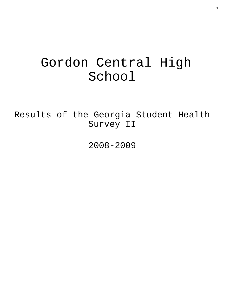# Gordon Central High School

Results of the Georgia Student Health Survey II

2008-2009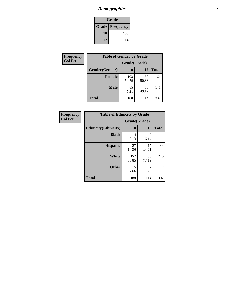# *Demographics* **2**

| Grade                    |     |  |  |  |
|--------------------------|-----|--|--|--|
| <b>Grade   Frequency</b> |     |  |  |  |
| 10                       | 188 |  |  |  |
| 12                       | 114 |  |  |  |

| Frequency      | <b>Table of Gender by Grade</b> |              |             |              |  |  |
|----------------|---------------------------------|--------------|-------------|--------------|--|--|
| <b>Col Pct</b> |                                 | Grade(Grade) |             |              |  |  |
|                | Gender(Gender)                  | <b>10</b>    | 12          | <b>Total</b> |  |  |
|                | <b>Female</b>                   | 103<br>54.79 | 58<br>50.88 | 161          |  |  |
|                | <b>Male</b>                     | 85<br>45.21  | 56<br>49.12 | 141          |  |  |
|                | <b>Total</b>                    | 188          | 114         | 302          |  |  |

| <b>Frequency</b> |
|------------------|
| <b>Col Pct</b>   |

| <b>Table of Ethnicity by Grade</b> |              |             |              |  |  |  |
|------------------------------------|--------------|-------------|--------------|--|--|--|
|                                    | Grade(Grade) |             |              |  |  |  |
| <b>Ethnicity</b> (Ethnicity)       | 10           | 12          | <b>Total</b> |  |  |  |
| <b>Black</b>                       | 4<br>2.13    | 7<br>6.14   | 11           |  |  |  |
| <b>Hispanic</b>                    | 27<br>14.36  | 17<br>14.91 | 44           |  |  |  |
| <b>White</b>                       | 152<br>80.85 | 88<br>77.19 | 240          |  |  |  |
| <b>Other</b>                       | 5<br>2.66    | 2<br>1.75   | 7            |  |  |  |
| <b>Total</b>                       | 188          | 114         | 302          |  |  |  |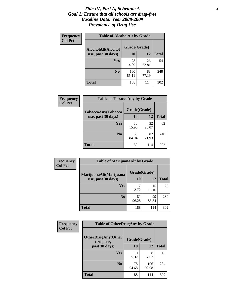#### *Title IV, Part A, Schedule A* **3** *Goal 1: Ensure that all schools are drug-free Baseline Data: Year 2008-2009 Prevalence of Drug Use*

| Frequency<br><b>Col Pct</b> | <b>Table of AlcoholAlt by Grade</b> |              |             |              |  |
|-----------------------------|-------------------------------------|--------------|-------------|--------------|--|
|                             | AlcoholAlt(Alcohol                  | Grade(Grade) |             |              |  |
|                             | use, past 30 days)                  | <b>10</b>    | 12          | <b>Total</b> |  |
|                             | Yes                                 | 28<br>14.89  | 26<br>22.81 | 54           |  |
|                             | N <sub>0</sub>                      | 160<br>85.11 | 88<br>77.19 | 248          |  |
|                             | <b>Total</b>                        | 188          | 114         | 302          |  |

| <b>Frequency</b><br><b>Col Pct</b> | <b>Table of TobaccoAny by Grade</b> |              |             |              |  |
|------------------------------------|-------------------------------------|--------------|-------------|--------------|--|
|                                    | TobaccoAny(Tobacco                  | Grade(Grade) |             |              |  |
|                                    | use, past 30 days)                  | 10           | 12          | <b>Total</b> |  |
|                                    | Yes                                 | 30<br>15.96  | 32<br>28.07 | 62           |  |
|                                    | N <sub>0</sub>                      | 158<br>84.04 | 82<br>71.93 | 240          |  |
|                                    | Total                               | 188          | 114         | 302          |  |

| Frequency      | <b>Table of MarijuanaAlt by Grade</b> |              |             |              |  |
|----------------|---------------------------------------|--------------|-------------|--------------|--|
| <b>Col Pct</b> | MarijuanaAlt(Marijuana                | Grade(Grade) |             |              |  |
|                | use, past 30 days)                    | <b>10</b>    | 12          | <b>Total</b> |  |
|                | <b>Yes</b>                            | 3.72         | 15<br>13.16 | 22           |  |
|                | N <sub>0</sub>                        | 181<br>96.28 | 99<br>86.84 | 280          |  |
|                | <b>Total</b>                          | 188          | 114         | 302          |  |

| Frequency      | <b>Table of OtherDrugAny by Grade</b>  |              |              |              |  |
|----------------|----------------------------------------|--------------|--------------|--------------|--|
| <b>Col Pct</b> | <b>OtherDrugAny(Other</b><br>drug use, | Grade(Grade) |              |              |  |
|                | past 30 days)                          | 10           | 12           | <b>Total</b> |  |
|                | Yes                                    | 10<br>5.32   | 8<br>7.02    | 18           |  |
|                | N <sub>0</sub>                         | 178<br>94.68 | 106<br>92.98 | 284          |  |
|                | <b>Total</b>                           | 188          | 114          | 302          |  |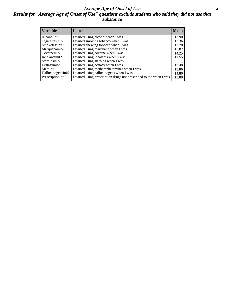#### *Average Age of Onset of Use* **4** *Results for "Average Age of Onset of Use" questions exclude students who said they did not use that substance*

| <b>Variable</b>    | Label                                                              | <b>Mean</b> |
|--------------------|--------------------------------------------------------------------|-------------|
| Alcoholinit2       | I started using alcohol when I was                                 | 13.90       |
| Cigarettesinit2    | I started smoking tobacco when I was                               | 13.36       |
| Smokelessinit2     | I started chewing tobacco when I was                               | 13.78       |
| Marijuanainit2     | I started using marijuana when I was                               | 15.02       |
| Cocaineinit2       | I started using cocaine when I was                                 | 14.25       |
| Inhalantsinit2     | I started using inhalants when I was                               | 12.55       |
| Steroidsinit2      | I started using steroids when I was                                |             |
| Ecstasyinit2       | I started using ecstasy when I was                                 | 13.40       |
| Methinit2          | I started using methamphetamines when I was                        | 13.86       |
| Hallucinogensinit2 | I started using hallucinogens when I was                           | 14.80       |
| Prescriptioninit2  | I started using prescription drugs not prescribed to me when I was | 13.80       |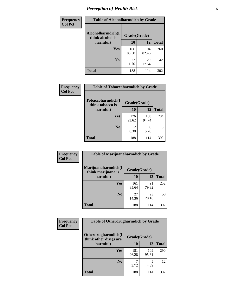# *Perception of Health Risk* **5**

| Frequency      | <b>Table of Alcoholharmdich by Grade</b> |              |             |              |  |
|----------------|------------------------------------------|--------------|-------------|--------------|--|
| <b>Col Pct</b> | Alcoholharmdich(I<br>think alcohol is    | Grade(Grade) |             |              |  |
|                | harmful)                                 | 10           | 12          | <b>Total</b> |  |
|                | Yes                                      | 166<br>88.30 | 94<br>82.46 | 260          |  |
|                | N <sub>0</sub>                           | 22<br>11.70  | 20<br>17.54 | 42           |  |
|                | <b>Total</b>                             | 188          | 114         | 302          |  |

| <b>Frequency</b> | <b>Table of Tobaccoharmdich by Grade</b> |              |              |              |
|------------------|------------------------------------------|--------------|--------------|--------------|
| <b>Col Pct</b>   | Tobaccoharmdich(I<br>think tobacco is    | Grade(Grade) |              |              |
|                  | harmful)                                 | 10           | 12           | <b>Total</b> |
|                  | Yes                                      | 176<br>93.62 | 108<br>94.74 | 284          |
|                  | N <sub>0</sub>                           | 12<br>6.38   | 6<br>5.26    | 18           |
|                  | Total                                    | 188          | 114          | 302          |

| Frequency      | <b>Table of Marijuanaharmdich by Grade</b> |              |             |              |  |  |
|----------------|--------------------------------------------|--------------|-------------|--------------|--|--|
| <b>Col Pct</b> | Marijuanaharmdich(I<br>think marijuana is  | Grade(Grade) |             |              |  |  |
|                | harmful)                                   | 10           | 12          | <b>Total</b> |  |  |
|                | Yes                                        | 161<br>85.64 | 91<br>79.82 | 252          |  |  |
|                | N <sub>0</sub>                             | 27<br>14.36  | 23<br>20.18 | 50           |  |  |
|                | <b>Total</b>                               | 188          | 114         | 302          |  |  |

| <b>Frequency</b> | <b>Table of Otherdrugharmdich by Grade</b>                                     |              |              |              |  |
|------------------|--------------------------------------------------------------------------------|--------------|--------------|--------------|--|
| <b>Col Pct</b>   | Otherdrugharmdich(I<br>Grade(Grade)<br>think other drugs are<br>10<br>harmful) |              |              |              |  |
|                  |                                                                                |              | 12           | <b>Total</b> |  |
|                  | Yes                                                                            | 181<br>96.28 | 109<br>95.61 | 290          |  |
|                  | N <sub>0</sub>                                                                 | 3.72         | 5<br>4.39    | 12           |  |
|                  | <b>Total</b>                                                                   | 188          | 114          | 302          |  |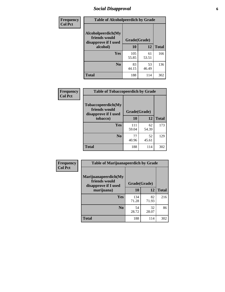# *Social Disapproval* **6**

| Frequency      | <b>Table of Alcoholpeerdich by Grade</b>                                |              |             |              |  |  |
|----------------|-------------------------------------------------------------------------|--------------|-------------|--------------|--|--|
| <b>Col Pct</b> | Alcoholpeerdich(My<br>friends would<br>disapprove if I used<br>alcohol) | Grade(Grade) |             |              |  |  |
|                |                                                                         | 10           | 12          | <b>Total</b> |  |  |
|                | <b>Yes</b>                                                              | 105<br>55.85 | 61<br>53.51 | 166          |  |  |
|                | N <sub>0</sub>                                                          | 83<br>44.15  | 53<br>46.49 | 136          |  |  |
|                | <b>Total</b>                                                            | 188          | 114         | 302          |  |  |

| <b>Frequency</b> |
|------------------|
| <b>Col Pct</b>   |

| <b>Table of Tobaccopeerdich by Grade</b>                    |              |             |              |  |  |
|-------------------------------------------------------------|--------------|-------------|--------------|--|--|
| Tobaccopeerdich(My<br>friends would<br>disapprove if I used | Grade(Grade) |             |              |  |  |
| tobacco)                                                    | 10           | 12          | <b>Total</b> |  |  |
| Yes                                                         | 111<br>59.04 | 62<br>54.39 | 173          |  |  |
| N <sub>0</sub>                                              | 77<br>40.96  | 52<br>45.61 | 129          |  |  |
| <b>Total</b>                                                | 188          | 114         | 302          |  |  |

| Frequency      | <b>Table of Marijuanapeerdich by Grade</b>                    |              |             |              |  |
|----------------|---------------------------------------------------------------|--------------|-------------|--------------|--|
| <b>Col Pct</b> | Marijuanapeerdich(My<br>friends would<br>disapprove if I used | Grade(Grade) |             |              |  |
|                | marijuana)                                                    |              | 12          | <b>Total</b> |  |
|                | <b>Yes</b>                                                    | 134<br>71.28 | 82<br>71.93 | 216          |  |
|                | N <sub>0</sub>                                                | 54<br>28.72  | 32<br>28.07 | 86           |  |
|                | <b>Total</b>                                                  | 188          | 114         | 302          |  |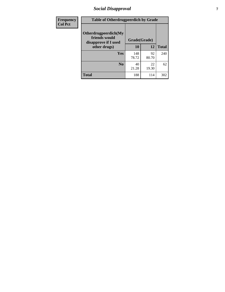# *Social Disapproval* **7**

| Frequency      | <b>Table of Otherdrugpeerdich by Grade</b>                    |              |             |              |  |
|----------------|---------------------------------------------------------------|--------------|-------------|--------------|--|
| <b>Col Pct</b> | Otherdrugpeerdich(My<br>friends would<br>disapprove if I used | Grade(Grade) |             |              |  |
|                | other drugs)                                                  | 10           | 12          | <b>Total</b> |  |
|                | Yes                                                           | 148<br>78.72 | 92<br>80.70 | 240          |  |
|                | N <sub>0</sub>                                                | 40<br>21.28  | 22<br>19.30 | 62           |  |
|                | <b>Total</b>                                                  | 188          | 114         | 302          |  |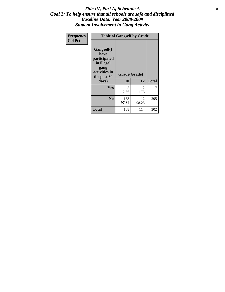#### Title IV, Part A, Schedule A **8** *Goal 2: To help ensure that all schools are safe and disciplined Baseline Data: Year 2008-2009 Student Involvement in Gang Activity*

| Frequency      | <b>Table of Gangself by Grade</b>                                                                 |                    |              |              |
|----------------|---------------------------------------------------------------------------------------------------|--------------------|--------------|--------------|
| <b>Col Pct</b> | Gangself(I<br>have<br>participated<br>in illegal<br>gang<br>activities in<br>the past 30<br>days) | Grade(Grade)<br>10 | 12           | <b>Total</b> |
|                | Yes                                                                                               | 5<br>2.66          | 2<br>1.75    | 7            |
|                | N <sub>0</sub>                                                                                    | 183<br>97.34       | 112<br>98.25 | 295          |
|                | <b>Total</b>                                                                                      | 188                | 114          | 302          |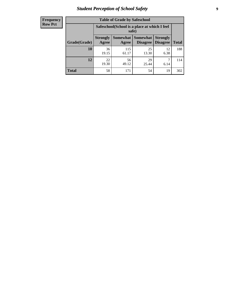# *Student Perception of School Safety* **9**

| Frequency           |
|---------------------|
| I<br><b>Row Pct</b> |

| <b>Table of Grade by Safeschool</b> |                                                                                                                                                                                                     |              |             |            |     |  |
|-------------------------------------|-----------------------------------------------------------------------------------------------------------------------------------------------------------------------------------------------------|--------------|-------------|------------|-----|--|
|                                     | Safeschool (School is a place at which I feel<br>safe)<br><b>Somewhat</b><br><b>Somewhat</b><br><b>Strongly</b><br><b>Strongly</b><br><b>Disagree</b><br>Agree<br>Disagree<br><b>Total</b><br>Agree |              |             |            |     |  |
| Grade(Grade)                        |                                                                                                                                                                                                     |              |             |            |     |  |
| 10                                  | 36<br>19.15                                                                                                                                                                                         | 115<br>61.17 | 25<br>13.30 | 12<br>6.38 | 188 |  |
| 12                                  | 22<br>19.30                                                                                                                                                                                         | 56<br>49.12  | 29<br>25.44 | 6.14       | 114 |  |
| <b>Total</b>                        | 58                                                                                                                                                                                                  | 171          | 54          | 19         | 302 |  |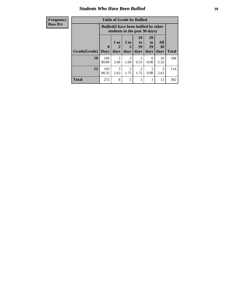### *Students Who Have Been Bullied* **10**

| <b>Frequency</b> | <b>Table of Grade by Bullied</b> |              |           |                        |                                                                               |                       |                       |              |
|------------------|----------------------------------|--------------|-----------|------------------------|-------------------------------------------------------------------------------|-----------------------|-----------------------|--------------|
| <b>Row Pct</b>   |                                  |              |           |                        | <b>Bullied</b> (I have been bullied by other<br>students in the past 30 days) |                       |                       |              |
|                  |                                  | 0            | 1 or<br>2 | 3 <sub>to</sub><br>5   | 10<br>to  <br>19                                                              | <b>20</b><br>to<br>29 | All<br>30             |              |
|                  | Grade(Grade)                     | <b>Days</b>  | days      | days                   | days                                                                          | days                  | days                  | <b>Total</b> |
|                  | 10                               | 169<br>89.89 | 5<br>2.66 | $\mathcal{F}$<br>1.60  | 0.53                                                                          | 0<br>0.00             | 10<br>5.32            | 188          |
|                  | 12                               | 103<br>90.35 | 3<br>2.63 | $\mathfrak{D}$<br>1.75 | $\overline{2}$<br>1.75                                                        | 0.88                  | $\mathcal{R}$<br>2.63 | 114          |
|                  | <b>Total</b>                     | 272          | 8         | 5                      | 3                                                                             |                       | 13                    | 302          |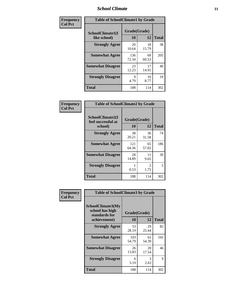### *School Climate* **11**

| <b>Frequency</b> | <b>Table of SchoolClimate1 by Grade</b> |                    |             |              |  |
|------------------|-----------------------------------------|--------------------|-------------|--------------|--|
| <b>Col Pct</b>   | SchoolClimate1(I<br>like school)        | Grade(Grade)<br>10 | 12          | <b>Total</b> |  |
|                  | <b>Strongly Agree</b>                   | 20<br>10.64        | 18<br>15.79 | 38           |  |
|                  | <b>Somewhat Agree</b>                   | 136<br>72.34       | 69<br>60.53 | 205          |  |
|                  | <b>Somewhat Disagree</b>                | 23<br>12.23        | 17<br>14.91 | 40           |  |
|                  | <b>Strongly Disagree</b>                | 9<br>4.79          | 10<br>8.77  | 19           |  |
|                  | <b>Total</b>                            | 188                | 114         | 302          |  |

| <b>Table of SchoolClimate2 by Grade</b>           |                    |                        |              |  |  |  |
|---------------------------------------------------|--------------------|------------------------|--------------|--|--|--|
| SchoolClimate2(I<br>feel successful at<br>school) | Grade(Grade)<br>10 | 12                     | <b>Total</b> |  |  |  |
| <b>Strongly Agree</b>                             | 38<br>20.21        | 36<br>31.58            | 74           |  |  |  |
| <b>Somewhat Agree</b>                             | 121<br>64.36       | 65<br>57.02            | 186          |  |  |  |
| <b>Somewhat Disagree</b>                          | 28<br>14.89        | 11<br>9.65             | 39           |  |  |  |
| <b>Strongly Disagree</b>                          | 0.53               | $\mathfrak{D}$<br>1.75 | 3            |  |  |  |
| <b>Total</b>                                      | 188                | 114                    | 302          |  |  |  |

| Frequency      | <b>Table of SchoolClimate3 by Grade</b>                                      |                          |             |              |
|----------------|------------------------------------------------------------------------------|--------------------------|-------------|--------------|
| <b>Col Pct</b> | <b>SchoolClimate3(My</b><br>school has high<br>standards for<br>achievement) | Grade(Grade)<br>10<br>12 |             | <b>Total</b> |
|                | <b>Strongly Agree</b>                                                        | 53                       | 29          | 82           |
|                |                                                                              | 28.19                    | 25.44       |              |
|                | <b>Somewhat Agree</b>                                                        | 103<br>54.79             | 62<br>54.39 | 165          |
|                | <b>Somewhat Disagree</b>                                                     | 26<br>13.83              | 20<br>17.54 | 46           |
|                | <b>Strongly Disagree</b>                                                     | 6<br>3.19                | 3<br>2.63   | 9            |
|                | Total                                                                        | 188                      | 114         | 302          |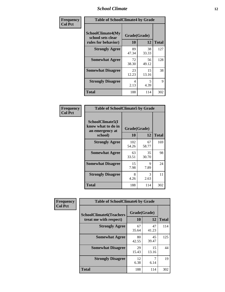### *School Climate* **12**

| Frequency      | <b>Table of SchoolClimate4 by Grade</b>                       |                    |             |              |
|----------------|---------------------------------------------------------------|--------------------|-------------|--------------|
| <b>Col Pct</b> | SchoolClimate4(My<br>school sets clear<br>rules for behavior) | Grade(Grade)<br>10 | 12          | <b>Total</b> |
|                | <b>Strongly Agree</b>                                         | 89<br>47.34        | 38<br>33.33 | 127          |
|                | <b>Somewhat Agree</b>                                         | 72<br>38.30        | 56<br>49.12 | 128          |
|                | <b>Somewhat Disagree</b>                                      | 23<br>12.23        | 15<br>13.16 | 38           |
|                | <b>Strongly Disagree</b>                                      | 4<br>2.13          | 5<br>4.39   | 9            |
|                | Total                                                         | 188                | 114         | 302          |

| <b>Table of SchoolClimate5 by Grade</b>                   |              |             |              |  |
|-----------------------------------------------------------|--------------|-------------|--------------|--|
| SchoolClimate5(I<br>know what to do in<br>an emergency at | Grade(Grade) |             |              |  |
| school)                                                   | 10           | 12          | <b>Total</b> |  |
| <b>Strongly Agree</b>                                     | 102<br>54.26 | 67<br>58.77 | 169          |  |
| <b>Somewhat Agree</b>                                     | 63<br>33.51  | 35<br>30.70 | 98           |  |
| <b>Somewhat Disagree</b>                                  | 15<br>7.98   | 9<br>7.89   | 24           |  |
| <b>Strongly Disagree</b>                                  | 8<br>4.26    | 3<br>2.63   | 11           |  |
| <b>Total</b>                                              | 188          | 114         | 302          |  |

| <b>Frequency</b> | <b>Table of SchoolClimate6 by Grade</b>                  |                    |             |              |  |
|------------------|----------------------------------------------------------|--------------------|-------------|--------------|--|
| <b>Col Pct</b>   | <b>SchoolClimate6(Teachers</b><br>treat me with respect) | Grade(Grade)<br>10 | 12          | <b>Total</b> |  |
|                  | <b>Strongly Agree</b>                                    | 67<br>35.64        | 47<br>41.23 | 114          |  |
|                  | <b>Somewhat Agree</b>                                    | 80<br>42.55        | 45<br>39.47 | 125          |  |
|                  | <b>Somewhat Disagree</b>                                 | 29<br>15.43        | 15<br>13.16 | 44           |  |
|                  | <b>Strongly Disagree</b>                                 | 12<br>6.38         | 6.14        | 19           |  |
|                  | <b>Total</b>                                             | 188                | 114         | 302          |  |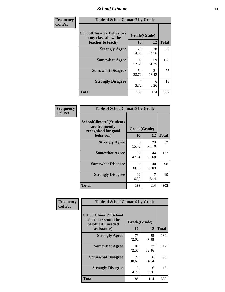### *School Climate* **13**

| Frequency      | <b>Table of SchoolClimate7 by Grade</b>                                       |                           |             |              |
|----------------|-------------------------------------------------------------------------------|---------------------------|-------------|--------------|
| <b>Col Pct</b> | <b>SchoolClimate7(Behaviors</b><br>in my class allow the<br>teacher to teach) | Grade(Grade)<br><b>10</b> | 12          | <b>Total</b> |
|                | <b>Strongly Agree</b>                                                         | 28<br>14.89               | 28<br>24.56 | 56           |
|                | <b>Somewhat Agree</b>                                                         | 99<br>52.66               | 59<br>51.75 | 158          |
|                | <b>Somewhat Disagree</b>                                                      | 54<br>28.72               | 21<br>18.42 | 75           |
|                | <b>Strongly Disagree</b>                                                      | 7<br>3.72                 | 6<br>5.26   | 13           |
|                | <b>Total</b>                                                                  | 188                       | 114         | 302          |

| Frequency      | <b>Table of SchoolClimate8 by Grade</b>                                              |                    |             |              |
|----------------|--------------------------------------------------------------------------------------|--------------------|-------------|--------------|
| <b>Col Pct</b> | <b>SchoolClimate8(Students</b><br>are frequently<br>recognized for good<br>behavior) | Grade(Grade)<br>10 | 12          | <b>Total</b> |
|                | <b>Strongly Agree</b>                                                                | 29<br>15.43        | 23<br>20.18 | 52           |
|                | <b>Somewhat Agree</b>                                                                | 89<br>47.34        | 44<br>38.60 | 133          |
|                | <b>Somewhat Disagree</b>                                                             | 58<br>30.85        | 40<br>35.09 | 98           |
|                | <b>Strongly Disagree</b>                                                             | 12<br>6.38         | 7<br>6.14   | 19           |
|                | <b>Total</b>                                                                         | 188                | 114         | 302          |

| Frequency      | <b>Table of SchoolClimate9 by Grade</b>                                           |                    |             |              |
|----------------|-----------------------------------------------------------------------------------|--------------------|-------------|--------------|
| <b>Col Pct</b> | SchoolClimate9(School<br>counselor would be<br>helpful if I needed<br>assistance) | Grade(Grade)<br>10 | 12          | <b>Total</b> |
|                | <b>Strongly Agree</b>                                                             | 79<br>42.02        | 55<br>48.25 | 134          |
|                | <b>Somewhat Agree</b>                                                             | 80<br>42.55        | 37<br>32.46 | 117          |
|                | <b>Somewhat Disagree</b>                                                          | 20<br>10.64        | 16<br>14.04 | 36           |
|                | <b>Strongly Disagree</b>                                                          | 9<br>4.79          | 6<br>5.26   | 15           |
|                | Total                                                                             | 188                | 114         | 302          |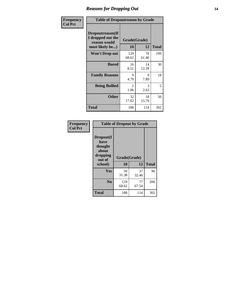### *Reasons for Dropping Out* **14**

| Frequency      | <b>Table of Dropoutreason by Grade</b>                                   |                    |             |              |
|----------------|--------------------------------------------------------------------------|--------------------|-------------|--------------|
| <b>Col Pct</b> | Dropoutreason(If<br>I dropped out the<br>reason would<br>most likely be) | Grade(Grade)<br>10 | 12          | <b>Total</b> |
|                | <b>Won't Drop out</b>                                                    | 129<br>68.62       | 70<br>61.40 | 199          |
|                | <b>Bored</b>                                                             | 16<br>8.51         | 14<br>12.28 | 30           |
|                | <b>Family Reasons</b>                                                    | 9<br>4.79          | 9<br>7.89   | 18           |
|                | <b>Being Bullied</b>                                                     | 2<br>1.06          | 3<br>2.63   | 5            |
|                | <b>Other</b>                                                             | 32<br>17.02        | 18<br>15.79 | 50           |
|                | <b>Total</b>                                                             | 188                | 114         | 302          |

| Frequency      |                                                                        | <b>Table of Dropout by Grade</b> |             |              |
|----------------|------------------------------------------------------------------------|----------------------------------|-------------|--------------|
| <b>Col Pct</b> | Dropout(I<br>have<br>thought<br>about<br>dropping<br>out of<br>school) | Grade(Grade)<br>10               | 12          | <b>Total</b> |
|                | Yes                                                                    | 59<br>31.38                      | 37<br>32.46 | 96           |
|                | N <sub>0</sub>                                                         | 129<br>68.62                     | 77<br>67.54 | 206          |
|                | <b>Total</b>                                                           | 188                              | 114         | 302          |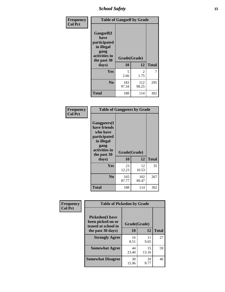*School Safety* **15**

| Frequency      | <b>Table of Gangself by Grade</b>                                                                 |                    |              |              |
|----------------|---------------------------------------------------------------------------------------------------|--------------------|--------------|--------------|
| <b>Col Pct</b> | Gangself(I<br>have<br>participated<br>in illegal<br>gang<br>activities in<br>the past 30<br>days) | Grade(Grade)<br>10 | 12           | <b>Total</b> |
|                | Yes                                                                                               | 5<br>2.66          | 2<br>1.75    | 7            |
|                | N <sub>o</sub>                                                                                    | 183<br>97.34       | 112<br>98.25 | 295          |
|                | Total                                                                                             | 188                | 114          | 302          |

| Frequency<br><b>Col Pct</b> | <b>Table of Gangpeers by Grade</b>                                                                                             |                    |              |              |
|-----------------------------|--------------------------------------------------------------------------------------------------------------------------------|--------------------|--------------|--------------|
|                             | <b>Gangpeers</b> (I<br>have friends<br>who have<br>participated<br>in illegal<br>gang<br>activities in<br>the past 30<br>days) | Grade(Grade)<br>10 | 12           | <b>Total</b> |
|                             | <b>Yes</b>                                                                                                                     | 23<br>12.23        | 12<br>10.53  | 35           |
|                             | N <sub>0</sub>                                                                                                                 | 165<br>87.77       | 102<br>89.47 | 267          |
|                             | <b>Total</b>                                                                                                                   | 188                | 114          | 302          |

| Frequency      | <b>Table of Pickedon by Grade</b>                                   |              |             |              |
|----------------|---------------------------------------------------------------------|--------------|-------------|--------------|
| <b>Col Pct</b> | <b>Pickedon</b> (I have<br>been picked on or<br>teased at school in | Grade(Grade) |             |              |
|                | the past 30 days)                                                   | 10           | 12          | <b>Total</b> |
|                | <b>Strongly Agree</b>                                               | 16<br>8.51   | 11<br>9.65  | 27           |
|                | <b>Somewhat Agree</b>                                               | 44<br>23.40  | 15<br>13.16 | 59           |
|                | <b>Somewhat Disagree</b>                                            | 30<br>15.96  | 10<br>8.77  | 40           |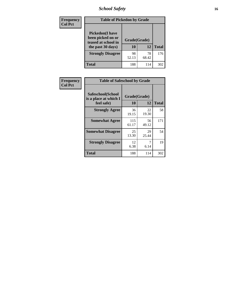# *School Safety* **16**

| <b>Frequency</b> |                                                                                          | <b>Table of Pickedon by Grade</b> |             |              |  |  |  |  |  |  |  |
|------------------|------------------------------------------------------------------------------------------|-----------------------------------|-------------|--------------|--|--|--|--|--|--|--|
| <b>Col Pct</b>   | <b>Pickedon</b> (I have<br>been picked on or<br>teased at school in<br>the past 30 days) | Grade(Grade)<br>10                | 12          | <b>Total</b> |  |  |  |  |  |  |  |
|                  | <b>Strongly Disagree</b>                                                                 | 98<br>52.13                       | 78<br>68.42 | 176          |  |  |  |  |  |  |  |
|                  | Total                                                                                    | 188                               | 114         | 302          |  |  |  |  |  |  |  |

| Frequency      | <b>Table of Safeschool by Grade</b>                      |                          |             |     |  |  |
|----------------|----------------------------------------------------------|--------------------------|-------------|-----|--|--|
| <b>Col Pct</b> | Safeschool(School<br>is a place at which I<br>feel safe) | Grade(Grade)<br>10<br>12 |             |     |  |  |
|                | <b>Strongly Agree</b>                                    | 36<br>19.15              | 22<br>19.30 | 58  |  |  |
|                | <b>Somewhat Agree</b>                                    | 115<br>61.17             | 56<br>49.12 | 171 |  |  |
|                | <b>Somewhat Disagree</b>                                 | 25<br>13.30              | 29<br>25.44 | 54  |  |  |
|                | <b>Strongly Disagree</b>                                 | 12<br>6.38               | 6.14        | 19  |  |  |
|                | <b>Total</b>                                             | 188                      | 114         | 302 |  |  |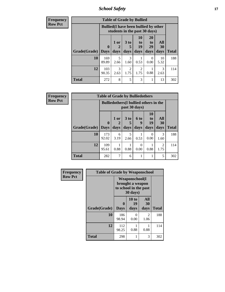*School Safety* **17**

| <b>Frequency</b> |                     |                                                                               | <b>Table of Grade by Bullied</b> |                        |                        |                       |                  |              |
|------------------|---------------------|-------------------------------------------------------------------------------|----------------------------------|------------------------|------------------------|-----------------------|------------------|--------------|
| <b>Row Pct</b>   |                     | <b>Bullied</b> (I have been bullied by other<br>students in the past 30 days) |                                  |                        |                        |                       |                  |              |
|                  |                     | $\mathbf 0$                                                                   | 1 or                             | 3 <sub>to</sub><br>5   | 10<br>to<br>19         | <b>20</b><br>to<br>29 | All<br><b>30</b> |              |
|                  | Grade(Grade)   Days |                                                                               | days                             | days                   | days                   | days                  | days             | <b>Total</b> |
|                  | 10                  | 169<br>89.89                                                                  | 5<br>2.66                        | 3<br>1.60              | 0.53                   | 0<br>0.00             | 10<br>5.32       | 188          |
|                  | 12                  | 103<br>90.35                                                                  | 3<br>2.63                        | $\overline{2}$<br>1.75 | $\mathfrak{D}$<br>1.75 | 0.88                  | 3<br>2.63        | 114          |
|                  | <b>Total</b>        | 272                                                                           | 8                                | 5                      | 3                      |                       | 13               | 302          |

| <b>Frequency</b> |              | <b>Table of Grade by Bulliedothers</b> |                                                                |           |                  |                                   |                        |              |  |
|------------------|--------------|----------------------------------------|----------------------------------------------------------------|-----------|------------------|-----------------------------------|------------------------|--------------|--|
| <b>Row Pct</b>   |              |                                        | <b>Bulliedothers</b> (I bullied others in the<br>past 30 days) |           |                  |                                   |                        |              |  |
|                  | Grade(Grade) | $\mathbf 0$                            | 1 or                                                           | 3 to      | 6 to<br>9        | <b>10</b><br>t <sub>0</sub><br>19 | All<br>30              | <b>Total</b> |  |
|                  |              | Days                                   | days                                                           | days      | days             | days                              | days                   |              |  |
|                  | 10           | 173<br>92.02                           | 6<br>3.19                                                      | 5<br>2.66 | 0.53             | 0<br>0.00                         | 3<br>1.60              | 188          |  |
|                  | 12           | 109<br>95.61                           | 0.88                                                           | 0.88      | $\Omega$<br>0.00 | 0.88                              | $\overline{2}$<br>1.75 | 114          |  |
|                  | <b>Total</b> | 282                                    | 7                                                              | 6         |                  |                                   | 5                      | 302          |  |

| Frequency      | <b>Table of Grade by Weaponschool</b> |                                                                                 |                     |                   |              |  |  |  |  |  |  |
|----------------|---------------------------------------|---------------------------------------------------------------------------------|---------------------|-------------------|--------------|--|--|--|--|--|--|
| <b>Row Pct</b> |                                       | <b>Weaponschool</b> (I<br>brought a weapon<br>to school in the past<br>30 days) |                     |                   |              |  |  |  |  |  |  |
|                | Grade(Grade)                          | <b>Days</b>                                                                     | 10 to<br>19<br>days | All<br>30<br>days | <b>Total</b> |  |  |  |  |  |  |
|                | 10                                    | 186<br>98.94                                                                    | 0<br>0.00           | 2<br>1.06         | 188          |  |  |  |  |  |  |
|                | 12                                    | 112<br>98.25                                                                    | 0.88                | 0.88              | 114          |  |  |  |  |  |  |
|                | <b>Total</b>                          | 298                                                                             | 1                   | 3                 | 302          |  |  |  |  |  |  |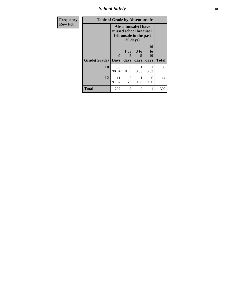*School Safety* **18**

| <b>Frequency</b> | <b>Table of Grade by Absentunsafe</b> |                                                                                  |                        |                              |                        |              |  |  |  |  |
|------------------|---------------------------------------|----------------------------------------------------------------------------------|------------------------|------------------------------|------------------------|--------------|--|--|--|--|
| <b>Row Pct</b>   |                                       | <b>Absentunsafe(I have</b><br>missed school because I<br>felt unsafe in the past |                        |                              |                        |              |  |  |  |  |
|                  | Grade(Grade)                          | 0<br><b>Days</b>                                                                 | 1 or<br>2<br>days      | 3 <sub>to</sub><br>5<br>days | 10<br>to<br>19<br>days | <b>Total</b> |  |  |  |  |
|                  | 10                                    | 186<br>98.94                                                                     | 0<br>0.00              | 0.53                         | 0.53                   | 188          |  |  |  |  |
|                  | 12                                    | 111<br>97.37                                                                     | $\mathfrak{D}$<br>1.75 | 0.88                         | $\Omega$<br>0.00       | 114          |  |  |  |  |
|                  | <b>Total</b>                          | 297                                                                              | $\mathfrak{D}$         | $\mathfrak{D}$               | 1                      | 302          |  |  |  |  |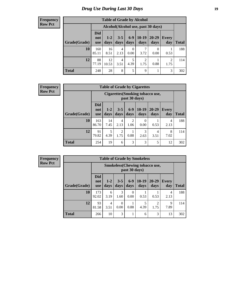# *Drug Use During Last 30 Days* **19**

#### **Frequency Row Pct**

| <b>Table of Grade by Alcohol</b> |                                 |                                     |                 |               |                 |                  |              |       |  |  |  |  |
|----------------------------------|---------------------------------|-------------------------------------|-----------------|---------------|-----------------|------------------|--------------|-------|--|--|--|--|
|                                  |                                 | Alcohol (Alcohol use, past 30 days) |                 |               |                 |                  |              |       |  |  |  |  |
| Grade(Grade)                     | <b>Did</b><br>not<br><b>use</b> | $1 - 2$<br>days                     | $3 - 5$<br>days | $6-9$<br>days | $10-19$<br>days | 20-29<br>days    | Every<br>day | Total |  |  |  |  |
| 10                               | 160<br>85.11                    | 16<br>8.51                          | 4<br>2.13       | 0<br>0.00     | 7<br>3.72       | $\Omega$<br>0.00 | 0.53         | 188   |  |  |  |  |
| 12                               | 88<br>77.19                     | 12<br>10.53                         | 4<br>3.51       | 5<br>4.39     | 2<br>1.75       | 0.88             | 2<br>1.75    | 114   |  |  |  |  |
| <b>Total</b>                     | 248                             | 28                                  | 8               | 5             | 9               |                  | 3            | 302   |  |  |  |  |

#### **Frequency Row Pct**

| <b>Table of Grade by Cigarettes</b> |                                 |                                                                                                                                |           |                        |                  |           |           |     |  |  |  |
|-------------------------------------|---------------------------------|--------------------------------------------------------------------------------------------------------------------------------|-----------|------------------------|------------------|-----------|-----------|-----|--|--|--|
|                                     |                                 | Cigarettes (Smoking tobacco use,<br>past 30 days)                                                                              |           |                        |                  |           |           |     |  |  |  |
| Grade(Grade)                        | <b>Did</b><br>not<br><b>use</b> | $6-9$<br>$10-19$<br>20-29<br>$3 - 5$<br>$1 - 2$<br><b>Every</b><br><b>Total</b><br>days<br>days<br>day<br>days<br>days<br>days |           |                        |                  |           |           |     |  |  |  |
| 10                                  | 163<br>86.70                    | 14<br>7.45                                                                                                                     | 4<br>2.13 | $\overline{c}$<br>1.06 | $\theta$<br>0.00 | 0.53      | 4<br>2.13 | 188 |  |  |  |
| 12                                  | 91<br>79.82                     | 5<br>4.39                                                                                                                      | 2<br>1.75 | 0.88                   | 3<br>2.63        | 4<br>3.51 | 8<br>7.02 | 114 |  |  |  |
| <b>Total</b>                        | 254                             | 19                                                                                                                             | 6         | 3                      | 3                | 5         | 12        | 302 |  |  |  |

**Frequency Row Pct**

| <b>Table of Grade by Smokeless</b> |                                 |                                                         |                 |                  |                   |                     |              |     |  |  |  |  |  |
|------------------------------------|---------------------------------|---------------------------------------------------------|-----------------|------------------|-------------------|---------------------|--------------|-----|--|--|--|--|--|
|                                    |                                 | <b>Smokeless</b> (Chewing tobacco use,<br>past 30 days) |                 |                  |                   |                     |              |     |  |  |  |  |  |
| Grade(Grade)                       | <b>Did</b><br>not<br><b>use</b> | $1-2$<br>days                                           | $6 - 9$<br>days | $10-19$<br>days  | $20 - 29$<br>days | <b>Every</b><br>day | <b>Total</b> |     |  |  |  |  |  |
| 10                                 | 173<br>92.02                    | 6<br>3.19                                               | 3<br>1.60       | $\Omega$<br>0.00 | 0.53              | 0.53                | 4<br>2.13    | 188 |  |  |  |  |  |
| 12                                 | 93<br>81.58                     | 4<br>3.51                                               | 0<br>0.00       | 0.88             | 5<br>4.39         | ∍<br>1.75           | 9<br>7.89    | 114 |  |  |  |  |  |
| <b>Total</b>                       | 266                             | 10                                                      | 3               |                  | 6                 | 3                   | 13           | 302 |  |  |  |  |  |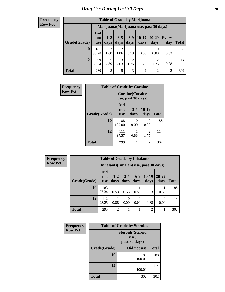#### **Frequency Row Pct**

| <b>Table of Grade by Marijuana</b>                                                                                                                  |              |                                         |                        |           |                  |                  |      |     |  |  |  |  |
|-----------------------------------------------------------------------------------------------------------------------------------------------------|--------------|-----------------------------------------|------------------------|-----------|------------------|------------------|------|-----|--|--|--|--|
|                                                                                                                                                     |              | Marijuana (Marijuana use, past 30 days) |                        |           |                  |                  |      |     |  |  |  |  |
| Did<br>$10-19$<br>$6-9$<br>20-29<br>$3 - 5$<br>$1 - 2$<br>Every<br>not<br>Grade(Grade)<br>days<br>days<br>days<br>days<br>day<br>days<br><b>use</b> |              |                                         |                        |           |                  |                  |      |     |  |  |  |  |
| 10                                                                                                                                                  | 181<br>96.28 | 3<br>1.60                               | $\overline{2}$<br>1.06 | 0.53      | $\Omega$<br>0.00 | $\theta$<br>0.00 | 0.53 | 188 |  |  |  |  |
| 12                                                                                                                                                  | 99<br>86.84  | 5<br>4.39                               | 3<br>2.63              | 2<br>1.75 | 2<br>1.75        | ∍<br>1.75        | 0.88 | 114 |  |  |  |  |
| <b>Total</b>                                                                                                                                        | 280          | 8                                       | 5                      | 3         | 2                | $\overline{2}$   | 2    | 302 |  |  |  |  |

| Frequency      | <b>Table of Grade by Cocaine</b> |                                 |                                               |                 |              |  |  |  |  |  |
|----------------|----------------------------------|---------------------------------|-----------------------------------------------|-----------------|--------------|--|--|--|--|--|
| <b>Row Pct</b> |                                  |                                 | <b>Cocaine</b> (Cocaine<br>use, past 30 days) |                 |              |  |  |  |  |  |
|                | Grade(Grade)                     | <b>Did</b><br>not<br><b>use</b> | $3 - 5$<br>days                               | $10-19$<br>days | <b>Total</b> |  |  |  |  |  |
|                | 10                               | 188<br>100.00                   | 0<br>0.00                                     | 0<br>0.00       | 188          |  |  |  |  |  |
|                | 12                               | 111<br>97.37                    | 0.88                                          | 2<br>1.75       | 114          |  |  |  |  |  |
|                | <b>Total</b>                     | 299                             |                                               | $\overline{2}$  | 302          |  |  |  |  |  |

| <b>Frequency</b> |              | <b>Table of Grade by Inhalants</b> |                |                  |                                        |                 |                   |              |  |  |  |  |  |
|------------------|--------------|------------------------------------|----------------|------------------|----------------------------------------|-----------------|-------------------|--------------|--|--|--|--|--|
| <b>Row Pct</b>   |              |                                    |                |                  | Inhalants (Inhalant use, past 30 days) |                 |                   |              |  |  |  |  |  |
|                  | Grade(Grade) | <b>Did</b><br>not<br><b>use</b>    | $1-2$<br>days  | $3 - 5$<br>days  | $6-9$<br>days                          | $10-19$<br>days | $20 - 29$<br>days | <b>Total</b> |  |  |  |  |  |
|                  | 10           | 183<br>97.34                       | 0.53           | 0.53             | 0.53                                   | 0.53            | 0.53              | 188          |  |  |  |  |  |
|                  | 12           | 112<br>98.25                       | 0.88           | $\Omega$<br>0.00 | $\Omega$<br>0.00                       | 0.88            | $\Omega$<br>0.00  | 114          |  |  |  |  |  |
|                  | <b>Total</b> | 295                                | $\overline{2}$ |                  |                                        | $\overline{c}$  |                   | 302          |  |  |  |  |  |

| Frequency      |              | <b>Table of Grade by Steroids</b>                 |              |
|----------------|--------------|---------------------------------------------------|--------------|
| <b>Row Pct</b> |              | <b>Steroids</b> (Steroid<br>use,<br>past 30 days) |              |
|                | Grade(Grade) | Did not use                                       | <b>Total</b> |
|                | 10           | 188<br>100.00                                     | 188          |
|                | 12           | 114<br>100.00                                     | 114          |
|                | <b>Total</b> | 302                                               | 302          |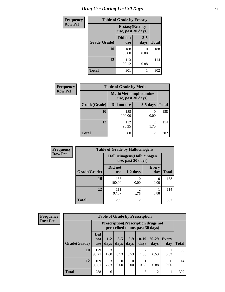# *Drug Use During Last 30 Days* **21**

| <b>Frequency</b> |              | <b>Table of Grade by Ecstasy</b>              |                 |              |  |  |  |
|------------------|--------------|-----------------------------------------------|-----------------|--------------|--|--|--|
| <b>Row Pct</b>   |              | <b>Ecstasy</b> (Ecstasy<br>use, past 30 days) |                 |              |  |  |  |
|                  | Grade(Grade) | Did not<br><b>use</b>                         | $3 - 5$<br>days | <b>Total</b> |  |  |  |
|                  | 10           | 188<br>100.00                                 | 0<br>0.00       | 188          |  |  |  |
|                  | 12           | 113<br>99.12                                  | 0.88            | 114          |  |  |  |
|                  | Total        | 301                                           |                 | 302          |  |  |  |

| <b>Frequency</b> | <b>Table of Grade by Meth</b> |                                                    |                        |              |  |
|------------------|-------------------------------|----------------------------------------------------|------------------------|--------------|--|
| <b>Row Pct</b>   |                               | <b>Meth</b> (Methamphetamine<br>use, past 30 days) |                        |              |  |
|                  | Grade(Grade)                  | Did not use                                        | $3-5$ days             | <b>Total</b> |  |
|                  | 10                            | 188<br>100.00                                      | 0.00                   | 188          |  |
|                  | 12                            | 112<br>98.25                                       | $\mathfrak{D}$<br>1.75 | 114          |  |
|                  | <b>Total</b>                  | 300                                                | 2                      | 302          |  |

| <b>Frequency</b> | <b>Table of Grade by Hallucinogens</b> |                                                  |                        |                          |              |  |  |
|------------------|----------------------------------------|--------------------------------------------------|------------------------|--------------------------|--------------|--|--|
| <b>Row Pct</b>   |                                        | Hallucinogens(Hallucinogen<br>use, past 30 days) |                        |                          |              |  |  |
|                  | Grade(Grade)                           | Did not<br><b>use</b>                            | $1-2$ days             | <b>Every</b><br>day      | <b>Total</b> |  |  |
|                  | 10                                     | 188<br>100.00                                    | 0.00                   | $\left( \right)$<br>0.00 | 188          |  |  |
|                  | 12                                     | 111<br>97.37                                     | $\overline{2}$<br>1.75 | 0.88                     | 114          |  |  |
|                  | <b>Total</b>                           | 299                                              | $\overline{2}$         |                          | 302          |  |  |

| Frequency      |              | <b>Table of Grade by Prescription</b> |                                                                                |                 |                  |                        |                   |                     |              |
|----------------|--------------|---------------------------------------|--------------------------------------------------------------------------------|-----------------|------------------|------------------------|-------------------|---------------------|--------------|
| <b>Row Pct</b> |              |                                       | <b>Prescription</b> (Prescription drugs not<br>prescribed to me, past 30 days) |                 |                  |                        |                   |                     |              |
|                | Grade(Grade) | Did<br>not<br><b>use</b>              | $1 - 2$<br>days                                                                | $3 - 5$<br>days | $6-9$<br>days    | $10-19$<br>days        | $20 - 29$<br>days | <b>Every</b><br>day | <b>Total</b> |
|                | 10           | 179<br>95.21                          | 3<br>1.60                                                                      | 0.53            | 0.53             | $\mathfrak{D}$<br>1.06 | 0.53              | 0.53                | 188          |
|                | 12           | 109<br>95.61                          | 3<br>2.63                                                                      | 0<br>0.00       | $\Omega$<br>0.00 | 0.88                   | 0.88              | 0.00                | 114          |
|                | <b>Total</b> | 288                                   | 6                                                                              |                 |                  | 3                      | $\overline{2}$    |                     | 302          |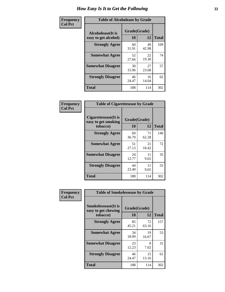| Frequency      | <b>Table of Alcoholease by Grade</b>       |                    |             |              |  |
|----------------|--------------------------------------------|--------------------|-------------|--------------|--|
| <b>Col Pct</b> | Alcoholease (It is<br>easy to get alcohol) | Grade(Grade)<br>10 | 12          | <b>Total</b> |  |
|                | <b>Strongly Agree</b>                      | 60<br>31.91        | 49<br>42.98 | 109          |  |
|                | <b>Somewhat Agree</b>                      | 52<br>27.66        | 22<br>19.30 | 74           |  |
|                | <b>Somewhat Disagree</b>                   | 30<br>15.96        | 27<br>23.68 | 57           |  |
|                | <b>Strongly Disagree</b>                   | 46<br>24.47        | 16<br>14.04 | 62           |  |
|                | <b>Total</b>                               | 188                | 114         | 302          |  |

| <b>Frequency</b> |  |
|------------------|--|
| Col Pet          |  |

| <b>Table of Cigarettesease by Grade</b>                 |                    |             |              |  |
|---------------------------------------------------------|--------------------|-------------|--------------|--|
| Cigarettesease(It is<br>easy to get smoking<br>tobacco) | Grade(Grade)<br>10 | 12          | <b>Total</b> |  |
| <b>Strongly Agree</b>                                   | 69<br>36.70        | 71<br>62.28 | 140          |  |
| <b>Somewhat Agree</b>                                   | 51<br>27.13        | 21<br>18.42 | 72           |  |
| <b>Somewhat Disagree</b>                                | 24<br>12.77        | 11<br>9.65  | 35           |  |
| <b>Strongly Disagree</b>                                | 44<br>23.40        | 11<br>9.65  | 55           |  |
| <b>Total</b>                                            | 188                | 114         | 302          |  |

| Frequency      | <b>Table of Smokelessease by Grade</b>             |              |             |              |  |  |  |
|----------------|----------------------------------------------------|--------------|-------------|--------------|--|--|--|
| <b>Col Pct</b> | <b>Smokelessease</b> (It is<br>easy to get chewing | Grade(Grade) |             |              |  |  |  |
|                | tobacco)                                           | 10           | 12          | <b>Total</b> |  |  |  |
|                | <b>Strongly Agree</b>                              | 85<br>45.21  | 72<br>63.16 | 157          |  |  |  |
|                | <b>Somewhat Agree</b>                              | 34<br>18.09  | 19<br>16.67 | 53           |  |  |  |
|                | <b>Somewhat Disagree</b>                           | 23<br>12.23  | 8<br>7.02   | 31           |  |  |  |
|                | <b>Strongly Disagree</b>                           | 46<br>24.47  | 15<br>13.16 | 61           |  |  |  |
|                | <b>Total</b>                                       | 188          | 114         | 302          |  |  |  |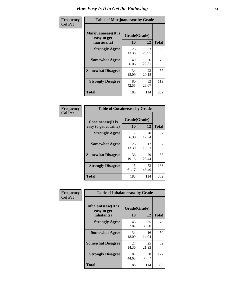| Frequency      | <b>Table of Marijuanaease by Grade</b>           |                    |             |              |  |
|----------------|--------------------------------------------------|--------------------|-------------|--------------|--|
| <b>Col Pct</b> | Marijuanaease(It is<br>easy to get<br>marijuana) | Grade(Grade)<br>10 | 12          | <b>Total</b> |  |
|                | <b>Strongly Agree</b>                            | 25<br>13.30        | 33<br>28.95 | 58           |  |
|                | <b>Somewhat Agree</b>                            | 49<br>26.06        | 26<br>22.81 | 75           |  |
|                | <b>Somewhat Disagree</b>                         | 34<br>18.09        | 23<br>20.18 | 57           |  |
|                | <b>Strongly Disagree</b>                         | 80<br>42.55        | 32<br>28.07 | 112          |  |
|                | Total                                            | 188                | 114         | 302          |  |

| <b>Table of Cocaineease by Grade</b>      |                    |             |              |  |
|-------------------------------------------|--------------------|-------------|--------------|--|
| Cocaineease(It is<br>easy to get cocaine) | Grade(Grade)<br>10 | 12          | <b>Total</b> |  |
| <b>Strongly Agree</b>                     | 12<br>6.38         | 20<br>17.54 | 32           |  |
| <b>Somewhat Agree</b>                     | 25<br>13.30        | 12<br>10.53 | 37           |  |
| <b>Somewhat Disagree</b>                  | 36<br>19.15        | 29<br>25.44 | 65           |  |
| <b>Strongly Disagree</b>                  | 115<br>61.17       | 53<br>46.49 | 168          |  |
| <b>Total</b>                              | 188                | 114         | 302          |  |

| Frequency      | <b>Table of Inhalantsease by Grade</b>           |                    |             |              |  |
|----------------|--------------------------------------------------|--------------------|-------------|--------------|--|
| <b>Col Pct</b> | Inhalantsease(It is<br>easy to get<br>inhalants) | Grade(Grade)<br>10 | 12          | <b>Total</b> |  |
|                | <b>Strongly Agree</b>                            | 43<br>22.87        | 35<br>30.70 | 78           |  |
|                | <b>Somewhat Agree</b>                            | 34<br>18.09        | 16<br>14.04 | 50           |  |
|                | <b>Somewhat Disagree</b>                         | 27<br>14.36        | 25<br>21.93 | 52           |  |
|                | <b>Strongly Disagree</b>                         | 84<br>44.68        | 38<br>33.33 | 122          |  |
|                | <b>Total</b>                                     | 188                | 114         | 302          |  |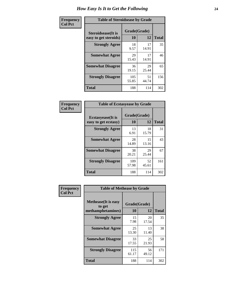| Frequency      | <b>Table of Steroidsease by Grade</b>               |                    |             |              |  |  |  |  |  |  |  |
|----------------|-----------------------------------------------------|--------------------|-------------|--------------|--|--|--|--|--|--|--|
| <b>Col Pct</b> | <b>Steroidsease</b> (It is<br>easy to get steroids) | Grade(Grade)<br>10 | 12          | <b>Total</b> |  |  |  |  |  |  |  |
|                | <b>Strongly Agree</b>                               | 18<br>9.57         | 17<br>14.91 | 35           |  |  |  |  |  |  |  |
|                | <b>Somewhat Agree</b>                               | 29<br>15.43        | 17<br>14.91 | 46           |  |  |  |  |  |  |  |
|                | <b>Somewhat Disagree</b>                            | 36<br>19.15        | 29<br>25.44 | 65           |  |  |  |  |  |  |  |
|                | <b>Strongly Disagree</b>                            | 105<br>55.85       | 51<br>44.74 | 156          |  |  |  |  |  |  |  |
|                | <b>Total</b>                                        | 188                | 114         | 302          |  |  |  |  |  |  |  |

| Frequency      | <b>Table of Ecstasyease by Grade</b>              |                    |              |     |
|----------------|---------------------------------------------------|--------------------|--------------|-----|
| <b>Col Pct</b> | <b>Ecstasyease</b> (It is<br>easy to get ecstasy) | Grade(Grade)<br>10 | <b>Total</b> |     |
|                | <b>Strongly Agree</b>                             | 13<br>6.91         | 18<br>15.79  | 31  |
|                | <b>Somewhat Agree</b>                             | 28<br>14.89        | 15<br>13.16  | 43  |
|                | <b>Somewhat Disagree</b>                          | 38<br>20.21        | 29<br>25.44  | 67  |
|                | <b>Strongly Disagree</b>                          | 109<br>57.98       | 52<br>45.61  | 161 |
|                | <b>Total</b>                                      | 188                | 114          | 302 |

| Frequency      | <b>Table of Methease by Grade</b>                          |                    |             |              |  |  |  |  |  |  |
|----------------|------------------------------------------------------------|--------------------|-------------|--------------|--|--|--|--|--|--|
| <b>Col Pct</b> | <b>Methease</b> (It is easy<br>to get<br>methamphetamines) | Grade(Grade)<br>10 | 12          | <b>Total</b> |  |  |  |  |  |  |
|                | <b>Strongly Agree</b>                                      | 15<br>7.98         | 20<br>17.54 | 35           |  |  |  |  |  |  |
|                | <b>Somewhat Agree</b>                                      | 25<br>13.30        | 13<br>11.40 | 38           |  |  |  |  |  |  |
|                | <b>Somewhat Disagree</b>                                   | 33<br>17.55        | 25<br>21.93 | 58           |  |  |  |  |  |  |
|                | <b>Strongly Disagree</b>                                   | 115<br>61.17       | 56<br>49.12 | 171          |  |  |  |  |  |  |
|                | Total                                                      | 188                | 114         | 302          |  |  |  |  |  |  |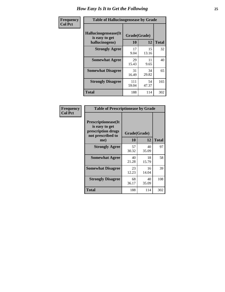| <b>Frequency</b> | <b>Table of Hallucinogensease by Grade</b>               |                    |             |              |  |  |  |  |  |  |
|------------------|----------------------------------------------------------|--------------------|-------------|--------------|--|--|--|--|--|--|
| <b>Col Pct</b>   | Hallucinogensease(It<br>is easy to get<br>hallucinogens) | Grade(Grade)<br>10 | 12          | <b>Total</b> |  |  |  |  |  |  |
|                  | <b>Strongly Agree</b>                                    | 17<br>9.04         | 15<br>13.16 | 32           |  |  |  |  |  |  |
|                  | <b>Somewhat Agree</b>                                    | 29<br>15.43        | 11<br>9.65  | 40           |  |  |  |  |  |  |
|                  | <b>Somewhat Disagree</b>                                 | 31<br>16.49        | 34<br>29.82 | 65           |  |  |  |  |  |  |
|                  | <b>Strongly Disagree</b>                                 | 111<br>59.04       | 54<br>47.37 | 165          |  |  |  |  |  |  |
|                  | <b>Total</b>                                             | 188                | 114         | 302          |  |  |  |  |  |  |

| Frequency<br>Col Pct |
|----------------------|
|                      |

| <b>Table of Prescriptionease by Grade</b>                                                |             |              |              |  |  |  |  |  |  |  |
|------------------------------------------------------------------------------------------|-------------|--------------|--------------|--|--|--|--|--|--|--|
| <b>Prescriptionease</b> (It<br>is easy to get<br>prescription drugs<br>not prescribed to |             | Grade(Grade) |              |  |  |  |  |  |  |  |
| me)                                                                                      | 10          | 12           | <b>Total</b> |  |  |  |  |  |  |  |
| <b>Strongly Agree</b>                                                                    | 57<br>30.32 | 40<br>35.09  | 97           |  |  |  |  |  |  |  |
| <b>Somewhat Agree</b>                                                                    | 40<br>21.28 | 18<br>15.79  | 58           |  |  |  |  |  |  |  |
| <b>Somewhat Disagree</b>                                                                 | 23<br>12.23 | 16<br>14.04  | 39           |  |  |  |  |  |  |  |
| <b>Strongly Disagree</b>                                                                 | 68<br>36.17 | 40<br>35.09  | 108          |  |  |  |  |  |  |  |
| Total                                                                                    | 188         | 114          | 302          |  |  |  |  |  |  |  |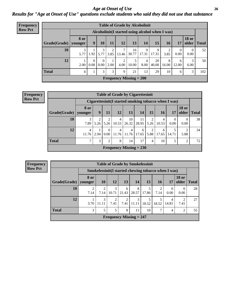#### *Age at Onset of Use* **26** *Results for "Age at Onset of Use" questions exclude students who said they did not use that substance*

| <b>Frequency</b> | <b>Table of Grade by Alcoholinit</b> |                        |                                                  |                  |           |           |                           |                      |                      |            |                  |                       |              |
|------------------|--------------------------------------|------------------------|--------------------------------------------------|------------------|-----------|-----------|---------------------------|----------------------|----------------------|------------|------------------|-----------------------|--------------|
| <b>Row Pct</b>   |                                      |                        | Alcoholinit (I started using alcohol when I was) |                  |           |           |                           |                      |                      |            |                  |                       |              |
|                  | Grade(Grade)                         | <b>8 or</b><br>younger | 9                                                | 10               | 11        | 12        | 13                        | 14                   | 15                   | 16         | 17               | <b>18 or</b><br>older | <b>Total</b> |
|                  | 10                                   | 3<br>5.77              | 1.92                                             | 3<br>5.77        | ∍<br>3.85 | 13.46     | 16                        | 9<br>$30.77$   17.31 | $\mathbf Q$<br>17.31 | 3.85       | $\Omega$<br>0.00 | $\Omega$<br>0.00      | 52           |
|                  | 12                                   | 2.00                   | $\Omega$<br>0.00 <sub>l</sub>                    | $\Omega$<br>0.00 | 2.00      | 2<br>4.00 | 5<br>10.00                | 4<br>8.00            | 20<br>40.00          | 8<br>16.00 | 6<br>12.00       | 3<br>6.00             | 50           |
|                  | <b>Total</b>                         | 4                      |                                                  | 3                | 3         | 9         | 21                        | 13                   | 29                   | 10         | 6                | 3                     | 102          |
|                  |                                      |                        |                                                  |                  |           |           | Frequency Missing $= 200$ |                      |                      |            |                  |                       |              |

#### **Frequency Row Pct**

| <b>Table of Grade by Cigarettesinit</b> |                                                      |           |                                  |                           |            |                       |                |            |       |                       |              |
|-----------------------------------------|------------------------------------------------------|-----------|----------------------------------|---------------------------|------------|-----------------------|----------------|------------|-------|-----------------------|--------------|
|                                         | Cigarettesinit(I started smoking tobacco when I was) |           |                                  |                           |            |                       |                |            |       |                       |              |
| Grade(Grade)   younger                  | 8 or                                                 | 9         | 11                               | 12                        | 13         | 14                    | <b>15</b>      | <b>16</b>  | 17    | <b>18 or</b><br>older | <b>Total</b> |
| 10                                      | 3<br>7.89                                            | 2<br>5.26 | $\overline{\mathcal{L}}$<br>5.26 | $\overline{4}$<br>10.53   | 10         | 11<br>$26.32$   28.95 | 2<br>5.26      | 4<br>10.53 | 0.00  | $\Omega$<br>0.00      | 38           |
| 12                                      | 4<br>11.76                                           | 2.94      | 0<br>0.00                        | 4<br>11.76                | 4<br>11.76 | 6<br>17.65            | 2<br>5.88      | 6<br>17.65 | 14.71 | 5.88                  | 34           |
| Total                                   | 7                                                    | 3         | 2                                | 8                         | 14         | 17                    | $\overline{4}$ | 10         | 5     | $\overline{c}$        | 72           |
|                                         |                                                      |           |                                  | Frequency Missing $= 230$ |            |                       |                |            |       |                       |              |

**Frequency Row Pct**

|                        | <b>Table of Grade by Smokelessinit</b>              |            |                        |                           |            |            |       |            |                       |              |  |  |  |
|------------------------|-----------------------------------------------------|------------|------------------------|---------------------------|------------|------------|-------|------------|-----------------------|--------------|--|--|--|
|                        | Smokelessinit(I started chewing tobacco when I was) |            |                        |                           |            |            |       |            |                       |              |  |  |  |
| Grade(Grade)   younger | 8 or                                                | <b>10</b>  | 12                     | 13                        | 14         | 15         | 16    | 17         | <b>18</b> or<br>older | <b>Total</b> |  |  |  |
| 10                     | 7.14                                                | 7.14       | 3<br>10.71             | 6<br>21.43                | 8<br>28.57 | 5<br>17.86 | 7.14  | 0<br>0.00  | 0.00                  | 28           |  |  |  |
| 12                     | 3.70                                                | 3<br>11.11 | $\overline{2}$<br>7.41 | $\overline{2}$<br>7.41    | 3<br>11.11 | 5<br>18.52 | 18.52 | 4<br>14.81 | ∍<br>7.41             | 27           |  |  |  |
| <b>Total</b>           | 3                                                   | 5          | 5                      | 8                         | 11         | 10         |       | 4          | $\overline{2}$        | 55           |  |  |  |
|                        |                                                     |            |                        | Frequency Missing $= 247$ |            |            |       |            |                       |              |  |  |  |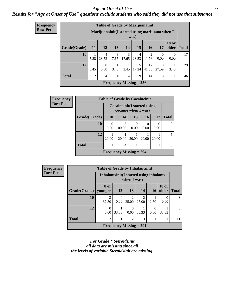#### *Age at Onset of Use* **27**

### *Results for "Age at Onset of Use" questions exclude students who said they did not use that substance*

| <b>Frequency</b> |
|------------------|
| <b>Row Pct</b>   |

| <b>Table of Grade by Marijuanainit</b> |                                                        |                         |                |                           |            |                         |            |                       |              |  |  |  |
|----------------------------------------|--------------------------------------------------------|-------------------------|----------------|---------------------------|------------|-------------------------|------------|-----------------------|--------------|--|--|--|
|                                        | Marijuanainit(I started using marijuana when I<br>was) |                         |                |                           |            |                         |            |                       |              |  |  |  |
| Grade(Grade)                           | <b>11</b>                                              | <b>12</b>               | 13             | 14                        | 15         | 16                      | 17         | <b>18 or</b><br>older | <b>Total</b> |  |  |  |
| 10                                     | 5.88                                                   | $\overline{4}$<br>23.53 | 3<br>17.65     | 3<br>17.65                | 4<br>23.53 | $\mathfrak{D}$<br>11.76 | 0<br>0.00  | $\Omega$<br>0.00      | 17           |  |  |  |
| 12                                     | 3.45                                                   | 0<br>0.00               | 3.45           | 3.45                      | 5<br>17.24 | 12<br>41.38             | 8<br>27.59 | 3.45                  | 29           |  |  |  |
| <b>Total</b>                           | $\overline{2}$                                         | 4                       | $\overline{4}$ | $\overline{\mathcal{A}}$  | 9          | 14                      | 8          |                       | 46           |  |  |  |
|                                        |                                                        |                         |                | Frequency Missing $= 256$ |            |                         |            |                       |              |  |  |  |

| Frequency      |              | <b>Table of Grade by Cocaineinit</b> |                                |           |                          |                  |                |
|----------------|--------------|--------------------------------------|--------------------------------|-----------|--------------------------|------------------|----------------|
| <b>Row Pct</b> |              | Cocaineinit (I started using         |                                |           |                          |                  |                |
|                | Grade(Grade) | <b>10</b>                            | 14                             | 15        | 16                       | 17               | <b>Total</b>   |
|                | 10           | $\theta$<br>0.00                     | 3<br>100.00                    | 0<br>0.00 | $\left( \right)$<br>0.00 | $\Omega$<br>0.00 |                |
|                | 12           | 20.00                                | 20.00                          | 20.00     | 20.00                    | 20.00            | $\overline{5}$ |
|                | <b>Total</b> |                                      | 4                              |           |                          |                  |                |
|                |              |                                      | <b>Frequency Missing = 294</b> |           |                          |                  |                |

| <b>Frequency</b> |              | <b>Table of Grade by Inhalantsinit</b> |                                                        |                           |                         |                  |                       |              |  |  |
|------------------|--------------|----------------------------------------|--------------------------------------------------------|---------------------------|-------------------------|------------------|-----------------------|--------------|--|--|
| <b>Row Pct</b>   |              |                                        | Inhalantsinit(I started using inhalants<br>when I was) |                           |                         |                  |                       |              |  |  |
|                  | Grade(Grade) | <b>8 or</b><br>vounger                 | 12                                                     | 13                        | 14                      | <b>16</b>        | <b>18 or</b><br>older | <b>Total</b> |  |  |
|                  | 10           | 3<br>37.50                             | 0<br>0.00                                              | $\overline{2}$<br>25.00   | $\overline{c}$<br>25.00 | 12.50            | $\left($<br>0.00      | 8            |  |  |
|                  | 12           | 0.00                                   | 33.33                                                  | $\Omega$<br>0.00          | 33.33                   | $\theta$<br>0.00 | 33.33                 | 3            |  |  |
|                  | <b>Total</b> | 3                                      | 3<br>2                                                 |                           |                         |                  |                       |              |  |  |
|                  |              |                                        |                                                        | Frequency Missing $= 291$ |                         |                  |                       |              |  |  |

*For Grade \* Steroidsinit all data are missing since all the levels of variable Steroidsinit are missing.*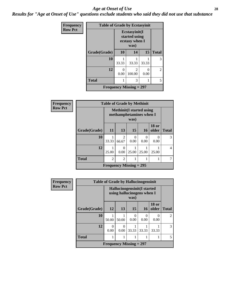#### *Age at Onset of Use* **28**

*Results for "Age at Onset of Use" questions exclude students who said they did not use that substance*

| Frequency      |              | <b>Table of Grade by Ecstasyinit</b> |                                                          |           |                |  |  |
|----------------|--------------|--------------------------------------|----------------------------------------------------------|-----------|----------------|--|--|
| <b>Row Pct</b> |              |                                      | Ecstasyinit(I<br>started using<br>ecstasy when I<br>was) |           |                |  |  |
|                | Grade(Grade) | 10                                   | 14                                                       | 15        | <b>Total</b>   |  |  |
|                | 10           | 33.33                                | 33.33                                                    | 33.33     | 3              |  |  |
|                | 12           | 0<br>0.00                            | $\overline{2}$<br>100.00                                 | 0<br>0.00 | $\overline{2}$ |  |  |
|                | <b>Total</b> |                                      | 3                                                        |           | 5              |  |  |
|                |              |                                      | <b>Frequency Missing = 297</b>                           |           |                |  |  |

| <b>Frequency</b> |              | <b>Table of Grade by Methinit</b> |                                                                     |           |                  |                           |              |
|------------------|--------------|-----------------------------------|---------------------------------------------------------------------|-----------|------------------|---------------------------|--------------|
| <b>Row Pct</b>   |              |                                   | <b>Methinit</b> (I started using<br>methamphetamines when I<br>was) |           |                  |                           |              |
|                  | Grade(Grade) | <b>11</b>                         | 13                                                                  | <b>15</b> | <b>16</b>        | <b>18 or</b><br>older     | <b>Total</b> |
|                  | 10           | 33.33                             | $\overline{2}$<br>66.67                                             | 0<br>0.00 | $\theta$<br>0.00 | $\mathbf{\Omega}$<br>0.00 | 3            |
|                  | 12           | 25.00                             | 0<br>$0.00\,$                                                       | 25.00     | 25.00            | 25.00                     | 4            |
|                  | <b>Total</b> | $\mathfrak{D}$                    | $\overline{2}$                                                      |           |                  |                           |              |
|                  |              | Frequency Missing $= 295$         |                                                                     |           |                  |                           |              |

| <b>Frequency</b> |              | <b>Table of Grade by Hallucinogensinit</b> |                  |                  |                                                           |                       |                |
|------------------|--------------|--------------------------------------------|------------------|------------------|-----------------------------------------------------------|-----------------------|----------------|
| <b>Row Pct</b>   |              |                                            |                  | was)             | Hallucinogensinit(I started<br>using hallucinogens when I |                       |                |
|                  | Grade(Grade) | 12                                         | 13               | 15               | <b>16</b>                                                 | <b>18 or</b><br>older | <b>Total</b>   |
|                  | 10           | 50.00                                      | 50.00            | $\Omega$<br>0.00 | $\Omega$<br>0.00                                          | 0<br>0.00             | $\overline{2}$ |
|                  | 12           | 0<br>0.00                                  | $\Omega$<br>0.00 | 33.33            | 33.33                                                     | 33.33                 | 3              |
|                  | <b>Total</b> |                                            |                  |                  |                                                           |                       | 5              |
|                  |              | Frequency Missing $= 297$                  |                  |                  |                                                           |                       |                |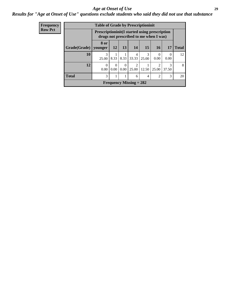#### *Age at Onset of Use* **29**

### *Results for "Age at Onset of Use" questions exclude students who said they did not use that substance*

| Frequency      | <b>Table of Grade by Prescriptioninit</b>                                                      |                 |                  |                  |                           |                |                        |                        |              |
|----------------|------------------------------------------------------------------------------------------------|-----------------|------------------|------------------|---------------------------|----------------|------------------------|------------------------|--------------|
| <b>Row Pct</b> | <b>Prescriptioninit(I started using prescription</b><br>drugs not prescribed to me when I was) |                 |                  |                  |                           |                |                        |                        |              |
|                | Grade(Grade)                                                                                   | 8 or<br>younger | <b>12</b>        | <b>13</b>        | 14                        | 15             | <b>16</b>              | 17                     | <b>Total</b> |
|                | 10                                                                                             | 3<br>25.00      | 8.33             | 8.33             | 4<br>33.33                | 3<br>25.00     | $\Omega$<br>0.00       | $\Omega$<br>0.00       | 12           |
|                | 12                                                                                             | 0<br>0.00       | $\Omega$<br>0.00 | $\Omega$<br>0.00 | $\mathfrak{D}$<br>25.00   | 12.50          | $\mathcal{D}$<br>25.00 | $\mathcal{R}$<br>37.50 | 8            |
|                | <b>Total</b>                                                                                   | 3               | 1                |                  | 6                         | $\overline{4}$ | $\mathcal{D}$          | 3                      | 20           |
|                |                                                                                                |                 |                  |                  | Frequency Missing $= 282$ |                |                        |                        |              |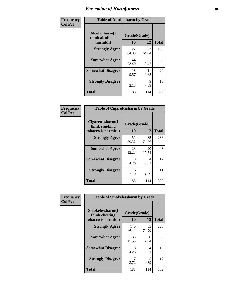| Frequency      | <b>Table of Alcoholharm by Grade</b>          |                    |             |              |  |
|----------------|-----------------------------------------------|--------------------|-------------|--------------|--|
| <b>Col Pct</b> | Alcoholharm(I<br>think alcohol is<br>harmful) | Grade(Grade)<br>10 | 12          | <b>Total</b> |  |
|                | <b>Strongly Agree</b>                         | 122<br>64.89       | 73<br>64.04 | 195          |  |
|                | <b>Somewhat Agree</b>                         | 44<br>23.40        | 21<br>18.42 | 65           |  |
|                | <b>Somewhat Disagree</b>                      | 18<br>9.57         | 11<br>9.65  | 29           |  |
|                | <b>Strongly Disagree</b>                      | 4<br>2.13          | 9<br>7.89   | 13           |  |
|                | <b>Total</b>                                  | 188                | 114         | 302          |  |

|                                                          |                    | <b>Table of Cigarettesharm by Grade</b> |              |  |  |  |  |
|----------------------------------------------------------|--------------------|-----------------------------------------|--------------|--|--|--|--|
| Cigarettesharm(I<br>think smoking<br>tobacco is harmful) | Grade(Grade)<br>10 | 12                                      | <b>Total</b> |  |  |  |  |
| <b>Strongly Agree</b>                                    | 151<br>80.32       | 85<br>74.56                             | 236          |  |  |  |  |
| <b>Somewhat Agree</b>                                    | 23<br>12.23        | 20<br>17.54                             | 43           |  |  |  |  |
| <b>Somewhat Disagree</b>                                 | 8<br>4.26          | 4<br>3.51                               | 12           |  |  |  |  |
| <b>Strongly Disagree</b>                                 | 6<br>3.19          | 5<br>4.39                               | 11           |  |  |  |  |
| <b>Total</b>                                             | 188                | 114                                     | 302          |  |  |  |  |

| Frequency      | <b>Table of Smokelessharm by Grade</b>                  |              |                    |              |
|----------------|---------------------------------------------------------|--------------|--------------------|--------------|
| <b>Col Pct</b> | Smokelessharm(I<br>think chewing<br>tobacco is harmful) | 10           | Grade(Grade)<br>12 | <b>Total</b> |
|                | <b>Strongly Agree</b>                                   | 140<br>74.47 | 85<br>74.56        | 225          |
|                | <b>Somewhat Agree</b>                                   | 33<br>17.55  | 20<br>17.54        | 53           |
|                | <b>Somewhat Disagree</b>                                | 8<br>4.26    | 4<br>3.51          | 12           |
|                | <b>Strongly Disagree</b>                                | 3.72         | 5<br>4.39          | 12           |
|                | <b>Total</b>                                            | 188          | 114                | 302          |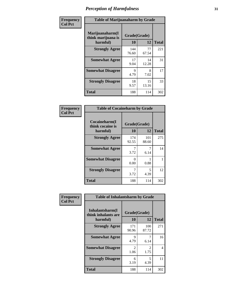| Frequency      |                                                   | <b>Table of Marijuanaharm by Grade</b> |             |              |  |  |
|----------------|---------------------------------------------------|----------------------------------------|-------------|--------------|--|--|
| <b>Col Pct</b> | Marijuanaharm(I<br>think marijuana is<br>harmful) | Grade(Grade)<br>10                     | 12          | <b>Total</b> |  |  |
|                | <b>Strongly Agree</b>                             | 144<br>76.60                           | 77<br>67.54 | 221          |  |  |
|                | <b>Somewhat Agree</b>                             | 17<br>9.04                             | 14<br>12.28 | 31           |  |  |
|                | <b>Somewhat Disagree</b>                          | 9<br>4.79                              | 8<br>7.02   | 17           |  |  |
|                | <b>Strongly Disagree</b>                          | 18<br>9.57                             | 15<br>13.16 | 33           |  |  |
|                | <b>Total</b>                                      | 188                                    | 114         | 302          |  |  |

|                                               | <b>Table of Cocaineharm by Grade</b> |                    |     |  |  |  |  |
|-----------------------------------------------|--------------------------------------|--------------------|-----|--|--|--|--|
| Cocaineharm(I<br>think cocaine is<br>harmful) | 10                                   | Grade(Grade)<br>12 |     |  |  |  |  |
| <b>Strongly Agree</b>                         | 174<br>92.55                         | 101<br>88.60       | 275 |  |  |  |  |
| <b>Somewhat Agree</b>                         | 7<br>3.72                            | 7<br>6.14          | 14  |  |  |  |  |
| <b>Somewhat Disagree</b>                      | 0<br>0.00                            | 0.88               |     |  |  |  |  |
| <b>Strongly Disagree</b>                      | 7<br>3.72                            | 5<br>4.39          | 12  |  |  |  |  |
| <b>Total</b>                                  | 188                                  | 114                | 302 |  |  |  |  |

| Frequency      | <b>Table of Inhalantsharm by Grade</b>  |                        |                        |              |
|----------------|-----------------------------------------|------------------------|------------------------|--------------|
| <b>Col Pct</b> | Inhalantsharm(I)<br>think inhalants are | Grade(Grade)           |                        |              |
|                | harmful)                                | 10                     | 12                     | <b>Total</b> |
|                | <b>Strongly Agree</b>                   | 171<br>90.96           | 100<br>87.72           | 271          |
|                | <b>Somewhat Agree</b>                   | 9<br>4.79              | 6.14                   | 16           |
|                | <b>Somewhat Disagree</b>                | $\mathfrak{D}$<br>1.06 | $\mathfrak{D}$<br>1.75 | 4            |
|                | <b>Strongly Disagree</b>                | 6<br>3.19              | 5<br>4.39              | 11           |
|                | <b>Total</b>                            | 188                    | 114                    | 302          |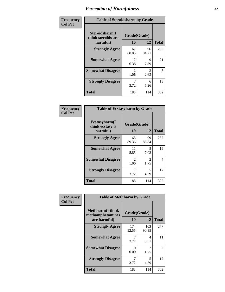| Frequency      | <b>Table of Steroidsharm by Grade</b>            |                                     |             |              |  |
|----------------|--------------------------------------------------|-------------------------------------|-------------|--------------|--|
| <b>Col Pct</b> | Steroidsharm(I<br>think steroids are<br>harmful) | Grade(Grade)<br>10                  | 12          | <b>Total</b> |  |
|                | <b>Strongly Agree</b>                            | 167<br>88.83                        | 96<br>84.21 | 263          |  |
|                | <b>Somewhat Agree</b>                            | 12<br>6.38                          | 9<br>7.89   | 21           |  |
|                | <b>Somewhat Disagree</b>                         | $\mathcal{D}_{\mathcal{L}}$<br>1.06 | 3<br>2.63   | 5            |  |
|                | <b>Strongly Disagree</b>                         | 3.72                                | 6<br>5.26   | 13           |  |
|                | <b>Total</b>                                     | 188                                 | 114         | 302          |  |

| <b>Table of Ecstasyharm by Grade</b>          |                    |                        |     |  |  |  |
|-----------------------------------------------|--------------------|------------------------|-----|--|--|--|
| Ecstasyharm(I<br>think ecstasy is<br>harmful) | Grade(Grade)<br>10 | <b>Total</b>           |     |  |  |  |
| <b>Strongly Agree</b>                         | 168<br>89.36       | 99<br>86.84            | 267 |  |  |  |
| <b>Somewhat Agree</b>                         | 11<br>5.85         | 8<br>7.02              | 19  |  |  |  |
| <b>Somewhat Disagree</b>                      | 2<br>1.06          | $\mathfrak{D}$<br>1.75 | 4   |  |  |  |
| <b>Strongly Disagree</b>                      | 7<br>3.72          | 5<br>4.39              | 12  |  |  |  |
| Total                                         | 188                | 114                    | 302 |  |  |  |

| Frequency      | <b>Table of Methharm by Grade</b>                            |                    |              |              |  |
|----------------|--------------------------------------------------------------|--------------------|--------------|--------------|--|
| <b>Col Pct</b> | <b>Methharm</b> (I think<br>methamphetamines<br>are harmful) | Grade(Grade)<br>10 | 12           | <b>Total</b> |  |
|                | <b>Strongly Agree</b>                                        | 174<br>92.55       | 103<br>90.35 | 277          |  |
|                | <b>Somewhat Agree</b>                                        | 3.72               | 4<br>3.51    | 11           |  |
|                | <b>Somewhat Disagree</b>                                     | 0<br>0.00          | 2<br>1.75    | 2            |  |
|                | <b>Strongly Disagree</b>                                     | 3.72               | 5<br>4.39    | 12           |  |
|                | <b>Total</b>                                                 | 188                | 114          | 302          |  |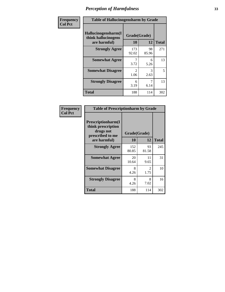| Frequency | <b>Table of Hallucinogensharm by Grade</b>                 |                       |             |              |  |
|-----------|------------------------------------------------------------|-----------------------|-------------|--------------|--|
| Col Pct   | Hallucinogensharm(I<br>think hallucinogens<br>are harmful) | Grade(Grade)<br>10    | 12          | <b>Total</b> |  |
|           | <b>Strongly Agree</b>                                      | 173<br>92.02          | 98<br>85.96 | 271          |  |
|           | <b>Somewhat Agree</b>                                      | 3.72                  | 6<br>5.26   | 13           |  |
|           | <b>Somewhat Disagree</b>                                   | $\mathcal{L}$<br>1.06 | 3<br>2.63   | 5            |  |
|           | <b>Strongly Disagree</b>                                   | 6<br>3.19             | 6.14        | 13           |  |
|           | <b>Total</b>                                               | 188                   | 114         | 302          |  |

| <b>Table of Prescriptionharm by Grade</b>                                         |              |                        |              |  |  |
|-----------------------------------------------------------------------------------|--------------|------------------------|--------------|--|--|
| <b>Prescriptionharm</b> (I<br>think prescription<br>drugs not<br>prescribed to me | Grade(Grade) |                        |              |  |  |
| are harmful)                                                                      | 10           | 12                     | <b>Total</b> |  |  |
| <b>Strongly Agree</b>                                                             | 152<br>80.85 | 93<br>81.58            | 245          |  |  |
| <b>Somewhat Agree</b>                                                             | 20<br>10.64  | 11<br>9.65             | 31           |  |  |
| <b>Somewhat Disagree</b>                                                          | 8<br>4.26    | $\mathfrak{D}$<br>1.75 | 10           |  |  |
| <b>Strongly Disagree</b>                                                          | 8<br>4.26    | 8<br>7.02              | 16           |  |  |
| <b>Total</b>                                                                      | 188          | 114                    | 302          |  |  |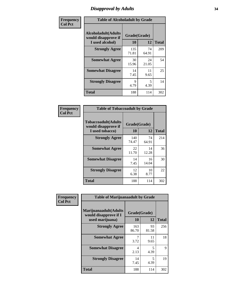# *Disapproval by Adults* **34**

| Frequency      | <b>Table of Alcoholadult by Grade</b>                                 |                    |             |              |  |
|----------------|-----------------------------------------------------------------------|--------------------|-------------|--------------|--|
| <b>Col Pct</b> | <b>Alcoholadult</b> (Adults<br>would disapprove if<br>I used alcohol) | Grade(Grade)<br>10 | 12          | <b>Total</b> |  |
|                | <b>Strongly Agree</b>                                                 | 135<br>71.81       | 74<br>64.91 | 209          |  |
|                | <b>Somewhat Agree</b>                                                 | 30<br>15.96        | 24<br>21.05 | 54           |  |
|                | <b>Somewhat Disagree</b>                                              | 14<br>7.45         | 11<br>9.65  | 25           |  |
|                | <b>Strongly Disagree</b>                                              | 9<br>4.79          | 5<br>4.39   | 14           |  |
|                | <b>Total</b>                                                          | 188                | 114         | 302          |  |

| <b>Table of Tobaccoadult by Grade</b>                                                            |              |             |     |  |  |  |
|--------------------------------------------------------------------------------------------------|--------------|-------------|-----|--|--|--|
| <b>Tobaccoadult(Adults</b><br>Grade(Grade)<br>would disapprove if<br>10<br>12<br>I used tobacco) |              |             |     |  |  |  |
| <b>Strongly Agree</b>                                                                            | 140<br>74.47 | 74<br>64.91 | 214 |  |  |  |
| <b>Somewhat Agree</b>                                                                            | 22<br>11.70  | 14<br>12.28 | 36  |  |  |  |
| <b>Somewhat Disagree</b>                                                                         | 14<br>7.45   | 16<br>14.04 | 30  |  |  |  |
| <b>Strongly Disagree</b>                                                                         | 12<br>6.38   | 10<br>8.77  | 22  |  |  |  |
| <b>Total</b>                                                                                     | 188          | 114         | 302 |  |  |  |

| Frequency      | <b>Table of Marijuanaadult by Grade</b>                           |                    |             |              |  |
|----------------|-------------------------------------------------------------------|--------------------|-------------|--------------|--|
| <b>Col Pct</b> | Marijuanaadult(Adults<br>would disapprove if I<br>used marijuana) | Grade(Grade)<br>10 | 12          | <b>Total</b> |  |
|                | <b>Strongly Agree</b>                                             | 163<br>86.70       | 93<br>81.58 | 256          |  |
|                | <b>Somewhat Agree</b>                                             | 3.72               | 11<br>9.65  | 18           |  |
|                | <b>Somewhat Disagree</b>                                          | 4<br>2.13          | 5<br>4.39   | 9            |  |
|                | <b>Strongly Disagree</b>                                          | 14<br>7.45         | 5<br>4.39   | 19           |  |
|                | <b>Total</b>                                                      | 188                | 114         | 302          |  |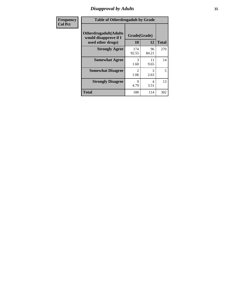# *Disapproval by Adults* **35**

| Frequency      | <b>Table of Otherdrugadult by Grade</b>                                     |                       |             |              |  |
|----------------|-----------------------------------------------------------------------------|-----------------------|-------------|--------------|--|
| <b>Col Pct</b> | <b>Otherdrugadult</b> (Adults<br>would disapprove if I<br>used other drugs) | Grade(Grade)<br>10    | 12          | <b>Total</b> |  |
|                | <b>Strongly Agree</b>                                                       | 174<br>92.55          | 96<br>84.21 | 270          |  |
|                | <b>Somewhat Agree</b>                                                       | $\mathcal{R}$<br>1.60 | 11<br>9.65  | 14           |  |
|                | <b>Somewhat Disagree</b>                                                    | 2<br>1.06             | 3<br>2.63   | 5            |  |
|                | <b>Strongly Disagree</b>                                                    | 9<br>4.79             | 4<br>3.51   | 13           |  |
|                | <b>Total</b>                                                                | 188                   | 114         | 302          |  |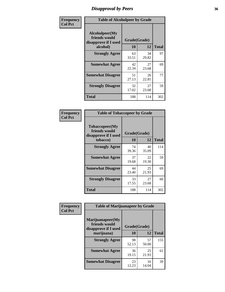# *Disapproval by Peers* **36**

| Frequency      | <b>Table of Alcoholpeer by Grade</b>                    |              |             |              |  |
|----------------|---------------------------------------------------------|--------------|-------------|--------------|--|
| <b>Col Pct</b> | Alcoholpeer(My<br>friends would<br>disapprove if I used | Grade(Grade) |             |              |  |
|                | alcohol)                                                | 10           | 12          | <b>Total</b> |  |
|                | <b>Strongly Agree</b>                                   | 63<br>33.51  | 34<br>29.82 | 97           |  |
|                | <b>Somewhat Agree</b>                                   | 42<br>22.34  | 27<br>23.68 | 69           |  |
|                | <b>Somewhat Disagree</b>                                | 51<br>27.13  | 26<br>22.81 | 77           |  |
|                | <b>Strongly Disagree</b>                                | 32<br>17.02  | 27<br>23.68 | 59           |  |
|                | Total                                                   | 188          | 114         | 302          |  |

| Frequency      | <b>Table of Tobaccopeer by Grade</b>                                |                    |             |              |  |
|----------------|---------------------------------------------------------------------|--------------------|-------------|--------------|--|
| <b>Col Pct</b> | Tobaccopeer(My<br>friends would<br>disapprove if I used<br>tobacco) | Grade(Grade)<br>10 | 12          | <b>Total</b> |  |
|                | <b>Strongly Agree</b>                                               | 74                 | 40          | 114          |  |
|                |                                                                     | 39.36              | 35.09       |              |  |
|                | <b>Somewhat Agree</b>                                               | 37<br>19.68        | 22<br>19.30 | 59           |  |
|                | <b>Somewhat Disagree</b>                                            | 44<br>23.40        | 25<br>21.93 | 69           |  |
|                | <b>Strongly Disagree</b>                                            | 33<br>17.55        | 27<br>23.68 | 60           |  |
|                | Total                                                               | 188                | 114         | 302          |  |

| Frequency      | <b>Table of Marijuanapeer by Grade</b>                    |              |             |              |  |
|----------------|-----------------------------------------------------------|--------------|-------------|--------------|--|
| <b>Col Pct</b> | Marijuanapeer(My<br>friends would<br>disapprove if I used | Grade(Grade) |             |              |  |
|                | marijuana)                                                | 10           | 12          | <b>Total</b> |  |
|                | <b>Strongly Agree</b>                                     | 98<br>52.13  | 57<br>50.00 | 155          |  |
|                | <b>Somewhat Agree</b>                                     | 36<br>19.15  | 25<br>21.93 | 61           |  |
|                | <b>Somewhat Disagree</b>                                  | 23<br>12.23  | 16<br>14.04 | 39           |  |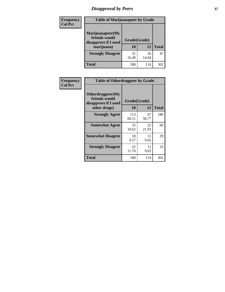# *Disapproval by Peers* **37**

| <b>Frequency</b> | <b>Table of Marijuanapeer by Grade</b>                                  |                    |             |              |
|------------------|-------------------------------------------------------------------------|--------------------|-------------|--------------|
| <b>Col Pct</b>   | Marijuanapeer(My<br>friends would<br>disapprove if I used<br>marijuana) | Grade(Grade)<br>10 | 12          | <b>Total</b> |
|                  | <b>Strongly Disagree</b>                                                | 31<br>16.49        | 16<br>14.04 | 47           |
|                  | Total                                                                   | 188                | 114         | 302          |

| Frequency      | <b>Table of Otherdrugpeer by Grade</b>                                    |                    |             |              |  |
|----------------|---------------------------------------------------------------------------|--------------------|-------------|--------------|--|
| <b>Col Pct</b> | Otherdrugpeer(My<br>friends would<br>disapprove if I used<br>other drugs) | Grade(Grade)<br>10 | 12          | <b>Total</b> |  |
|                | <b>Strongly Agree</b>                                                     | 113<br>60.11       | 67<br>58.77 | 180          |  |
|                | <b>Somewhat Agree</b>                                                     | 35<br>18.62        | 25<br>21.93 | 60           |  |
|                | <b>Somewhat Disagree</b>                                                  | 18<br>9.57         | 11<br>9.65  | 29           |  |
|                | <b>Strongly Disagree</b>                                                  | 22<br>11.70        | 11<br>9.65  | 33           |  |
|                | <b>Total</b>                                                              | 188                | 114         | 302          |  |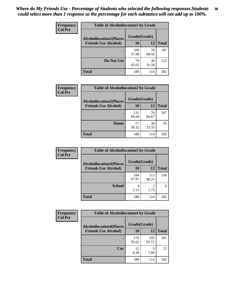| Frequency<br><b>Col Pct</b> | <b>Table of Alcohollocation1 by Grade</b> |              |             |              |  |
|-----------------------------|-------------------------------------------|--------------|-------------|--------------|--|
|                             | <b>Alcohollocation1(Places</b>            | Grade(Grade) |             |              |  |
|                             | <b>Friends Use Alcohol)</b>               | 10           | 12          | <b>Total</b> |  |
|                             |                                           | 109<br>57.98 | 78<br>68.42 | 187          |  |
|                             | Do Not Use                                | 79<br>42.02  | 36<br>31.58 | 115          |  |
|                             | <b>Total</b>                              | 188          | 114         | 302          |  |

| Frequency      | <b>Table of Alcohollocation2 by Grade</b>                     |                    |             |              |
|----------------|---------------------------------------------------------------|--------------------|-------------|--------------|
| <b>Col Pct</b> | <b>Alcohollocation2(Places</b><br><b>Friends Use Alcohol)</b> | Grade(Grade)<br>10 | <b>12</b>   | <b>Total</b> |
|                |                                                               | 131<br>69.68       | 76<br>66.67 | 207          |
|                | Home                                                          | 57<br>30.32        | 38<br>33.33 | 95           |
|                | <b>Total</b>                                                  | 188                | 114         | 302          |

| Frequency<br><b>Col Pct</b> | <b>Table of Alcohollocation 3 by Grade</b>                    |                    |              |              |
|-----------------------------|---------------------------------------------------------------|--------------------|--------------|--------------|
|                             | <b>Alcohollocation3(Places</b><br><b>Friends Use Alcohol)</b> | Grade(Grade)<br>10 | 12           | <b>Total</b> |
|                             |                                                               | 184<br>97.87       | 112<br>98.25 | 296          |
|                             | <b>School</b>                                                 | 4<br>2.13          | 2<br>1.75    | 6            |
|                             | <b>Total</b>                                                  | 188                | 114          | 302          |

| Frequency      | <b>Table of Alcohollocation4 by Grade</b> |              |              |              |  |
|----------------|-------------------------------------------|--------------|--------------|--------------|--|
| <b>Col Pct</b> | <b>Alcohollocation4(Places</b>            | Grade(Grade) |              |              |  |
|                | <b>Friends Use Alcohol)</b>               | 10           | 12           | <b>Total</b> |  |
|                |                                           | 176<br>93.62 | 105<br>92.11 | 281          |  |
|                | Car                                       | 12<br>6.38   | 9<br>7.89    | 21           |  |
|                | <b>Total</b>                              | 188          | 114          | 302          |  |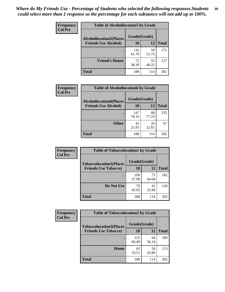| Frequency<br><b>Col Pct</b> | <b>Table of Alcohollocation5 by Grade</b>      |              |             |              |  |
|-----------------------------|------------------------------------------------|--------------|-------------|--------------|--|
|                             | Grade(Grade)<br><b>Alcohollocation5(Places</b> |              |             |              |  |
|                             | <b>Friends Use Alcohol)</b>                    | 10           | 12          | <b>Total</b> |  |
|                             |                                                | 116<br>61.70 | 59<br>51.75 | 175          |  |
|                             | <b>Friend's House</b>                          | 72<br>38.30  | 55<br>48.25 | 127          |  |
|                             | <b>Total</b>                                   | 188          | 114         | 302          |  |

| <b>Frequency</b> | <b>Table of Alcohollocation6 by Grade</b> |              |             |              |
|------------------|-------------------------------------------|--------------|-------------|--------------|
| <b>Col Pct</b>   | <b>Alcohollocation6(Places</b>            | Grade(Grade) |             |              |
|                  | <b>Friends Use Alcohol)</b>               | 10           | 12          | <b>Total</b> |
|                  |                                           | 147<br>78.19 | 88<br>77.19 | 235          |
|                  | <b>Other</b>                              | 41<br>21.81  | 26<br>22.81 | 67           |
|                  | <b>Total</b>                              | 188          | 114         | 302          |

| Frequency      | <b>Table of Tobaccolocation1 by Grade</b> |              |             |              |
|----------------|-------------------------------------------|--------------|-------------|--------------|
| <b>Col Pct</b> | <b>Tobaccolocation1(Places</b>            | Grade(Grade) |             |              |
|                | <b>Friends Use Tobacco)</b>               | 10           | 12          | <b>Total</b> |
|                |                                           | 109<br>57.98 | 73<br>64.04 | 182          |
|                | Do Not Use                                | 79<br>42.02  | 41<br>35.96 | 120          |
|                | <b>Total</b>                              | 188          | 114         | 302          |

| <b>Frequency</b> | <b>Table of Tobaccolocation2 by Grade</b> |              |             |              |  |
|------------------|-------------------------------------------|--------------|-------------|--------------|--|
| <b>Col Pct</b>   | <b>Tobaccolocation2(Places</b>            | Grade(Grade) |             |              |  |
|                  | <b>Friends Use Tobacco)</b>               | 10           | 12          | <b>Total</b> |  |
|                  |                                           | 125<br>66.49 | 64<br>56.14 | 189          |  |
|                  | Home                                      | 63<br>33.51  | 50<br>43.86 | 113          |  |
|                  | <b>Total</b>                              | 188          | 114         | 302          |  |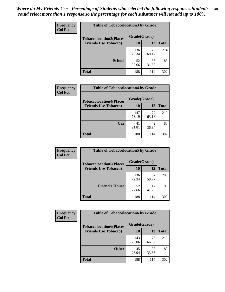| Frequency      | <b>Table of Tobaccolocation 3 by Grade</b> |              |             |              |
|----------------|--------------------------------------------|--------------|-------------|--------------|
| <b>Col Pct</b> | <b>Tobaccolocation3(Places</b>             | Grade(Grade) |             |              |
|                | <b>Friends Use Tobacco)</b>                | 10           | 12          | <b>Total</b> |
|                |                                            | 136<br>72.34 | 78<br>68.42 | 214          |
|                | <b>School</b>                              | 52<br>27.66  | 36<br>31.58 | 88           |
|                | <b>Total</b>                               | 188          | 114         | 302          |

| Frequency      | <b>Table of Tobaccolocation4 by Grade</b> |              |             |              |
|----------------|-------------------------------------------|--------------|-------------|--------------|
| <b>Col Pct</b> | <b>Tobaccolocation4(Places</b>            | Grade(Grade) |             |              |
|                | <b>Friends Use Tobacco)</b>               | 10           | 12          | <b>Total</b> |
|                |                                           | 147<br>78.19 | 72<br>63.16 | 219          |
|                | Car                                       | 41<br>21.81  | 42<br>36.84 | 83           |
|                | <b>Total</b>                              | 188          | 114         | 302          |

| Frequency      | <b>Table of Tobaccolocation5 by Grade</b>                     |                    |             |              |
|----------------|---------------------------------------------------------------|--------------------|-------------|--------------|
| <b>Col Pct</b> | <b>Tobaccolocation5(Places</b><br><b>Friends Use Tobacco)</b> | Grade(Grade)<br>10 | <b>12</b>   | <b>Total</b> |
|                |                                                               |                    |             |              |
|                |                                                               | 136<br>72.34       | 67<br>58.77 | 203          |
|                | <b>Friend's House</b>                                         | 52<br>27.66        | 47<br>41.23 | 99           |
|                | <b>Total</b>                                                  | 188                | 114         | 302          |

| <b>Frequency</b> | <b>Table of Tobaccolocation6 by Grade</b> |              |             |              |  |
|------------------|-------------------------------------------|--------------|-------------|--------------|--|
| <b>Col Pct</b>   | <b>Tobaccolocation6(Places</b>            | Grade(Grade) |             |              |  |
|                  | <b>Friends Use Tobacco)</b>               | 10           | 12          | <b>Total</b> |  |
|                  |                                           | 143<br>76.06 | 76<br>66.67 | 219          |  |
|                  | <b>Other</b>                              | 45<br>23.94  | 38<br>33.33 | 83           |  |
|                  | <b>Total</b>                              | 188          | 114         | 302          |  |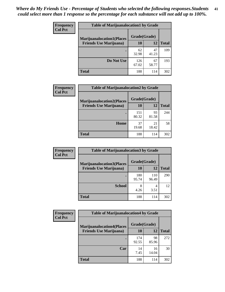| Frequency<br><b>Col Pct</b> | <b>Table of Marijuanalocation1 by Grade</b> |              |             |              |
|-----------------------------|---------------------------------------------|--------------|-------------|--------------|
|                             | <b>Marijuanalocation1(Places</b>            | Grade(Grade) |             |              |
|                             | <b>Friends Use Marijuana</b> )              | 10           | 12          | <b>Total</b> |
|                             |                                             | 62<br>32.98  | 47<br>41.23 | 109          |
|                             | Do Not Use                                  | 126<br>67.02 | 67<br>58.77 | 193          |
|                             | <b>Total</b>                                | 188          | 114         | 302          |

| Frequency      | <b>Table of Marijuanalocation2 by Grade</b> |              |             |              |
|----------------|---------------------------------------------|--------------|-------------|--------------|
| <b>Col Pct</b> | <b>Marijuanalocation2(Places</b>            | Grade(Grade) |             |              |
|                | <b>Friends Use Marijuana</b> )              | 10           | 12          | <b>Total</b> |
|                |                                             | 151<br>80.32 | 93<br>81.58 | 244          |
|                | Home                                        | 37<br>19.68  | 21<br>18.42 | 58           |
|                | <b>Total</b>                                | 188          | 114         | 302          |

| Frequency<br><b>Col Pct</b> | <b>Table of Marijuanalocation3 by Grade</b> |              |       |       |
|-----------------------------|---------------------------------------------|--------------|-------|-------|
|                             | <b>Marijuanalocation3</b> (Places           | Grade(Grade) |       |       |
|                             | <b>Friends Use Marijuana</b> )              | 10           | 12    | Total |
|                             |                                             | 180          | 110   | 290   |
|                             |                                             | 95.74        | 96.49 |       |
|                             | <b>School</b>                               | 8            | 4     | 12    |
|                             |                                             | 4.26         | 3.51  |       |
|                             | <b>Total</b>                                | 188          | 114   | 302   |

| <b>Frequency</b> | <b>Table of Marijuanalocation4 by Grade</b> |              |             |              |  |  |
|------------------|---------------------------------------------|--------------|-------------|--------------|--|--|
| <b>Col Pct</b>   | <b>Marijuanalocation4(Places</b>            | Grade(Grade) |             |              |  |  |
|                  | <b>Friends Use Marijuana</b> )              | <b>10</b>    | 12          | <b>Total</b> |  |  |
|                  |                                             | 174<br>92.55 | 98<br>85.96 | 272          |  |  |
|                  | Car                                         | 14<br>7.45   | 16<br>14.04 | 30           |  |  |
|                  | <b>Total</b>                                | 188          | 114         | 302          |  |  |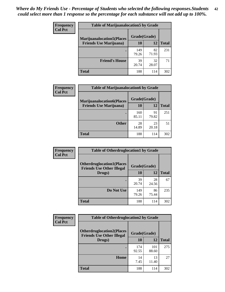| <b>Frequency</b> | <b>Table of Marijuanalocation5 by Grade</b> |              |             |       |
|------------------|---------------------------------------------|--------------|-------------|-------|
| <b>Col Pct</b>   | <b>Marijuanalocation5(Places</b>            | Grade(Grade) |             |       |
|                  | <b>Friends Use Marijuana</b> )              | 10           | 12          | Total |
|                  |                                             | 149<br>79.26 | 82<br>71.93 | 231   |
|                  | <b>Friend's House</b>                       | 39<br>20.74  | 32<br>28.07 | 71    |
|                  | <b>Total</b>                                | 188          | 114         | 302   |

| <b>Frequency</b> | <b>Table of Marijuanalocation6 by Grade</b>                        |                    |             |              |
|------------------|--------------------------------------------------------------------|--------------------|-------------|--------------|
| <b>Col Pct</b>   | <b>Marijuanalocation6(Places</b><br><b>Friends Use Marijuana</b> ) | Grade(Grade)<br>10 | 12          | <b>Total</b> |
|                  |                                                                    | 160<br>85.11       | 91<br>79.82 | 251          |
|                  | <b>Other</b>                                                       | 28<br>14.89        | 23<br>20.18 | 51           |
|                  | <b>Total</b>                                                       | 188                | 114         | 302          |

| <b>Frequency</b> | <b>Table of Otherdruglocation1 by Grade</b>                          |              |             |              |
|------------------|----------------------------------------------------------------------|--------------|-------------|--------------|
| <b>Col Pct</b>   | <b>Otherdruglocation1(Places</b><br><b>Friends Use Other Illegal</b> | Grade(Grade) |             |              |
|                  | Drugs)                                                               | 10           | 12          | <b>Total</b> |
|                  |                                                                      | 39<br>20.74  | 28<br>24.56 | 67           |
|                  | Do Not Use                                                           | 149<br>79.26 | 86<br>75.44 | 235          |
|                  | <b>Total</b>                                                         | 188          | 114         | 302          |

| Frequency      | <b>Table of Otherdruglocation2 by Grade</b>                          |              |              |              |
|----------------|----------------------------------------------------------------------|--------------|--------------|--------------|
| <b>Col Pct</b> | <b>Otherdruglocation2(Places</b><br><b>Friends Use Other Illegal</b> | Grade(Grade) |              |              |
|                | Drugs)                                                               | 10           | 12           | <b>Total</b> |
|                |                                                                      | 174<br>92.55 | 101<br>88.60 | 275          |
|                | Home                                                                 | 14<br>7.45   | 13<br>11.40  | 27           |
|                | <b>Total</b>                                                         | 188          | 114          | 302          |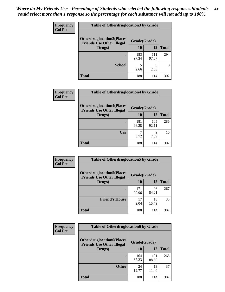| <b>Frequency</b> | <b>Table of Otherdruglocation3 by Grade</b>                          |              |              |              |
|------------------|----------------------------------------------------------------------|--------------|--------------|--------------|
| <b>Col Pct</b>   | <b>Otherdruglocation3(Places</b><br><b>Friends Use Other Illegal</b> | Grade(Grade) |              |              |
|                  | Drugs)                                                               | 10           | 12           | <b>Total</b> |
|                  |                                                                      | 183<br>97.34 | 111<br>97.37 | 294          |
|                  | <b>School</b>                                                        | 5<br>2.66    | 3<br>2.63    | 8            |
|                  | <b>Total</b>                                                         | 188          | 114          | 302          |

| <b>Frequency</b> | <b>Table of Otherdruglocation4 by Grade</b>                          |              |              |              |
|------------------|----------------------------------------------------------------------|--------------|--------------|--------------|
| <b>Col Pct</b>   | <b>Otherdruglocation4(Places</b><br><b>Friends Use Other Illegal</b> | Grade(Grade) |              |              |
|                  | Drugs)                                                               | 10           | 12           | <b>Total</b> |
|                  |                                                                      | 181<br>96.28 | 105<br>92.11 | 286          |
|                  | Car                                                                  | 3.72         | Q<br>7.89    | 16           |
|                  | <b>Total</b>                                                         | 188          | 114          | 302          |

| Frequency      | <b>Table of Otherdruglocation5 by Grade</b>                          |              |             |              |
|----------------|----------------------------------------------------------------------|--------------|-------------|--------------|
| <b>Col Pct</b> | <b>Otherdruglocation5(Places</b><br><b>Friends Use Other Illegal</b> | Grade(Grade) |             |              |
|                | Drugs)                                                               | 10           | 12          | <b>Total</b> |
|                |                                                                      | 171<br>90.96 | 96<br>84.21 | 267          |
|                | <b>Friend's House</b>                                                | 17<br>9.04   | 18<br>15.79 | 35           |
|                | <b>Total</b>                                                         | 188          | 114         | 302          |

| <b>Frequency</b> | <b>Table of Otherdruglocation6 by Grade</b>                          |              |              |              |
|------------------|----------------------------------------------------------------------|--------------|--------------|--------------|
| <b>Col Pct</b>   | <b>Otherdruglocation6(Places</b><br><b>Friends Use Other Illegal</b> | Grade(Grade) |              |              |
|                  | Drugs)                                                               | 10           | 12           | <b>Total</b> |
|                  |                                                                      | 164<br>87.23 | 101<br>88.60 | 265          |
|                  | <b>Other</b>                                                         | 24<br>12.77  | 13<br>11.40  | 37           |
|                  | <b>Total</b>                                                         | 188          | 114          | 302          |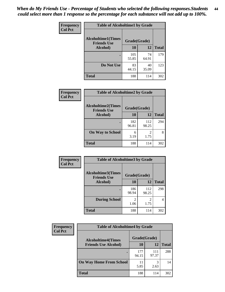| Frequency      | <b>Table of Alcoholtime1 by Grade</b>           |              |             |              |
|----------------|-------------------------------------------------|--------------|-------------|--------------|
| <b>Col Pct</b> | <b>Alcoholtime1(Times</b><br><b>Friends Use</b> | Grade(Grade) |             |              |
|                | Alcohol)                                        | 10           | <b>12</b>   | <b>Total</b> |
|                |                                                 | 105<br>55.85 | 74<br>64.91 | 179          |
|                | Do Not Use                                      | 83<br>44.15  | 40<br>35.09 | 123          |
|                | <b>Total</b>                                    | 188          | 114         | 302          |

| Frequency      | <b>Table of Alcoholtime2 by Grade</b>           |              |              |              |  |
|----------------|-------------------------------------------------|--------------|--------------|--------------|--|
| <b>Col Pct</b> | <b>Alcoholtime2(Times</b><br><b>Friends Use</b> | Grade(Grade) |              |              |  |
|                | Alcohol)                                        | 10           | 12           | <b>Total</b> |  |
|                |                                                 | 182<br>96.81 | 112<br>98.25 | 294          |  |
|                | <b>On Way to School</b>                         | 6<br>3.19    | 2<br>1.75    | 8            |  |
|                | <b>Total</b>                                    | 188          | 114          | 302          |  |

| <b>Frequency</b> | <b>Table of Alcoholtime3 by Grade</b>           |                        |              |              |  |
|------------------|-------------------------------------------------|------------------------|--------------|--------------|--|
| <b>Col Pct</b>   | <b>Alcoholtime3(Times</b><br><b>Friends Use</b> | Grade(Grade)           |              |              |  |
|                  | Alcohol)                                        | 10                     | 12           | <b>Total</b> |  |
|                  |                                                 | 186<br>98.94           | 112<br>98.25 | 298          |  |
|                  | <b>During School</b>                            | $\mathfrak{D}$<br>1.06 | 2<br>1.75    | 4            |  |
|                  | <b>Total</b>                                    | 188                    | 114          | 302          |  |

| <b>Frequency</b><br><b>Col Pct</b> | <b>Table of Alcoholtime4 by Grade</b> |              |              |              |
|------------------------------------|---------------------------------------|--------------|--------------|--------------|
|                                    | <b>Alcoholtime4(Times</b>             | Grade(Grade) |              |              |
|                                    | <b>Friends Use Alcohol)</b>           | 10           | 12           | <b>Total</b> |
|                                    |                                       | 177<br>94.15 | 111<br>97.37 | 288          |
|                                    | <b>On Way Home From School</b>        | 11<br>5.85   | 3<br>2.63    | 14           |
|                                    | <b>Total</b>                          | 188          | 114          | 302          |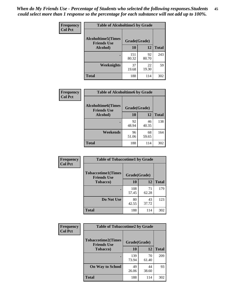*When do My Friends Use - Percentage of Students who selected the following responses.Students could select more than 1 response so the percentage for each substance will not add up to 100%.* **45**

| Frequency      | <b>Table of Alcoholtime5 by Grade</b>           |              |             |              |
|----------------|-------------------------------------------------|--------------|-------------|--------------|
| <b>Col Pct</b> | <b>Alcoholtime5(Times</b><br><b>Friends Use</b> | Grade(Grade) |             |              |
|                | Alcohol)                                        | 10           | <b>12</b>   | <b>Total</b> |
|                |                                                 | 151<br>80.32 | 92<br>80.70 | 243          |
|                | Weeknights                                      | 37<br>19.68  | 22<br>19.30 | 59           |
|                | <b>Total</b>                                    | 188          | 114         | 302          |

| Frequency      | <b>Table of Alcoholtime6 by Grade</b>           |              |             |              |
|----------------|-------------------------------------------------|--------------|-------------|--------------|
| <b>Col Pct</b> | <b>Alcoholtime6(Times</b><br><b>Friends Use</b> | Grade(Grade) |             |              |
|                | Alcohol)                                        | 10           | 12          | <b>Total</b> |
|                |                                                 | 92<br>48.94  | 46<br>40.35 | 138          |
|                | Weekends                                        | 96<br>51.06  | 68<br>59.65 | 164          |
|                | <b>Total</b>                                    | 188          | 114         | 302          |

| <b>Frequency</b> | <b>Table of Tobaccotime1 by Grade</b>           |              |             |              |  |
|------------------|-------------------------------------------------|--------------|-------------|--------------|--|
| <b>Col Pct</b>   | <b>Tobaccotime1(Times</b><br><b>Friends Use</b> | Grade(Grade) |             |              |  |
|                  | <b>Tobacco</b> )                                | 10           | 12          | <b>Total</b> |  |
|                  |                                                 | 108<br>57.45 | 71<br>62.28 | 179          |  |
|                  | Do Not Use                                      | 80<br>42.55  | 43<br>37.72 | 123          |  |
|                  | <b>Total</b>                                    | 188          | 114         | 302          |  |

| <b>Frequency</b> | <b>Table of Tobaccotime2 by Grade</b>           |              |             |              |
|------------------|-------------------------------------------------|--------------|-------------|--------------|
| <b>Col Pct</b>   | <b>Tobaccotime2(Times</b><br><b>Friends Use</b> | Grade(Grade) |             |              |
|                  | <b>Tobacco</b> )                                | 10           | 12          | <b>Total</b> |
|                  |                                                 | 139<br>73.94 | 70<br>61.40 | 209          |
|                  | <b>On Way to School</b>                         | 49<br>26.06  | 44<br>38.60 | 93           |
|                  | <b>Total</b>                                    | 188          | 114         | 302          |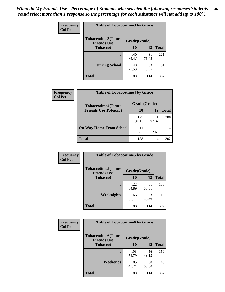| <b>Frequency</b> | <b>Table of Tobaccotime3 by Grade</b>           |              |             |              |  |
|------------------|-------------------------------------------------|--------------|-------------|--------------|--|
| <b>Col Pct</b>   | <b>Tobaccotime3(Times</b><br><b>Friends Use</b> | Grade(Grade) |             |              |  |
|                  | Tobacco)                                        | 10           | <b>12</b>   | <b>Total</b> |  |
|                  |                                                 | 140<br>74.47 | 81<br>71.05 | 221          |  |
|                  | <b>During School</b>                            | 48<br>25.53  | 33<br>28.95 | 81           |  |
|                  | <b>Total</b>                                    | 188          | 114         | 302          |  |

| Frequency<br><b>Col Pct</b> | <b>Table of Tobaccotime4 by Grade</b> |              |              |              |
|-----------------------------|---------------------------------------|--------------|--------------|--------------|
|                             | <b>Tobaccotime4(Times</b>             | Grade(Grade) |              |              |
|                             | <b>Friends Use Tobacco)</b>           | 10           | 12           | <b>Total</b> |
|                             |                                       | 177<br>94.15 | 111<br>97.37 | 288          |
|                             | <b>On Way Home From School</b>        | 11<br>5.85   | 3<br>2.63    | 14           |
|                             | <b>Total</b>                          | 188          | 114          | 302          |

| <b>Frequency</b> | <b>Table of Tobaccotime5 by Grade</b>           |              |             |              |
|------------------|-------------------------------------------------|--------------|-------------|--------------|
| <b>Col Pct</b>   | <b>Tobaccotime5(Times</b><br><b>Friends Use</b> | Grade(Grade) |             |              |
|                  | <b>Tobacco</b> )                                | 10           | 12          | <b>Total</b> |
|                  |                                                 | 122<br>64.89 | 61<br>53.51 | 183          |
|                  | Weeknights                                      | 66<br>35.11  | 53<br>46.49 | 119          |
|                  | <b>Total</b>                                    | 188          | 114         | 302          |

| Frequency<br><b>Col Pct</b> | <b>Table of Tobaccotime6 by Grade</b>           |              |             |              |  |
|-----------------------------|-------------------------------------------------|--------------|-------------|--------------|--|
|                             | <b>Tobaccotime6(Times</b><br><b>Friends Use</b> | Grade(Grade) |             |              |  |
|                             | <b>Tobacco</b> )                                | 10           | 12          | <b>Total</b> |  |
|                             |                                                 | 103<br>54.79 | 56<br>49.12 | 159          |  |
|                             | Weekends                                        | 85<br>45.21  | 58<br>50.88 | 143          |  |
|                             | <b>Total</b>                                    | 188          | 114         | 302          |  |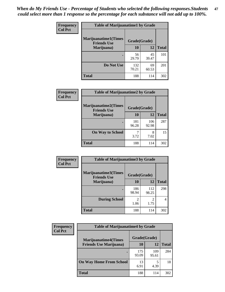| Frequency      | <b>Table of Marijuanatime1 by Grade</b>           |              |             |              |
|----------------|---------------------------------------------------|--------------|-------------|--------------|
| <b>Col Pct</b> | <b>Marijuanatime1(Times</b><br><b>Friends Use</b> | Grade(Grade) |             |              |
|                | Marijuana)                                        | 10           | 12          | <b>Total</b> |
|                |                                                   | 56<br>29.79  | 45<br>39.47 | 101          |
|                | Do Not Use                                        | 132<br>70.21 | 69<br>60.53 | 201          |
|                | <b>Total</b>                                      | 188          | 114         | 302          |

| Frequency      | <b>Table of Marijuanatime2 by Grade</b>           |              |              |              |
|----------------|---------------------------------------------------|--------------|--------------|--------------|
| <b>Col Pct</b> | <b>Marijuanatime2(Times</b><br><b>Friends Use</b> | Grade(Grade) |              |              |
|                | Marijuana)                                        | 10           | 12           | <b>Total</b> |
|                |                                                   | 181<br>96.28 | 106<br>92.98 | 287          |
|                | <b>On Way to School</b>                           | 7<br>3.72    | 8<br>7.02    | 15           |
|                | <b>Total</b>                                      | 188          | 114          | 302          |

| Frequency      | <b>Table of Marijuanatime3 by Grade</b>    |              |                        |              |  |
|----------------|--------------------------------------------|--------------|------------------------|--------------|--|
| <b>Col Pct</b> | Marijuanatime3(Times<br><b>Friends Use</b> | Grade(Grade) |                        |              |  |
|                | Marijuana)                                 | 10           | 12                     | <b>Total</b> |  |
|                |                                            | 186<br>98.94 | 112<br>98.25           | 298          |  |
|                | <b>During School</b>                       | 2<br>1.06    | $\mathfrak{D}$<br>1.75 | 4            |  |
|                | <b>Total</b>                               | 188          | 114                    | 302          |  |

| <b>Frequency</b><br><b>Col Pct</b> | <b>Table of Marijuanatime4 by Grade</b> |              |              |       |
|------------------------------------|-----------------------------------------|--------------|--------------|-------|
|                                    | <b>Marijuanatime4</b> (Times            | Grade(Grade) |              |       |
|                                    | <b>Friends Use Marijuana</b> )          | 10           | 12           | Total |
|                                    |                                         | 175<br>93.09 | 109<br>95.61 | 284   |
|                                    | <b>On Way Home From School</b>          | 13<br>6.91   | 4.39         | 18    |
|                                    | <b>Total</b>                            | 188          | 114          | 302   |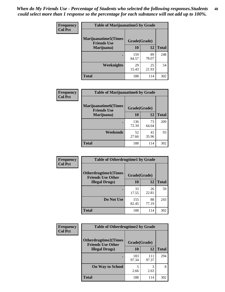| Frequency      | <b>Table of Marijuanatime5 by Grade</b>            |              |             |              |  |
|----------------|----------------------------------------------------|--------------|-------------|--------------|--|
| <b>Col Pct</b> | <b>Marijuanatime5</b> (Times<br><b>Friends Use</b> | Grade(Grade) |             |              |  |
|                | Marijuana)                                         | 10           | 12          | <b>Total</b> |  |
|                |                                                    | 159<br>84.57 | 89<br>78.07 | 248          |  |
|                | Weeknights                                         | 29<br>15.43  | 25<br>21.93 | 54           |  |
|                | <b>Total</b>                                       | 188          | 114         | 302          |  |

| Frequency      | <b>Table of Marijuanatime6 by Grade</b>    |              |             |              |  |
|----------------|--------------------------------------------|--------------|-------------|--------------|--|
| <b>Col Pct</b> | Marijuanatime6(Times<br><b>Friends Use</b> | Grade(Grade) |             |              |  |
|                | Marijuana)                                 | 10           | 12          | <b>Total</b> |  |
|                |                                            | 136<br>72.34 | 73<br>64.04 | 209          |  |
|                | Weekends                                   | 52<br>27.66  | 41<br>35.96 | 93           |  |
|                | <b>Total</b>                               | 188          | 114         | 302          |  |

| <b>Frequency</b> | <b>Table of Otherdrugtime1 by Grade</b>                  |              |             |              |  |
|------------------|----------------------------------------------------------|--------------|-------------|--------------|--|
| <b>Col Pct</b>   | <b>Otherdrugtime1</b> (Times<br><b>Friends Use Other</b> | Grade(Grade) |             |              |  |
|                  | <b>Illegal Drugs</b> )                                   | 10           | 12          | <b>Total</b> |  |
|                  |                                                          | 33<br>17.55  | 26<br>22.81 | 59           |  |
|                  | Do Not Use                                               | 155<br>82.45 | 88<br>77.19 | 243          |  |
|                  | <b>Total</b>                                             | 188          | 114         | 302          |  |

| Frequency<br><b>Col Pct</b> | <b>Table of Otherdrugtime2 by Grade</b>                 |              |              |              |  |
|-----------------------------|---------------------------------------------------------|--------------|--------------|--------------|--|
|                             | <b>Otherdrugtime2(Times</b><br><b>Friends Use Other</b> | Grade(Grade) |              |              |  |
|                             | <b>Illegal Drugs</b> )                                  | 10           | 12           | <b>Total</b> |  |
|                             |                                                         | 183<br>97.34 | 111<br>97.37 | 294          |  |
|                             | <b>On Way to School</b>                                 | 5<br>2.66    | 2.63         | 8            |  |
|                             | <b>Total</b>                                            | 188          | 114          | 302          |  |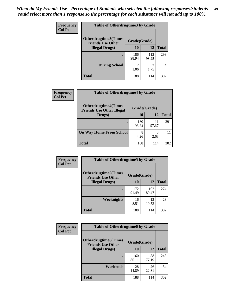| <b>Frequency</b> | <b>Table of Otherdrugtime3 by Grade</b>          |                        |              |              |  |
|------------------|--------------------------------------------------|------------------------|--------------|--------------|--|
| <b>Col Pct</b>   | Otherdrugtime3(Times<br><b>Friends Use Other</b> | Grade(Grade)           |              |              |  |
|                  | <b>Illegal Drugs</b> )                           | 10                     | 12           | <b>Total</b> |  |
|                  |                                                  | 186<br>98.94           | 112<br>98.25 | 298          |  |
|                  | <b>During School</b>                             | $\overline{c}$<br>1.06 | 2<br>1.75    | 4            |  |
|                  | <b>Total</b>                                     | 188                    | 114          | 302          |  |

| Frequency<br><b>Col Pct</b> | <b>Table of Otherdrugtime4 by Grade</b>                         |              |              |              |
|-----------------------------|-----------------------------------------------------------------|--------------|--------------|--------------|
|                             | <b>Otherdrugtime4(Times</b><br><b>Friends Use Other Illegal</b> | Grade(Grade) |              |              |
|                             | Drugs)                                                          | 10           | 12           | <b>Total</b> |
|                             | $\bullet$                                                       | 180<br>95.74 | 111<br>97.37 | 291          |
|                             | <b>On Way Home From School</b>                                  | 8<br>4.26    | 3<br>2.63    |              |
|                             | <b>Total</b>                                                    | 188          | 114          | 302          |

| <b>Frequency</b> | <b>Table of Otherdrugtime5 by Grade</b>                  |              |              |              |  |  |
|------------------|----------------------------------------------------------|--------------|--------------|--------------|--|--|
| <b>Col Pct</b>   | <b>Otherdrugtime5</b> (Times<br><b>Friends Use Other</b> | Grade(Grade) |              |              |  |  |
|                  | <b>Illegal Drugs</b> )                                   | 10           | 12           | <b>Total</b> |  |  |
|                  |                                                          | 172<br>91.49 | 102<br>89.47 | 274          |  |  |
|                  | <b>Weeknights</b>                                        | 16<br>8.51   | 12<br>10.53  | 28           |  |  |
|                  | Total                                                    | 188          | 114          | 302          |  |  |

| <b>Frequency</b> | <b>Table of Otherdrugtime6 by Grade</b>                 |              |             |              |
|------------------|---------------------------------------------------------|--------------|-------------|--------------|
| <b>Col Pct</b>   | <b>Otherdrugtime6(Times</b><br><b>Friends Use Other</b> | Grade(Grade) |             |              |
|                  | <b>Illegal Drugs</b> )                                  | 10           | 12          | <b>Total</b> |
|                  |                                                         | 160<br>85.11 | 88<br>77.19 | 248          |
|                  | Weekends                                                | 28<br>14.89  | 26<br>22.81 | 54           |
|                  | Total                                                   | 188          | 114         | 302          |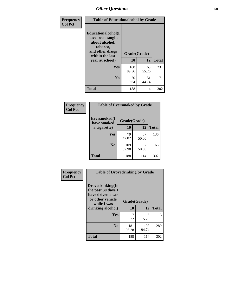| Frequency      | <b>Table of Educationalcohol by Grade</b>                                                                  |              |             |              |  |
|----------------|------------------------------------------------------------------------------------------------------------|--------------|-------------|--------------|--|
| <b>Col Pct</b> | Educationalcohol(I<br>have been taught<br>about alcohol,<br>tobacco,<br>and other drugs<br>within the last | Grade(Grade) |             |              |  |
|                | year at school)                                                                                            | 10           | 12          | <b>Total</b> |  |
|                | <b>Yes</b>                                                                                                 | 168<br>89.36 | 63<br>55.26 | 231          |  |
|                | N <sub>0</sub>                                                                                             | 20<br>10.64  | 51<br>44.74 | 71           |  |
|                | <b>Total</b>                                                                                               | 188          | 114         | 302          |  |

| Frequency      | <b>Table of Eversmoked by Grade</b> |              |             |              |  |  |
|----------------|-------------------------------------|--------------|-------------|--------------|--|--|
| <b>Col Pct</b> | Eversmoked(I<br>have smoked         | Grade(Grade) |             |              |  |  |
|                | a cigarette)                        | 10           | 12          | <b>Total</b> |  |  |
|                | Yes                                 | 79<br>42.02  | 57<br>50.00 | 136          |  |  |
|                | N <sub>0</sub>                      | 109<br>57.98 | 57<br>50.00 | 166          |  |  |
|                | <b>Total</b>                        | 188          | 114         | 302          |  |  |

| Frequency      | <b>Table of Drovedrinking by Grade</b>                                                                              |                    |              |              |
|----------------|---------------------------------------------------------------------------------------------------------------------|--------------------|--------------|--------------|
| <b>Col Pct</b> | Drovedrinking(In<br>the past 30 days I<br>have driven a car<br>or other vehicle<br>while I was<br>drinking alcohol) | Grade(Grade)<br>10 | 12           | <b>Total</b> |
|                | <b>Yes</b>                                                                                                          | 7<br>3.72          | 6<br>5.26    | 13           |
|                | N <sub>0</sub>                                                                                                      | 181<br>96.28       | 108<br>94.74 | 289          |
|                | <b>Total</b>                                                                                                        | 188                | 114          | 302          |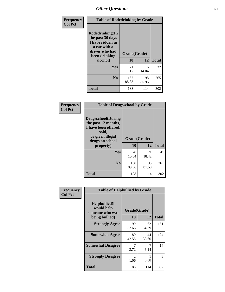| Frequency<br><b>Col Pct</b> | <b>Table of Rodedrinking by Grade</b>                                                                                  |                    |              |     |
|-----------------------------|------------------------------------------------------------------------------------------------------------------------|--------------------|--------------|-----|
|                             | Rodedrinking(In<br>the past 30 days<br>I have ridden in<br>a car with a<br>driver who had<br>been drinking<br>alcohol) | Grade(Grade)<br>10 | <b>Total</b> |     |
|                             | Yes                                                                                                                    | 21<br>11.17        | 16<br>14.04  | 37  |
|                             | N <sub>0</sub>                                                                                                         | 167<br>88.83       | 98<br>85.96  | 265 |
|                             | <b>Total</b>                                                                                                           | 188                | 114          | 302 |

#### **Frequency Col Pct**

|                                                                                                                           | <b>Table of Drugsschool by Grade</b> |             |              |  |  |  |
|---------------------------------------------------------------------------------------------------------------------------|--------------------------------------|-------------|--------------|--|--|--|
| <b>Drugsschool</b> (During<br>the past 12 months,<br>I have been offered,<br>sold,<br>or given illegal<br>drugs on school | Grade(Grade)                         |             |              |  |  |  |
| property)                                                                                                                 | 10                                   | 12          | <b>Total</b> |  |  |  |
| Yes                                                                                                                       | 20<br>10.64                          | 21<br>18.42 | 41           |  |  |  |
| N <sub>0</sub>                                                                                                            | 168<br>89.36                         | 93<br>81.58 | 261          |  |  |  |
| Total                                                                                                                     | 188                                  | 114         | 302          |  |  |  |

| Frequency      | <b>Table of Helpbullied by Grade</b>           |                                     |             |              |  |  |  |
|----------------|------------------------------------------------|-------------------------------------|-------------|--------------|--|--|--|
| <b>Col Pct</b> | Helpbullied(I<br>would help<br>someone who was | Grade(Grade)                        |             |              |  |  |  |
|                | being bullied)                                 | <b>10</b>                           | 12          | <b>Total</b> |  |  |  |
|                | <b>Strongly Agree</b>                          | 99<br>52.66                         | 62<br>54.39 | 161          |  |  |  |
|                | <b>Somewhat Agree</b>                          | 80<br>42.55                         | 44<br>38.60 | 124          |  |  |  |
|                | <b>Somewhat Disagree</b>                       | 3.72                                | 7<br>6.14   | 14           |  |  |  |
|                | <b>Strongly Disagree</b>                       | $\mathcal{D}_{\mathcal{L}}$<br>1.06 | 0.88        | 3            |  |  |  |
|                | <b>Total</b>                                   | 188                                 | 114         | 302          |  |  |  |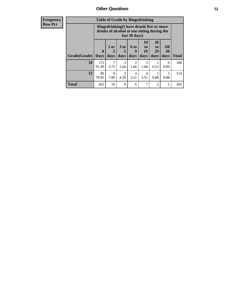| <b>Frequency</b> | <b>Table of Grade by Bingedrinking</b> |                                                                                                         |                     |              |                          |                        |                        |                          |              |
|------------------|----------------------------------------|---------------------------------------------------------------------------------------------------------|---------------------|--------------|--------------------------|------------------------|------------------------|--------------------------|--------------|
| <b>Row Pct</b>   |                                        | Bingedrinking(I have drunk five or more<br>drinks of alcohol at one sitting during the<br>last 30 days) |                     |              |                          |                        |                        |                          |              |
|                  | <b>Grade(Grade)</b>                    | $\mathbf{0}$<br>  Days                                                                                  | $1$ or<br>2<br>days | 3 to<br>days | <b>6 to</b><br>9<br>days | 10<br>to<br>19<br>days | 20<br>to<br>29<br>days | <b>All</b><br>30<br>days | <b>Total</b> |
|                  | <b>10</b>                              | 172<br>91.49                                                                                            | 7<br>3.72           | 3<br>1.60    | $\mathfrak{D}$<br>1.06   | 3<br>1.60              | 0.53                   | $\Omega$<br>0.00         | 188          |
|                  | 12                                     | 90<br>78.95                                                                                             | 9<br>7.89           | 5<br>4.39    | 4<br>3.51                | $\overline{4}$<br>3.51 | 0.88                   | 0.88                     | 114          |
|                  | <b>Total</b>                           | 262                                                                                                     | 16                  | 8            | 6                        | 7                      | $\mathfrak{D}$         |                          | 302          |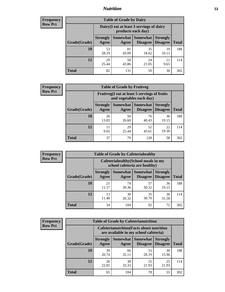## *Nutrition* **53**

| <b>Frequency</b><br>Row Pct |  |
|-----------------------------|--|
|                             |  |

| <b>Table of Grade by Dairy</b> |                          |                                                                 |                             |                                    |              |  |  |
|--------------------------------|--------------------------|-----------------------------------------------------------------|-----------------------------|------------------------------------|--------------|--|--|
|                                |                          | Dairy (I eat at least 3 servings of dairy<br>products each day) |                             |                                    |              |  |  |
| Grade(Grade)                   | <b>Strongly</b><br>Agree | Somewhat<br>Agree                                               | <b>Somewhat</b><br>Disagree | <b>Strongly</b><br><b>Disagree</b> | <b>Total</b> |  |  |
| 10                             | 53<br>28.19              | 81<br>43.09                                                     | 35<br>18.62                 | 19<br>10.11                        | 188          |  |  |
| 12                             | 29<br>25.44              | 50<br>43.86                                                     | 24<br>21.05                 | 11<br>9.65                         | 114          |  |  |
| <b>Total</b>                   | 82                       | 131                                                             | 59                          | 30                                 | 302          |  |  |

| <b>Frequency</b> |  |
|------------------|--|
| <b>Row Pct</b>   |  |

| <b>Table of Grade by Fruitveg</b> |                                                                          |             |                                 |                                    |              |
|-----------------------------------|--------------------------------------------------------------------------|-------------|---------------------------------|------------------------------------|--------------|
|                                   | Fruitveg(I eat at least 5 servings of fruits<br>and vegetables each day) |             |                                 |                                    |              |
| Grade(Grade)                      | <b>Strongly</b><br>Agree                                                 | Agree       | Somewhat   Somewhat<br>Disagree | <b>Strongly</b><br><b>Disagree</b> | <b>Total</b> |
| 10                                | 26<br>13.83                                                              | 50<br>26.60 | 76<br>40.43                     | 36<br>19.15                        | 188          |
| 12                                | 11<br>9.65                                                               | 29<br>25.44 | 52<br>45.61                     | 22<br>19.30                        | 114          |
| <b>Total</b>                      | 37                                                                       | 79          | 128                             | 58                                 | 302          |

| <b>Table of Grade by Cafeteriahealthy</b><br><b>Frequency</b> |              |                          |                            |                                                                       |                                    |              |
|---------------------------------------------------------------|--------------|--------------------------|----------------------------|-----------------------------------------------------------------------|------------------------------------|--------------|
| <b>Row Pct</b>                                                |              |                          |                            | Cafeteriahealthy (School meals in my<br>school cafeteria are healthy) |                                    |              |
|                                                               | Grade(Grade) | <b>Strongly</b><br>Agree | Somewhat Somewhat<br>Agree | <b>Disagree</b>                                                       | <b>Strongly</b><br><b>Disagree</b> | <b>Total</b> |
|                                                               | 10           | 21<br>11.17              | 74<br>39.36                | 57<br>30.32                                                           | 36<br>19.15                        | 188          |
|                                                               | 12           | 13<br>11.40              | 30<br>26.32                | 35<br>30.70                                                           | 36<br>31.58                        | 114          |
|                                                               | <b>Total</b> | 34                       | 104                        | 92                                                                    | 72                                 | 302          |

| <b>Frequency</b> |
|------------------|
| <b>Row Pct</b>   |

| <b>Table of Grade by Cafeterianutrition</b>                                               |                          |             |                                 |                                    |              |  |
|-------------------------------------------------------------------------------------------|--------------------------|-------------|---------------------------------|------------------------------------|--------------|--|
| <b>Cafeterianutrition</b> (Facts about nutrition<br>are available in my school cafeteria) |                          |             |                                 |                                    |              |  |
| Grade(Grade)                                                                              | <b>Strongly</b><br>Agree | Agree       | Somewhat   Somewhat<br>Disagree | <b>Strongly</b><br><b>Disagree</b> | <b>Total</b> |  |
| 10                                                                                        | 39<br>20.74              | 66<br>35.11 | 53<br>28.19                     | 30<br>15.96                        | 188          |  |
| 12                                                                                        | 26<br>22.81              | 38<br>33.33 | 25<br>21.93                     | 25<br>21.93                        | 114          |  |
| Total                                                                                     | 65                       | 104         | 78                              | 55                                 | 302          |  |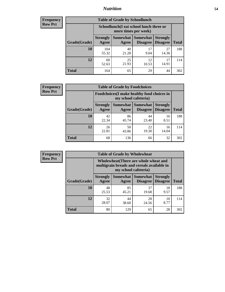## *Nutrition* **54**

| <b>Frequency</b> |
|------------------|
| <b>Row Pct</b>   |

| <b>Table of Grade by Schoollunch</b> |                          |                                                                 |                             |                                    |              |  |  |
|--------------------------------------|--------------------------|-----------------------------------------------------------------|-----------------------------|------------------------------------|--------------|--|--|
|                                      |                          | Schoollunch(I eat school lunch three or<br>more times per week) |                             |                                    |              |  |  |
| Grade(Grade)                         | <b>Strongly</b><br>Agree | Somewhat  <br>Agree                                             | <b>Somewhat</b><br>Disagree | <b>Strongly</b><br><b>Disagree</b> | <b>Total</b> |  |  |
| 10                                   | 104<br>55.32             | 40<br>21.28                                                     | 17<br>9.04                  | 27<br>14.36                        | 188          |  |  |
| 12                                   | 60<br>52.63              | 25<br>21.93                                                     | 12<br>10.53                 | 17<br>14.91                        | 114          |  |  |
| <b>Total</b>                         | 164                      | 65                                                              | 29                          | 44                                 | 302          |  |  |

| <b>Frequency</b> |  |
|------------------|--|
| <b>Row Pct</b>   |  |

| <b>Table of Grade by Foodchoices</b>                                |                          |             |                   |                                        |              |
|---------------------------------------------------------------------|--------------------------|-------------|-------------------|----------------------------------------|--------------|
| Foodchoices (I make healthy food choices in<br>my school cafeteria) |                          |             |                   |                                        |              |
| Grade(Grade)                                                        | <b>Strongly</b><br>Agree | Agree       | Somewhat Somewhat | <b>Strongly</b><br>Disagree   Disagree | <b>Total</b> |
| 10                                                                  | 42<br>22.34              | 86<br>45.74 | 44<br>23.40       | 16<br>8.51                             | 188          |
| 12                                                                  | 26<br>22.81              | 50<br>43.86 | 22<br>19.30       | 16<br>14.04                            | 114          |
| <b>Total</b>                                                        | 68                       | 136         | 66                | 32                                     | 302          |

| Frequency<br><b>Row Pct</b> |  |
|-----------------------------|--|
|                             |  |

| <b>Table of Grade by Wholewheat</b> |                 |                                                                                                             |                 |                 |              |  |  |
|-------------------------------------|-----------------|-------------------------------------------------------------------------------------------------------------|-----------------|-----------------|--------------|--|--|
|                                     |                 | Wholewheat (There are whole wheat and<br>multigrain breads and cereals available in<br>my school cafeteria) |                 |                 |              |  |  |
|                                     | <b>Strongly</b> | Somewhat                                                                                                    | <b>Somewhat</b> | <b>Strongly</b> |              |  |  |
| Grade(Grade)                        | Agree           | Agree                                                                                                       | Disagree        | <b>Disagree</b> | <b>Total</b> |  |  |
| 10                                  | 48              | 85                                                                                                          | 37              | 18              | 188          |  |  |
|                                     | 25.53           | 45.21                                                                                                       | 19.68           | 9.57            |              |  |  |
| 12                                  | 32              | 44                                                                                                          | 28              | 10              | 114          |  |  |
|                                     | 28.07           | 38.60                                                                                                       | 24.56           | 8.77            |              |  |  |
| Total                               | 80              | 129                                                                                                         | 65              | 28              | 302          |  |  |

**Table of Grade by Wholesale**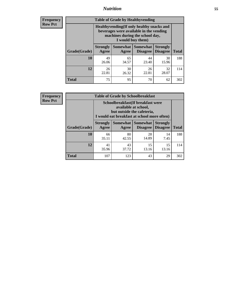## *Nutrition* **55**

**Frequency Row Pct**

| <b>Table of Grade by Healthyvending</b> |                                                                                                                                               |                          |                                    |                                    |              |  |  |
|-----------------------------------------|-----------------------------------------------------------------------------------------------------------------------------------------------|--------------------------|------------------------------------|------------------------------------|--------------|--|--|
|                                         | Healthyvending (If only healthy snacks and<br>beverages were available in the vending<br>machines during the school day,<br>I would buy them) |                          |                                    |                                    |              |  |  |
| Grade(Grade)                            | <b>Strongly</b><br>Agree                                                                                                                      | <b>Somewhat</b><br>Agree | <b>Somewhat</b><br><b>Disagree</b> | <b>Strongly</b><br><b>Disagree</b> | <b>Total</b> |  |  |
| 10                                      | 49<br>26.06                                                                                                                                   | 65<br>34.57              | 44<br>23.40                        | 30<br>15.96                        | 188          |  |  |
| 12                                      | 26<br>22.81                                                                                                                                   | 30<br>26.32              | 26<br>22.81                        | 32<br>28.07                        | 114          |  |  |
| Total                                   | 75                                                                                                                                            | 95                       | 70                                 | 62                                 | 302          |  |  |

**Frequency Row Pct**

| <b>Table of Grade by Schoolbreakfast</b> |                                                                                                                                         |             |                                 |                                    |              |  |  |
|------------------------------------------|-----------------------------------------------------------------------------------------------------------------------------------------|-------------|---------------------------------|------------------------------------|--------------|--|--|
|                                          | Schoolbreakfast (If breakfast were<br>available at school,<br>but outside the cafeteria,<br>I would eat breakfast at school more often) |             |                                 |                                    |              |  |  |
| Grade(Grade)                             | <b>Strongly</b><br>Agree                                                                                                                | Agree       | Somewhat   Somewhat<br>Disagree | <b>Strongly</b><br><b>Disagree</b> | <b>Total</b> |  |  |
| 10                                       | 66<br>35.11                                                                                                                             | 80<br>42.55 | 28<br>14.89                     | 14<br>7.45                         | 188          |  |  |
| 12                                       | 41<br>35.96                                                                                                                             | 43<br>37.72 | 15<br>13.16                     | 15<br>13.16                        | 114          |  |  |
| <b>Total</b>                             | 107                                                                                                                                     | 123         | 43                              | 29                                 | 302          |  |  |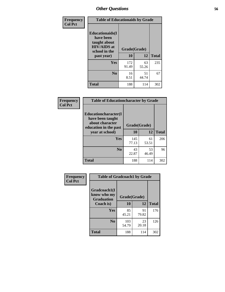| Frequency<br><b>Col Pct</b> | <b>Table of Educationaids by Grade</b>                                                                    |                    |             |              |
|-----------------------------|-----------------------------------------------------------------------------------------------------------|--------------------|-------------|--------------|
|                             | <b>Educationaids</b> (I<br>have been<br>taught about<br><b>HIV/AIDS</b> at<br>school in the<br>past year) | Grade(Grade)<br>10 | 12          | <b>Total</b> |
|                             | Yes                                                                                                       | 172<br>91.49       | 63<br>55.26 | 235          |
|                             | N <sub>0</sub>                                                                                            | 16<br>8.51         | 51<br>44.74 | 67           |
|                             | <b>Total</b>                                                                                              | 188                | 114         | 302          |

| Frequency      |                                                             | <b>Table of Educationcharacter by Grade</b> |             |              |  |
|----------------|-------------------------------------------------------------|---------------------------------------------|-------------|--------------|--|
| <b>Col Pct</b> | Educationcharacter(I<br>have been taught<br>about character | Grade(Grade)                                |             |              |  |
|                | education in the past<br>year at school)                    | 10                                          | 12          | <b>Total</b> |  |
|                | Yes                                                         | 145<br>77.13                                | 61<br>53.51 | 206          |  |
|                | N <sub>0</sub>                                              | 43<br>22.87                                 | 53<br>46.49 | 96           |  |
|                | <b>Total</b>                                                | 188                                         | 114         | 302          |  |

| Frequency      | <b>Table of Gradcoach1 by Grade</b>              |              |             |              |
|----------------|--------------------------------------------------|--------------|-------------|--------------|
| <b>Col Pct</b> | Gradcoach1(I<br>know who my<br><b>Graduation</b> | Grade(Grade) |             |              |
|                | Coach is)                                        | 10           | 12          | <b>Total</b> |
|                | Yes                                              | 85<br>45.21  | 91<br>79.82 | 176          |
|                | N <sub>0</sub>                                   | 103<br>54.79 | 23<br>20.18 | 126          |
|                | <b>Total</b>                                     | 188          | 114         | 302          |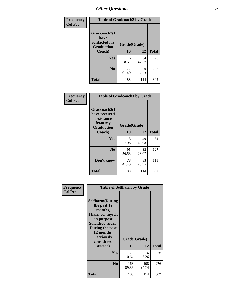| Frequency      | <b>Table of Gradcoach2 by Grade</b> |              |             |              |
|----------------|-------------------------------------|--------------|-------------|--------------|
| <b>Col Pct</b> | Gradcoach2(I<br>have                |              |             |              |
|                | contacted my<br><b>Graduation</b>   | Grade(Grade) |             |              |
|                | Coach)                              | 10           | 12          | <b>Total</b> |
|                | Yes                                 | 16<br>8.51   | 54<br>47.37 | 70           |
|                | N <sub>0</sub>                      | 172<br>91.49 | 60<br>52.63 | 232          |
|                | <b>Total</b>                        | 188          | 114         | 302          |

| <b>Frequency</b><br><b>Col Pct</b> | <b>Table of Gradcoach3 by Grade</b>                                         |              |             |              |
|------------------------------------|-----------------------------------------------------------------------------|--------------|-------------|--------------|
|                                    | Gradcoach3(I<br>have received<br>assistance<br>from my<br><b>Graduation</b> | Grade(Grade) |             |              |
|                                    | Coach)                                                                      | 10           | 12          | <b>Total</b> |
|                                    | Yes                                                                         | 15<br>7.98   | 49<br>42.98 | 64           |
|                                    | N <sub>0</sub>                                                              | 95<br>50.53  | 32<br>28.07 | 127          |
|                                    | Don't know                                                                  | 78<br>41.49  | 33<br>28.95 | 111          |
|                                    | <b>Total</b>                                                                | 188          | 114         | 302          |

| Frequency      | <b>Table of Selfharm by Grade</b>                                                                                                                                                      |              |                    |              |
|----------------|----------------------------------------------------------------------------------------------------------------------------------------------------------------------------------------|--------------|--------------------|--------------|
| <b>Col Pct</b> | <b>Selfharm</b> (During<br>the past 12<br>months,<br>I harmed myself<br>on purpose<br><b>Suicideconsider</b><br>During the past<br>12 months,<br>I seriously<br>considered<br>suicide) | 10           | Grade(Grade)<br>12 | <b>Total</b> |
|                | <b>Yes</b>                                                                                                                                                                             | 20<br>10.64  | 6<br>5.26          | 26           |
|                | N <sub>0</sub>                                                                                                                                                                         | 168<br>89.36 | 108<br>94.74       | 276          |
|                | <b>Total</b>                                                                                                                                                                           | 188          | 114                | 302          |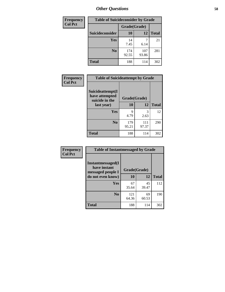| <b>Frequency</b> | <b>Table of Suicideconsider by Grade</b> |              |              |              |
|------------------|------------------------------------------|--------------|--------------|--------------|
| <b>Col Pct</b>   |                                          | Grade(Grade) |              |              |
|                  | Suicideconsider                          | <b>10</b>    | 12           | <b>Total</b> |
|                  | Yes                                      | 14<br>7.45   | 6.14         | 21           |
|                  | N <sub>0</sub>                           | 174<br>92.55 | 107<br>93.86 | 281          |
|                  | <b>Total</b>                             | 188          | 114          | 302          |

| Frequency      | <b>Table of Suicideattempt by Grade</b>              |              |              |              |
|----------------|------------------------------------------------------|--------------|--------------|--------------|
| <b>Col Pct</b> | Suicideattempt(I<br>have attempted<br>suicide in the | Grade(Grade) |              |              |
|                | last year)                                           | 10           | 12           | <b>Total</b> |
|                | Yes                                                  | 9<br>4.79    | 3<br>2.63    | 12           |
|                | N <sub>0</sub>                                       | 179<br>95.21 | 111<br>97.37 | 290          |
|                | <b>Total</b>                                         | 188          | 114          | 302          |

| Frequency      | <b>Table of Instantmessaged by Grade</b>               |              |             |              |
|----------------|--------------------------------------------------------|--------------|-------------|--------------|
| <b>Col Pct</b> | Instantmessaged(I<br>have instant<br>messaged people I | Grade(Grade) |             |              |
|                | do not even know)                                      | 10           | 12          | <b>Total</b> |
|                | Yes                                                    | 67<br>35.64  | 45<br>39.47 | 112          |
|                | N <sub>0</sub>                                         | 121<br>64.36 | 69<br>60.53 | 190          |
|                | <b>Total</b>                                           | 188          | 114         | 302          |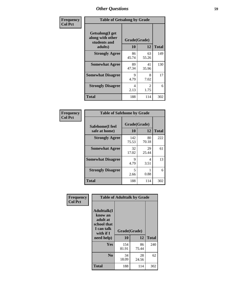| Frequency      | <b>Table of Getsalong by Grade</b>                          |              |                        |              |
|----------------|-------------------------------------------------------------|--------------|------------------------|--------------|
| <b>Col Pct</b> | <b>Getsalong</b> (I get<br>along with other<br>students and | Grade(Grade) |                        |              |
|                | adults)                                                     | 10           | 12                     | <b>Total</b> |
|                | <b>Strongly Agree</b>                                       | 86<br>45.74  | 63<br>55.26            | 149          |
|                | <b>Somewhat Agree</b>                                       | 89<br>47.34  | 41<br>35.96            | 130          |
|                | <b>Somewhat Disagree</b>                                    | 9<br>4.79    | 8<br>7.02              | 17           |
|                | <b>Strongly Disagree</b>                                    | 4<br>2.13    | $\mathfrak{D}$<br>1.75 | 6            |
|                | <b>Total</b>                                                | 188          | 114                    | 302          |

| Frequency      | <b>Table of Safehome by Grade</b> |              |                    |              |
|----------------|-----------------------------------|--------------|--------------------|--------------|
| <b>Col Pct</b> | Safehome(I feel<br>safe at home)  | <b>10</b>    | Grade(Grade)<br>12 | <b>Total</b> |
|                | <b>Strongly Agree</b>             | 142<br>75.53 | 80<br>70.18        | 222          |
|                | <b>Somewhat Agree</b>             | 32<br>17.02  | 29<br>25.44        | 61           |
|                | <b>Somewhat Disagree</b>          | 9<br>4.79    | 4<br>3.51          | 13           |
|                | <b>Strongly Disagree</b>          | 5<br>2.66    | 0.88               | 6            |
|                | <b>Total</b>                      | 188          | 114                | 302          |

| Frequency      |                                                                                     | <b>Table of Adulttalk by Grade</b> |             |              |  |
|----------------|-------------------------------------------------------------------------------------|------------------------------------|-------------|--------------|--|
| <b>Col Pct</b> | <b>Adulttalk(I</b><br>know an<br>adult at<br>school that<br>I can talk<br>with if I | Grade(Grade)                       |             |              |  |
|                | need help)                                                                          | 10                                 | 12          | <b>Total</b> |  |
|                | Yes                                                                                 | 154<br>81.91                       | 86<br>75.44 | 240          |  |
|                | N <sub>0</sub>                                                                      | 34<br>18.09                        | 28<br>24.56 | 62           |  |
|                | <b>Total</b>                                                                        | 188                                | 114         | 302          |  |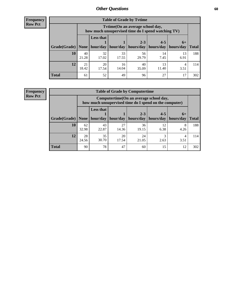**Frequency Row Pct**

| <b>Table of Grade by Tytime</b> |             |                                                                                        |             |                       |             |            |              |  |  |
|---------------------------------|-------------|----------------------------------------------------------------------------------------|-------------|-----------------------|-------------|------------|--------------|--|--|
|                                 |             | Tvtime(On an average school day,<br>how much unsupervised time do I spend watching TV) |             |                       |             |            |              |  |  |
|                                 |             | <b>Less that</b>                                                                       |             | $2 - 3$               | $4 - 5$     | $6+$       |              |  |  |
| Grade(Grade)   None             |             | hour/day                                                                               | hour/day    | hours/day   hours/day |             | hours/day  | <b>Total</b> |  |  |
| 10                              | 40<br>21.28 | 32<br>17.02                                                                            | 33<br>17.55 | 56<br>29.79           | 14<br>7.45  | 13<br>6.91 | 188          |  |  |
| 12                              | 21<br>18.42 | 20<br>17.54                                                                            | 16<br>14.04 | 40<br>35.09           | 13<br>11.40 | 4<br>3.51  | 114          |  |  |
| <b>Total</b>                    | 61          | 52                                                                                     | 49          | 96                    | 27          |            | 302          |  |  |

**Frequency Row Pct**

| <b>Table of Grade by Computertime</b> |             |                                                                                                                               |             |             |            |           |     |  |  |
|---------------------------------------|-------------|-------------------------------------------------------------------------------------------------------------------------------|-------------|-------------|------------|-----------|-----|--|--|
|                                       |             | Computertime (On an average school day,<br>how much unsupervised time do I spend on the computer)                             |             |             |            |           |     |  |  |
| Grade(Grade)                          | None        | <b>Less that</b><br>$2 - 3$<br>$4 - 5$<br>$6+$<br>hour/day<br>hour/day<br>hours/day<br>hours/day<br>hours/day<br><b>Total</b> |             |             |            |           |     |  |  |
| 10                                    | 62<br>32.98 | 43<br>22.87                                                                                                                   | 27<br>14.36 | 36<br>19.15 | 12<br>6.38 | 8<br>4.26 | 188 |  |  |
| 12                                    | 28<br>24.56 | 35<br>30.70                                                                                                                   | 20<br>17.54 | 24<br>21.05 | 3<br>2.63  | 4<br>3.51 | 114 |  |  |
| <b>Total</b>                          | 90          | 78                                                                                                                            | 47          | 60          | 15         | 12        | 302 |  |  |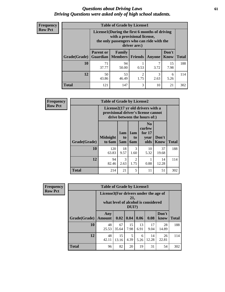### *Questions about Driving Laws* **61** *Driving Questions were asked only of high school students.*

| <b>Frequency</b> |
|------------------|
| <b>Row Pct</b>   |

| <b>Table of Grade by License1</b> |                                     |                                                                                                                                           |                        |           |               |              |  |  |  |
|-----------------------------------|-------------------------------------|-------------------------------------------------------------------------------------------------------------------------------------------|------------------------|-----------|---------------|--------------|--|--|--|
|                                   |                                     | License1(During the first 6 months of driving<br>with a provisional license,<br>the only passengers who can ride with the<br>driver are:) |                        |           |               |              |  |  |  |
| Grade(Grade)                      | <b>Parent or</b><br><b>Guardian</b> | Family<br><b>Members</b>                                                                                                                  | <b>Friends</b>         | Anyone    | Don't<br>Know | <b>Total</b> |  |  |  |
| 10                                | 71<br>37.77                         | 94<br>50.00                                                                                                                               | 0.53                   | 3.72      | 15<br>7.98    | 188          |  |  |  |
| 12                                | 50<br>43.86                         | 53<br>46.49                                                                                                                               | $\overline{c}$<br>1.75 | 3<br>2.63 | 6<br>5.26     | 114          |  |  |  |
| <b>Total</b>                      | 121                                 | 147                                                                                                                                       | 3                      | 10        | 21            | 302          |  |  |  |

| <b>Frequency</b> |                                                                                                          | <b>Table of Grade by License2</b> |                  |                              |                                                      |                      |              |  |  |  |
|------------------|----------------------------------------------------------------------------------------------------------|-----------------------------------|------------------|------------------------------|------------------------------------------------------|----------------------|--------------|--|--|--|
| <b>Row Pct</b>   | License2(17 yr old drivers with a<br>provisional driver's license cannot<br>drive between the hours of:) |                                   |                  |                              |                                                      |                      |              |  |  |  |
|                  | <b>Grade(Grade)</b>                                                                                      | <b>Midnight</b><br>to 6am         | 1am<br>to<br>5am | 1am<br>t <sub>0</sub><br>6am | N <sub>0</sub><br>curfew<br>for $17$<br>year<br>olds | Don't<br><b>Know</b> | <b>Total</b> |  |  |  |
|                  | 10                                                                                                       | 120<br>63.83                      | 18<br>9.57       | 3<br>1.60                    | 10<br>5.32                                           | 37<br>19.68          | 188          |  |  |  |
|                  | 12                                                                                                       | 94<br>82.46                       | 3<br>2.63        | $\mathfrak{D}$<br>1.75       | 0.88                                                 | 14<br>12.28          | 114          |  |  |  |
|                  | <b>Total</b>                                                                                             | 214                               | 21               | 5                            | 11                                                   | 51                   | 302          |  |  |  |

| Frequency      |              | <b>Table of Grade by License3</b>     |             |              |            |                                     |               |              |  |
|----------------|--------------|---------------------------------------|-------------|--------------|------------|-------------------------------------|---------------|--------------|--|
| <b>Row Pct</b> |              | License3(For drivers under the age of |             | 21,<br>DUI?) |            | what level of alcohol is considered |               |              |  |
|                | Grade(Grade) | Any<br><b>Amount</b>                  | 0.02        | 0.04         | 0.06       | 0.08                                | Don't<br>know | <b>Total</b> |  |
|                | 10           | 48<br>25.53                           | 67<br>35.64 | 15<br>7.98   | 13<br>6.91 | 17<br>9.04                          | 28<br>14.89   | 188          |  |
|                | 12           | 48<br>42.11                           | 15<br>13.16 | 5<br>4.39    | 6<br>5.26  | 14<br>12.28                         | 26<br>22.81   | 114          |  |
|                | <b>Total</b> | 96                                    | 82          | 20           | 19         | 31                                  | 54            | 302          |  |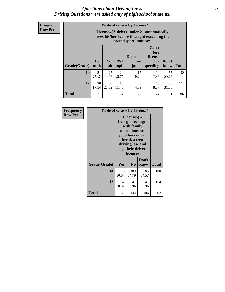### *Questions about Driving Laws* **62** *Driving Questions were asked only of high school students.*

**Frequency Row Pct**

| <b>Table of Grade by License4</b> |              |                                                                                                                                                      |             |            |            |             |     |  |
|-----------------------------------|--------------|------------------------------------------------------------------------------------------------------------------------------------------------------|-------------|------------|------------|-------------|-----|--|
|                                   |              | License4(A driver under 21 automatically<br>loses his/her license if caught exceeding the<br>posted speet limit by:)                                 |             |            |            |             |     |  |
| Grade(Grade)                      | $15+$<br>mph | Can't<br>lose<br><b>Depends</b><br>license<br>$25+$<br>$35+$<br>Don't<br>for<br><b>on</b><br>speeding<br><b>Total</b><br>mph<br>know<br>mph<br>judge |             |            |            |             |     |  |
| 10                                | 51<br>27.13  | 27<br>14.36                                                                                                                                          | 24<br>12.77 | 17<br>9.04 | 14<br>7.45 | 55<br>29.26 | 188 |  |
| 12                                | 20<br>17.54  | 30<br>26.32                                                                                                                                          | 13<br>11.40 | 5<br>4.39  | 10<br>8.77 | 36<br>31.58 | 114 |  |
| <b>Total</b>                      | 71           | 57                                                                                                                                                   | 37          | 22         | 24         | 91          | 302 |  |

| Frequency      | <b>Table of Grade by License5</b> |             |                                                                                                                                                             |               |       |
|----------------|-----------------------------------|-------------|-------------------------------------------------------------------------------------------------------------------------------------------------------------|---------------|-------|
| <b>Row Pct</b> |                                   |             | License5(A)<br>Georgia teenager<br>with family<br>connections or a<br>good lawyer can<br>break a teen<br>driving law and<br>keep their driver's<br>license) |               |       |
|                | Grade(Grade)                      | <b>Yes</b>  | N <sub>0</sub>                                                                                                                                              | Don't<br>know | Total |
|                | 10                                | 20<br>10.64 | 103<br>54.79                                                                                                                                                | 65<br>34.57   | 188   |
|                | 12                                | 32<br>28.07 | 41<br>35.96                                                                                                                                                 | 41<br>35.96   | 114   |
|                | <b>Total</b>                      | 52          | 144                                                                                                                                                         | 106           | 302   |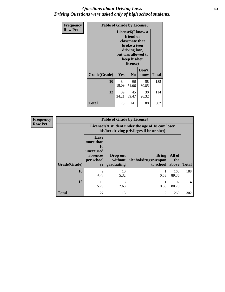### *Questions about Driving Laws* **63** *Driving Questions were asked only of high school students.*

| <b>Frequency</b> | <b>Table of Grade by License6</b> |             |                                                                                                                           |                    |              |  |
|------------------|-----------------------------------|-------------|---------------------------------------------------------------------------------------------------------------------------|--------------------|--------------|--|
| <b>Row Pct</b>   |                                   |             | License <sub>6</sub> (I know a<br>friend or<br>classmate that<br>broke a teen<br>driving law,<br>keep his/her<br>license) | but was allowed to |              |  |
|                  | Grade(Grade)                      | Yes         | N <sub>0</sub>                                                                                                            | Don't<br>know      | <b>Total</b> |  |
|                  | 10                                | 34<br>18.09 | 96<br>51.06                                                                                                               | 58<br>30.85        | 188          |  |
|                  | 12                                | 39<br>34.21 | 45<br>39.47                                                                                                               | 30<br>26.32        | 114          |  |
|                  | <b>Total</b>                      | 73          | 141                                                                                                                       | 88                 | 302          |  |

| Frequency      | <b>Table of Grade by License7</b> |                                                                                               |                                     |                                                   |                        |              |  |  |
|----------------|-----------------------------------|-----------------------------------------------------------------------------------------------|-------------------------------------|---------------------------------------------------|------------------------|--------------|--|--|
| <b>Row Pct</b> |                                   | License7(A student under the age of 18 cam loser<br>his/her driving privileges if he or she:) |                                     |                                                   |                        |              |  |  |
|                | Grade(Grade)                      | <b>Have</b><br>more than<br>10<br>unexcused<br>absences<br>per school<br>yr                   | Drop out<br>without  <br>graduating | <b>Bring</b><br>alcohol/drugs/weapon<br>to school | All of<br>the<br>above | <b>Total</b> |  |  |
|                | 10                                | 9<br>4.79                                                                                     | 10<br>5.32                          | 0.53                                              | 168<br>89.36           | 188          |  |  |
|                | 12                                | 18<br>15.79                                                                                   | 3<br>2.63                           | 0.88                                              | 92<br>80.70            | 114          |  |  |
|                | <b>Total</b>                      | 27                                                                                            | 13                                  | 2                                                 | 260                    | 302          |  |  |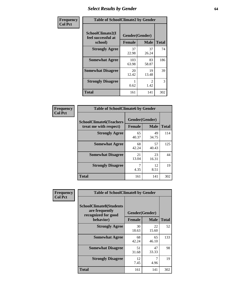# *Select Results by Gender* **64**

| Frequency      | <b>Table of SchoolClimate2 by Gender</b>          |                                 |                        |              |  |  |  |
|----------------|---------------------------------------------------|---------------------------------|------------------------|--------------|--|--|--|
| <b>Col Pct</b> | SchoolClimate2(I<br>feel successful at<br>school) | Gender(Gender)<br><b>Female</b> | <b>Male</b>            | <b>Total</b> |  |  |  |
|                | <b>Strongly Agree</b>                             | 37<br>22.98                     | 37<br>26.24            | 74           |  |  |  |
|                | <b>Somewhat Agree</b>                             | 103<br>63.98                    | 83<br>58.87            | 186          |  |  |  |
|                | <b>Somewhat Disagree</b>                          | 20<br>12.42                     | 19<br>13.48            | 39           |  |  |  |
|                | <b>Strongly Disagree</b>                          | 0.62                            | $\mathfrak{D}$<br>1.42 | 3            |  |  |  |
|                | <b>Total</b>                                      | 161                             | 141                    | 302          |  |  |  |

| Frequency      | <b>Table of SchoolClimate6 by Gender</b>                 |                                 |             |              |  |
|----------------|----------------------------------------------------------|---------------------------------|-------------|--------------|--|
| <b>Col Pct</b> | <b>SchoolClimate6(Teachers</b><br>treat me with respect) | Gender(Gender)<br><b>Female</b> | <b>Male</b> | <b>Total</b> |  |
|                | <b>Strongly Agree</b>                                    | 65<br>40.37                     | 49<br>34.75 | 114          |  |
|                | <b>Somewhat Agree</b>                                    | 68<br>42.24                     | 57<br>40.43 | 125          |  |
|                | <b>Somewhat Disagree</b>                                 | 21<br>13.04                     | 23<br>16.31 | 44           |  |
|                | <b>Strongly Disagree</b>                                 | 7<br>4.35                       | 12<br>8.51  | 19           |  |
|                | <b>Total</b>                                             | 161                             | 141         | 302          |  |

| <b>Frequency</b> |                                                                                      | <b>Table of SchoolClimate8 by Gender</b> |                               |              |  |  |
|------------------|--------------------------------------------------------------------------------------|------------------------------------------|-------------------------------|--------------|--|--|
| <b>Col Pct</b>   | <b>SchoolClimate8(Students</b><br>are frequently<br>recognized for good<br>behavior) | <b>Female</b>                            | Gender(Gender)<br><b>Male</b> | <b>Total</b> |  |  |
|                  | <b>Strongly Agree</b>                                                                | 30<br>18.63                              | 22<br>15.60                   | 52           |  |  |
|                  | <b>Somewhat Agree</b>                                                                | 68<br>42.24                              | 65<br>46.10                   | 133          |  |  |
|                  | <b>Somewhat Disagree</b>                                                             | 51<br>31.68                              | 47<br>33.33                   | 98           |  |  |
|                  | <b>Strongly Disagree</b>                                                             | 12<br>7.45                               | 7<br>4.96                     | 19           |  |  |
|                  | Total                                                                                | 161                                      | 141                           | 302          |  |  |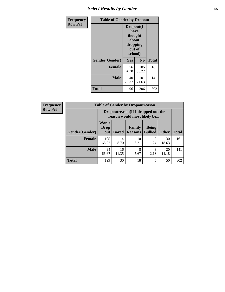# *Select Results by Gender* **65**

| <b>Frequency</b> | <b>Table of Gender by Dropout</b> |                                                     |                 |              |
|------------------|-----------------------------------|-----------------------------------------------------|-----------------|--------------|
| <b>Row Pct</b>   |                                   | Dropout(I<br>have<br>thought<br>dropping<br>school) | about<br>out of |              |
|                  | Gender(Gender)                    | Yes                                                 | No              | <b>Total</b> |
|                  | <b>Female</b>                     | 56<br>34.78                                         | 105<br>65.22    | 161          |
|                  | <b>Male</b>                       | 40<br>28.37                                         | 101<br>71.63    | 141          |
|                  | <b>Total</b>                      | 96                                                  | 206             | 302          |

| <b>Frequency</b> |
|------------------|
| <b>Row Pct</b>   |

| V | <b>Table of Gender by Dropoutreason</b> |                      |                                                                                            |            |           |             |     |  |
|---|-----------------------------------------|----------------------|--------------------------------------------------------------------------------------------|------------|-----------|-------------|-----|--|
|   |                                         |                      | Dropoutreason (If I dropped out the<br>reason would most likely be)                        |            |           |             |     |  |
|   | Gender(Gender)                          | Won't<br>Drop<br>out | Family<br><b>Being</b><br><b>Bullied</b><br><b>Other</b><br><b>Bored</b><br><b>Reasons</b> |            |           |             |     |  |
|   | <b>Female</b>                           | 105<br>65.22         | 14<br>8.70                                                                                 | 10<br>6.21 | っ<br>1.24 | 30<br>18.63 | 161 |  |
|   | <b>Male</b>                             | 94<br>66.67          | 16<br>11.35                                                                                | 8<br>5.67  | 2.13      | 20<br>14.18 | 141 |  |
|   | <b>Total</b>                            | 199                  | 30                                                                                         | 18         | 5         | 50          | 302 |  |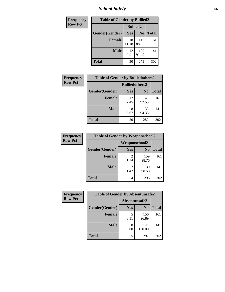*School Safety* **66**

| Frequency      | <b>Table of Gender by Bullied2</b> |                 |                |              |
|----------------|------------------------------------|-----------------|----------------|--------------|
| <b>Row Pct</b> |                                    | <b>Bullied2</b> |                |              |
|                | Gender(Gender)                     | Yes             | N <sub>0</sub> | <b>Total</b> |
|                | <b>Female</b>                      | 18<br>11.18     | 143<br>88.82   | 161          |
|                | <b>Male</b>                        | 12<br>8.51      | 129<br>91.49   | 141          |
|                | <b>Total</b>                       | 30              | 272            | 302          |

| Frequency      | <b>Table of Gender by Bulliedothers2</b> |                       |                |              |
|----------------|------------------------------------------|-----------------------|----------------|--------------|
| <b>Row Pct</b> |                                          | <b>Bulliedothers2</b> |                |              |
|                | Gender(Gender)                           | <b>Yes</b>            | N <sub>0</sub> | <b>Total</b> |
|                | <b>Female</b>                            | 12<br>7.45            | 149<br>92.55   | 161          |
|                | <b>Male</b>                              | 8<br>5.67             | 133<br>94.33   | 141          |
|                | <b>Total</b>                             | 20                    | 282            | 302          |

| Frequency      | <b>Table of Gender by Weaponschool2</b> |               |                |              |
|----------------|-----------------------------------------|---------------|----------------|--------------|
| <b>Row Pct</b> |                                         | Weaponschool2 |                |              |
|                | Gender(Gender)                          | <b>Yes</b>    | N <sub>0</sub> | <b>Total</b> |
|                | <b>Female</b>                           | 1.24          | 159<br>98.76   | 161          |
|                | <b>Male</b>                             | 2<br>1.42     | 139<br>98.58   | 141          |
|                | <b>Total</b>                            | 4             | 298            | 302          |

| Frequency      | <b>Table of Gender by Absentunsafe2</b> |               |                |              |
|----------------|-----------------------------------------|---------------|----------------|--------------|
| <b>Row Pct</b> |                                         | Absentunsafe2 |                |              |
|                | Gender(Gender)                          | Yes           | N <sub>0</sub> | <b>Total</b> |
|                | <b>Female</b>                           | 3.11          | 156<br>96.89   | 161          |
|                | <b>Male</b>                             | 0.00          | 141<br>100.00  | 141          |
|                | <b>Total</b>                            | 5             | 297            | 302          |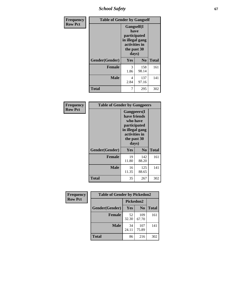*School Safety* **67**

| Frequency      |                | <b>Table of Gender by Gangself</b>                                                                     |                |              |  |
|----------------|----------------|--------------------------------------------------------------------------------------------------------|----------------|--------------|--|
| <b>Row Pct</b> |                | <b>Gangself</b> (I<br>have<br>participated<br>in illegal gang<br>activities in<br>the past 30<br>days) |                |              |  |
|                | Gender(Gender) | Yes                                                                                                    | N <sub>0</sub> | <b>Total</b> |  |
|                | <b>Female</b>  | 3<br>1.86                                                                                              | 158<br>98.14   | 161          |  |
|                | <b>Male</b>    | 4<br>2.84                                                                                              | 137<br>97.16   | 141          |  |
|                | <b>Total</b>   | 7                                                                                                      | 295            | 302          |  |

| Frequency      | <b>Table of Gender by Gangpeers</b> |                                                                                                                             |                |              |
|----------------|-------------------------------------|-----------------------------------------------------------------------------------------------------------------------------|----------------|--------------|
| <b>Row Pct</b> |                                     | <b>Gangpeers</b> (I<br>have friends<br>who have<br>participated<br>in illegal gang<br>activities in<br>the past 30<br>days) |                |              |
|                | Gender(Gender)                      | <b>Yes</b>                                                                                                                  | N <sub>0</sub> | <b>Total</b> |
|                | <b>Female</b>                       | 19<br>11.80                                                                                                                 | 142<br>88.20   | 161          |
|                | <b>Male</b>                         | 16<br>11.35                                                                                                                 | 125<br>88.65   | 141          |
|                | Total                               | 35                                                                                                                          | 267            | 302          |

| Frequency      | <b>Table of Gender by Pickedon2</b> |             |                |              |
|----------------|-------------------------------------|-------------|----------------|--------------|
| <b>Row Pct</b> |                                     | Pickedon2   |                |              |
|                | Gender(Gender)                      | Yes         | N <sub>0</sub> | <b>Total</b> |
|                | <b>Female</b>                       | 52<br>32.30 | 109<br>67.70   | 161          |
|                | <b>Male</b>                         | 34<br>24.11 | 107<br>75.89   | 141          |
|                | <b>Total</b>                        | 86          | 216            | 302          |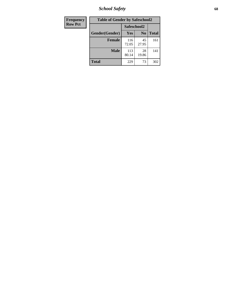*School Safety* **68**

| Frequency      | <b>Table of Gender by Safeschool2</b> |              |                |              |
|----------------|---------------------------------------|--------------|----------------|--------------|
| <b>Row Pct</b> |                                       | Safeschool2  |                |              |
|                | Gender(Gender)                        | <b>Yes</b>   | N <sub>0</sub> | <b>Total</b> |
|                | <b>Female</b>                         | 116<br>72.05 | 45<br>27.95    | 161          |
|                | <b>Male</b>                           | 113<br>80.14 | 28<br>19.86    | 141          |
|                | <b>Total</b>                          | 229          | 73             | 302          |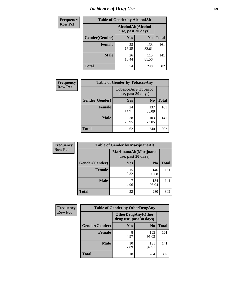# *Incidence of Drug Use* 69

| <b>Frequency</b> | <b>Table of Gender by AlcoholAlt</b>     |             |                |              |  |
|------------------|------------------------------------------|-------------|----------------|--------------|--|
| <b>Row Pct</b>   | AlcoholAlt(Alcohol<br>use, past 30 days) |             |                |              |  |
|                  | Gender(Gender)                           | Yes         | N <sub>0</sub> | <b>Total</b> |  |
|                  | <b>Female</b>                            | 28<br>17.39 | 133<br>82.61   | 161          |  |
|                  | <b>Male</b>                              | 26<br>18.44 | 115<br>81.56   | 141          |  |
|                  | <b>Total</b>                             | 54          | 248            | 302          |  |

| Frequency      | <b>Table of Gender by TobaccoAny</b> |                                          |                |              |
|----------------|--------------------------------------|------------------------------------------|----------------|--------------|
| <b>Row Pct</b> |                                      | TobaccoAny(Tobacco<br>use, past 30 days) |                |              |
|                | Gender(Gender)                       | Yes                                      | N <sub>0</sub> | <b>Total</b> |
|                | <b>Female</b>                        | 24<br>14.91                              | 137<br>85.09   | 161          |
|                | <b>Male</b>                          | 38<br>26.95                              | 103<br>73.05   | 141          |
|                | Total                                | 62                                       | 240            | 302          |

| <b>Frequency</b> | <b>Table of Gender by MarijuanaAlt</b> |            |                                              |              |
|------------------|----------------------------------------|------------|----------------------------------------------|--------------|
| <b>Row Pct</b>   |                                        |            | MarijuanaAlt(Marijuana<br>use, past 30 days) |              |
|                  | Gender(Gender)                         | Yes        | N <sub>0</sub>                               | <b>Total</b> |
|                  | <b>Female</b>                          | 15<br>9.32 | 146<br>90.68                                 | 161          |
|                  | <b>Male</b>                            | 4.96       | 134<br>95.04                                 | 141          |
|                  | <b>Total</b>                           | 22         | 280                                          | 302          |

| <b>Frequency</b> | <b>Table of Gender by OtherDrugAny</b> |                         |                            |              |  |
|------------------|----------------------------------------|-------------------------|----------------------------|--------------|--|
| <b>Row Pct</b>   |                                        | drug use, past 30 days) | <b>OtherDrugAny</b> (Other |              |  |
|                  | Gender(Gender)                         | <b>Yes</b>              | N <sub>0</sub>             | <b>Total</b> |  |
|                  | <b>Female</b>                          | 4.97                    | 153<br>95.03               | 161          |  |
|                  | <b>Male</b>                            | 10<br>7.09              | 131<br>92.91               | 141          |  |
|                  | <b>Total</b>                           | 18                      | 284                        | 302          |  |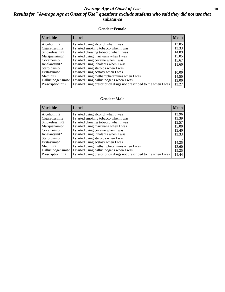### *Average Age at Onset of Use* 70 *Results for "Average Age at Onset of Use" questions exclude students who said they did not use that substance*

#### **Gender=Female**

| <b>Variable</b>    | <b>Label</b>                                                       | <b>Mean</b> |
|--------------------|--------------------------------------------------------------------|-------------|
| Alcoholinit2       | I started using alcohol when I was                                 | 13.85       |
| Cigarettesinit2    | I started smoking tobacco when I was                               | 13.33       |
| Smokelessinit2     | I started chewing tobacco when I was                               | 14.89       |
| Marijuanainit2     | I started using marijuana when I was                               | 15.05       |
| Cocaineinit2       | I started using cocaine when I was                                 | 15.67       |
| Inhalantsinit2     | I started using inhalants when I was                               | 11.60       |
| Steroidsinit2      | I started using steroids when I was                                |             |
| Ecstasyinit2       | I started using ecstasy when I was                                 | 10.00       |
| Methinit2          | I started using methamphetamines when I was                        | 14.50       |
| Hallucinogensinit2 | I started using hallucinogens when I was                           | 13.00       |
| Prescription in t2 | I started using prescription drugs not prescribed to me when I was | 13.27       |

#### **Gender=Male**

| <b>Variable</b>    | Label                                                              | <b>Mean</b> |
|--------------------|--------------------------------------------------------------------|-------------|
| Alcoholinit2       | I started using alcohol when I was                                 | 13.96       |
| Cigarettesinit2    | I started smoking tobacco when I was                               | 13.39       |
| Smokelessinit2     | I started chewing tobacco when I was                               | 13.57       |
| Marijuanainit2     | I started using marijuana when I was                               | 15.00       |
| Cocaineinit2       | I started using cocaine when I was                                 | 13.40       |
| Inhalantsinit2     | I started using inhalants when I was                               | 13.33       |
| Steroidsinit2      | I started using steroids when I was                                |             |
| Ecstasyinit2       | I started using ecstasy when I was                                 | 14.25       |
| Methinit2          | I started using methamphetamines when I was                        | 13.60       |
| Hallucinogensinit2 | I started using hallucinogens when I was                           | 15.25       |
| Prescription in t2 | I started using prescription drugs not prescribed to me when I was | 14.44       |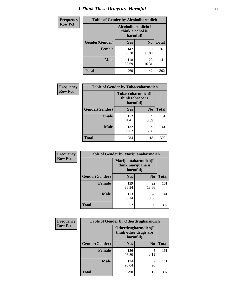# *I Think These Drugs are Harmful* **71**

| <b>Frequency</b> | <b>Table of Gender by Alcoholharmdich</b> |                                                   |                |              |
|------------------|-------------------------------------------|---------------------------------------------------|----------------|--------------|
| <b>Row Pct</b>   |                                           | Alcoholharmdich(I<br>think alcohol is<br>harmful) |                |              |
|                  | Gender(Gender)                            | <b>Yes</b>                                        | N <sub>0</sub> | <b>Total</b> |
|                  | <b>Female</b>                             | 142<br>88.20                                      | 19<br>11.80    | 161          |
|                  | <b>Male</b>                               | 118<br>83.69                                      | 23<br>16.31    | 141          |
|                  | Total                                     | 260                                               | 42             | 302          |

| Frequency      | <b>Table of Gender by Tobaccoharmdich</b> |                  |                               |              |
|----------------|-------------------------------------------|------------------|-------------------------------|--------------|
| <b>Row Pct</b> |                                           | think tobacco is | Tobaccoharmdich(I<br>harmful) |              |
|                | Gender(Gender)                            | Yes              | N <sub>0</sub>                | <b>Total</b> |
|                | <b>Female</b>                             | 152<br>94.41     | 9<br>5.59                     | 161          |
|                | <b>Male</b>                               | 132<br>93.62     | 9<br>6.38                     | 141          |
|                | <b>Total</b>                              | 284              | 18                            | 302          |

| Frequency      | <b>Table of Gender by Marijuanaharmdich</b> |                                                       |                |              |  |
|----------------|---------------------------------------------|-------------------------------------------------------|----------------|--------------|--|
| <b>Row Pct</b> |                                             | Marijuanaharmdich(I<br>think marijuana is<br>harmful) |                |              |  |
|                | Gender(Gender)                              | <b>Yes</b>                                            | N <sub>0</sub> | <b>Total</b> |  |
|                | <b>Female</b>                               | 139<br>86.34                                          | 22<br>13.66    | 161          |  |
|                | <b>Male</b>                                 | 113<br>80.14                                          | 28<br>19.86    | 141          |  |
|                | <b>Total</b>                                | 252                                                   | 50             | 302          |  |

| Frequency      | <b>Table of Gender by Otherdrugharmdich</b> |                                   |                     |              |  |
|----------------|---------------------------------------------|-----------------------------------|---------------------|--------------|--|
| <b>Row Pct</b> |                                             | think other drugs are<br>harmful) | Otherdrugharmdich(I |              |  |
|                | Gender(Gender)                              | <b>Yes</b>                        | N <sub>0</sub>      | <b>Total</b> |  |
|                | <b>Female</b>                               | 156<br>96.89                      | 5<br>3.11           | 161          |  |
|                | <b>Male</b>                                 | 134<br>95.04                      | 4.96                | 141          |  |
|                | <b>Total</b>                                | 290                               | 12                  | 302          |  |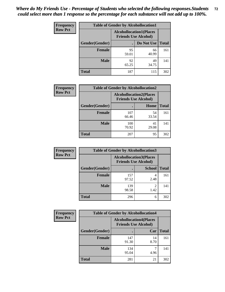| <b>Frequency</b> | <b>Table of Gender by Alcohollocation1</b>                    |             |             |              |
|------------------|---------------------------------------------------------------|-------------|-------------|--------------|
| <b>Row Pct</b>   | <b>Alcohollocation1(Places</b><br><b>Friends Use Alcohol)</b> |             |             |              |
|                  | Gender(Gender)                                                |             | Do Not Use  | <b>Total</b> |
|                  | <b>Female</b>                                                 | 95<br>59.01 | 66<br>40.99 | 161          |
|                  | <b>Male</b>                                                   | 92<br>65.25 | 49<br>34.75 | 141          |
|                  | <b>Total</b>                                                  | 187         | 115         | 302          |

| <b>Frequency</b> | <b>Table of Gender by Alcohollocation2</b> |                                                               |             |              |
|------------------|--------------------------------------------|---------------------------------------------------------------|-------------|--------------|
| <b>Row Pct</b>   |                                            | <b>Alcohollocation2(Places</b><br><b>Friends Use Alcohol)</b> |             |              |
|                  | Gender(Gender)                             |                                                               | Home        | <b>Total</b> |
|                  | <b>Female</b>                              | 107<br>66.46                                                  | 54<br>33.54 | 161          |
|                  | <b>Male</b>                                | 100<br>70.92                                                  | 41<br>29.08 | 141          |
|                  | <b>Total</b>                               | 207                                                           | 95          | 302          |

| Frequency      | <b>Table of Gender by Alcohollocation3</b> |                                                               |               |              |
|----------------|--------------------------------------------|---------------------------------------------------------------|---------------|--------------|
| <b>Row Pct</b> |                                            | <b>Alcohollocation3(Places</b><br><b>Friends Use Alcohol)</b> |               |              |
|                | Gender(Gender)                             |                                                               | <b>School</b> | <b>Total</b> |
|                | <b>Female</b>                              | 157<br>97.52                                                  | 2.48          | 161          |
|                | <b>Male</b>                                | 139<br>98.58                                                  | 1.42          | 141          |
|                | <b>Total</b>                               | 296                                                           | 6             | 302          |

| <b>Frequency</b> | <b>Table of Gender by Alcohollocation4</b> |                                                               |            |              |
|------------------|--------------------------------------------|---------------------------------------------------------------|------------|--------------|
| <b>Row Pct</b>   |                                            | <b>Alcohollocation4(Places</b><br><b>Friends Use Alcohol)</b> |            |              |
|                  | Gender(Gender)                             |                                                               | Car        | <b>Total</b> |
|                  | <b>Female</b>                              | 147<br>91.30                                                  | 14<br>8.70 | 161          |
|                  | <b>Male</b>                                | 134<br>95.04                                                  | 4.96       | 141          |
|                  | <b>Total</b>                               | 281                                                           | 21         | 302          |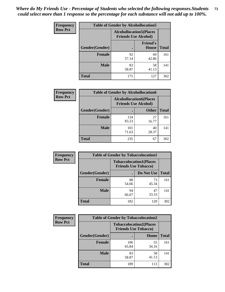| <b>Frequency</b> | <b>Table of Gender by Alcohollocation5</b> |                                                                |                                 |              |
|------------------|--------------------------------------------|----------------------------------------------------------------|---------------------------------|--------------|
| <b>Row Pct</b>   |                                            | <b>Alcohollocation5</b> (Places<br><b>Friends Use Alcohol)</b> |                                 |              |
|                  | Gender(Gender)                             |                                                                | <b>Friend's</b><br><b>House</b> | <b>Total</b> |
|                  | <b>Female</b>                              | 92<br>57.14                                                    | 69<br>42.86                     | 161          |
|                  | <b>Male</b>                                | 83<br>58.87                                                    | 58<br>41.13                     | 141          |
|                  | <b>Total</b>                               | 175                                                            | 127                             | 302          |

| Frequency      | <b>Table of Gender by Alcohollocation6</b> |                                                               |              |              |
|----------------|--------------------------------------------|---------------------------------------------------------------|--------------|--------------|
| <b>Row Pct</b> |                                            | <b>Alcohollocation6(Places</b><br><b>Friends Use Alcohol)</b> |              |              |
|                | Gender(Gender)                             |                                                               | <b>Other</b> | <b>Total</b> |
|                | <b>Female</b>                              | 134<br>83.23                                                  | 27<br>16.77  | 161          |
|                | <b>Male</b>                                | 101<br>71.63                                                  | 40<br>28.37  | 141          |
|                | <b>Total</b>                               | 235                                                           | 67           | 302          |

| Frequency      | <b>Table of Gender by Tobaccolocation1</b> |                                                               |             |              |  |
|----------------|--------------------------------------------|---------------------------------------------------------------|-------------|--------------|--|
| <b>Row Pct</b> |                                            | <b>Tobaccolocation1(Places</b><br><b>Friends Use Tobacco)</b> |             |              |  |
|                | Gender(Gender)                             |                                                               | Do Not Use  | <b>Total</b> |  |
|                | <b>Female</b>                              | 88<br>54.66                                                   | 73<br>45.34 | 161          |  |
|                | <b>Male</b>                                | 94<br>66.67                                                   | 47<br>33.33 | 141          |  |
|                | <b>Total</b>                               | 182                                                           | 120         | 302          |  |

| <b>Frequency</b> | <b>Table of Gender by Tobaccolocation2</b> |                                                               |             |              |
|------------------|--------------------------------------------|---------------------------------------------------------------|-------------|--------------|
| <b>Row Pct</b>   |                                            | <b>Tobaccolocation2(Places</b><br><b>Friends Use Tobacco)</b> |             |              |
|                  | Gender(Gender)                             |                                                               | Home        | <b>Total</b> |
|                  | Female                                     | 106<br>65.84                                                  | 55<br>34.16 | 161          |
|                  | <b>Male</b>                                | 83<br>58.87                                                   | 58<br>41.13 | 141          |
|                  | <b>Total</b>                               | 189                                                           | 113         | 302          |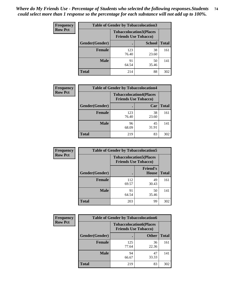| <b>Frequency</b> | <b>Table of Gender by Tobaccolocation3</b> |              |                                                               |              |
|------------------|--------------------------------------------|--------------|---------------------------------------------------------------|--------------|
| <b>Row Pct</b>   |                                            |              | <b>Tobaccolocation3(Places</b><br><b>Friends Use Tobacco)</b> |              |
|                  | Gender(Gender)                             |              | <b>School</b>                                                 | <b>Total</b> |
|                  | Female                                     | 123<br>76.40 | 38<br>23.60                                                   | 161          |
|                  | <b>Male</b>                                | 91<br>64.54  | 50<br>35.46                                                   | 141          |
|                  | <b>Total</b>                               | 214          | 88                                                            | 302          |

| <b>Frequency</b> | <b>Table of Gender by Tobaccolocation4</b> |              |                                                               |              |
|------------------|--------------------------------------------|--------------|---------------------------------------------------------------|--------------|
| <b>Row Pct</b>   |                                            |              | <b>Tobaccolocation4(Places</b><br><b>Friends Use Tobacco)</b> |              |
|                  | Gender(Gender)                             |              | Car                                                           | <b>Total</b> |
|                  | <b>Female</b>                              | 123<br>76.40 | 38<br>23.60                                                   | 161          |
|                  | <b>Male</b>                                | 96<br>68.09  | 45<br>31.91                                                   | 141          |
|                  | <b>Total</b>                               | 219          | 83                                                            | 302          |

| <b>Frequency</b> | <b>Table of Gender by Tobaccolocation5</b> |                                                               |                                 |              |
|------------------|--------------------------------------------|---------------------------------------------------------------|---------------------------------|--------------|
| <b>Row Pct</b>   |                                            | <b>Tobaccolocation5(Places</b><br><b>Friends Use Tobacco)</b> |                                 |              |
|                  | <b>Gender(Gender)</b>                      |                                                               | <b>Friend's</b><br><b>House</b> | <b>Total</b> |
|                  | <b>Female</b>                              | 112<br>69.57                                                  | 49<br>30.43                     | 161          |
|                  | <b>Male</b>                                | 91<br>64.54                                                   | 50<br>35.46                     | 141          |
|                  | <b>Total</b>                               | 203                                                           | 99                              | 302          |

| <b>Frequency</b> | <b>Table of Gender by Tobaccolocation6</b> |                                                               |              |              |
|------------------|--------------------------------------------|---------------------------------------------------------------|--------------|--------------|
| <b>Row Pct</b>   |                                            | <b>Tobaccolocation6(Places</b><br><b>Friends Use Tobacco)</b> |              |              |
|                  | Gender(Gender)                             |                                                               | <b>Other</b> | <b>Total</b> |
|                  | Female                                     | 125<br>77.64                                                  | 36<br>22.36  | 161          |
|                  | <b>Male</b>                                | 94<br>66.67                                                   | 47<br>33.33  | 141          |
|                  | <b>Total</b>                               | 219                                                           | 83           | 302          |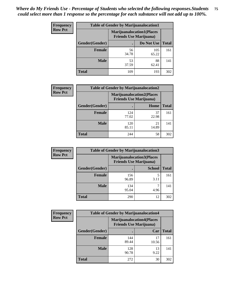| <b>Frequency</b> | <b>Table of Gender by Marijuanalocation1</b> |                                                                    |              |              |  |
|------------------|----------------------------------------------|--------------------------------------------------------------------|--------------|--------------|--|
| <b>Row Pct</b>   |                                              | <b>Marijuanalocation1(Places</b><br><b>Friends Use Marijuana</b> ) |              |              |  |
|                  | Gender(Gender)                               |                                                                    | Do Not Use   | <b>Total</b> |  |
|                  | <b>Female</b>                                | 56<br>34.78                                                        | 105<br>65.22 | 161          |  |
|                  | <b>Male</b>                                  | 53<br>37.59                                                        | 88<br>62.41  | 141          |  |
|                  | <b>Total</b>                                 | 109                                                                | 193          | 302          |  |

| <b>Frequency</b> |                | <b>Table of Gender by Marijuanalocation2</b>                       |             |              |
|------------------|----------------|--------------------------------------------------------------------|-------------|--------------|
| <b>Row Pct</b>   |                | <b>Marijuanalocation2(Places</b><br><b>Friends Use Marijuana</b> ) |             |              |
|                  | Gender(Gender) |                                                                    | Home        | <b>Total</b> |
|                  | <b>Female</b>  | 124<br>77.02                                                       | 37<br>22.98 | 161          |
|                  | <b>Male</b>    | 120<br>85.11                                                       | 21<br>14.89 | 141          |
|                  | <b>Total</b>   | 244                                                                | 58          | 302          |

| Frequency      | <b>Table of Gender by Marijuanalocation3</b> |                                                                     |               |              |
|----------------|----------------------------------------------|---------------------------------------------------------------------|---------------|--------------|
| <b>Row Pct</b> |                                              | <b>Marijuanalocation3(Places)</b><br><b>Friends Use Marijuana</b> ) |               |              |
|                | Gender(Gender)                               |                                                                     | <b>School</b> | <b>Total</b> |
|                | Female                                       | 156<br>96.89                                                        | 3.11          | 161          |
|                | <b>Male</b>                                  | 134<br>95.04                                                        | 4.96          | 141          |
|                | <b>Total</b>                                 | 290                                                                 | 12            | 302          |

| <b>Frequency</b> | <b>Table of Gender by Marijuanalocation4</b> |                                                                    |             |              |
|------------------|----------------------------------------------|--------------------------------------------------------------------|-------------|--------------|
| <b>Row Pct</b>   |                                              | <b>Marijuanalocation4(Places</b><br><b>Friends Use Marijuana</b> ) |             |              |
|                  | Gender(Gender)                               |                                                                    | Car         | <b>Total</b> |
|                  | <b>Female</b>                                | 144<br>89.44                                                       | 17<br>10.56 | 161          |
|                  | <b>Male</b>                                  | 128<br>90.78                                                       | 13<br>9.22  | 141          |
|                  | <b>Total</b>                                 | 272                                                                | 30          | 302          |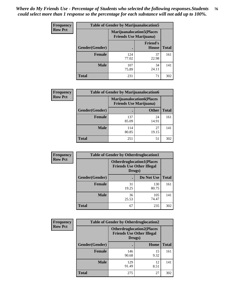| <b>Frequency</b> | <b>Table of Gender by Marijuanalocation5</b> |                                                                     |                          |              |
|------------------|----------------------------------------------|---------------------------------------------------------------------|--------------------------|--------------|
| <b>Row Pct</b>   |                                              | <b>Marijuanalocation5</b> (Places<br><b>Friends Use Marijuana</b> ) |                          |              |
|                  | Gender(Gender)                               |                                                                     | <b>Friend's</b><br>House | <b>Total</b> |
|                  | <b>Female</b>                                | 124<br>77.02                                                        | 37<br>22.98              | 161          |
|                  | <b>Male</b>                                  | 107<br>75.89                                                        | 34<br>24.11              | 141          |
|                  | <b>Total</b>                                 | 231                                                                 | 71                       | 302          |

| <b>Frequency</b> | <b>Table of Gender by Marijuanalocation6</b> |                                |                                  |              |
|------------------|----------------------------------------------|--------------------------------|----------------------------------|--------------|
| <b>Row Pct</b>   |                                              | <b>Friends Use Marijuana</b> ) | <b>Marijuanalocation6(Places</b> |              |
|                  | <b>Gender</b> (Gender)                       |                                | <b>Other</b>                     | <b>Total</b> |
|                  | <b>Female</b>                                | 137<br>85.09                   | 24<br>14.91                      | 161          |
|                  | <b>Male</b>                                  | 114<br>80.85                   | 27<br>19.15                      | 141          |
|                  | <b>Total</b>                                 | 251                            | 51                               | 302          |

| <b>Frequency</b> | <b>Table of Gender by Otherdruglocation1</b> |             |                                                                                |              |
|------------------|----------------------------------------------|-------------|--------------------------------------------------------------------------------|--------------|
| <b>Row Pct</b>   |                                              |             | <b>Otherdruglocation1(Places</b><br><b>Friends Use Other Illegal</b><br>Drugs) |              |
|                  | <b>Gender</b> (Gender)                       |             | Do Not Use                                                                     | <b>Total</b> |
|                  | <b>Female</b>                                | 31<br>19.25 | 130<br>80.75                                                                   | 161          |
|                  | <b>Male</b>                                  | 36<br>25.53 | 105<br>74.47                                                                   | 141          |
|                  | <b>Total</b>                                 | 67          | 235                                                                            | 302          |

| Frequency      | <b>Table of Gender by Otherdruglocation2</b> |                                                                                |            |              |
|----------------|----------------------------------------------|--------------------------------------------------------------------------------|------------|--------------|
| <b>Row Pct</b> |                                              | <b>Otherdruglocation2(Places</b><br><b>Friends Use Other Illegal</b><br>Drugs) |            |              |
|                | Gender(Gender)                               |                                                                                | Home       | <b>Total</b> |
|                | Female                                       | 146<br>90.68                                                                   | 15<br>9.32 | 161          |
|                | <b>Male</b>                                  | 129<br>91.49                                                                   | 12<br>8.51 | 141          |
|                | <b>Total</b>                                 | 275                                                                            | 27         | 302          |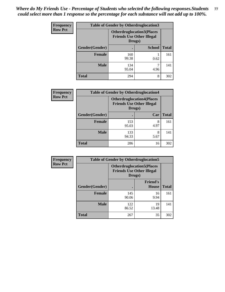| <b>Frequency</b> | <b>Table of Gender by Otherdruglocation3</b> |                                                                                |               |              |
|------------------|----------------------------------------------|--------------------------------------------------------------------------------|---------------|--------------|
| <b>Row Pct</b>   |                                              | <b>Otherdruglocation3(Places</b><br><b>Friends Use Other Illegal</b><br>Drugs) |               |              |
|                  | Gender(Gender)                               |                                                                                | <b>School</b> | <b>Total</b> |
|                  | Female                                       | 160<br>99.38                                                                   | 0.62          | 161          |
|                  | <b>Male</b>                                  | 134<br>95.04                                                                   | 4.96          | 141          |
|                  | <b>Total</b>                                 | 294                                                                            | 8             | 302          |

| Frequency      | <b>Table of Gender by Otherdruglocation4</b> |                                            |                                  |              |
|----------------|----------------------------------------------|--------------------------------------------|----------------------------------|--------------|
| <b>Row Pct</b> |                                              | <b>Friends Use Other Illegal</b><br>Drugs) | <b>Otherdruglocation4(Places</b> |              |
|                | Gender(Gender)                               |                                            | Car                              | <b>Total</b> |
|                | <b>Female</b>                                | 153<br>95.03                               | 8<br>4.97                        | 161          |
|                | <b>Male</b>                                  | 133<br>94.33                               | 8<br>5.67                        | 141          |
|                | <b>Total</b>                                 | 286                                        | 16                               | 302          |

| <b>Frequency</b> | <b>Table of Gender by Otherdruglocation5</b> |                                                                                |                          |              |
|------------------|----------------------------------------------|--------------------------------------------------------------------------------|--------------------------|--------------|
| <b>Row Pct</b>   |                                              | <b>Otherdruglocation5(Places</b><br><b>Friends Use Other Illegal</b><br>Drugs) |                          |              |
|                  | Gender(Gender)                               |                                                                                | <b>Friend's</b><br>House | <b>Total</b> |
|                  | <b>Female</b>                                | 145<br>90.06                                                                   | 16<br>9.94               | 161          |
|                  | <b>Male</b>                                  | 122<br>86.52                                                                   | 19<br>13.48              | 141          |
|                  | <b>Total</b>                                 | 267                                                                            | 35                       | 302          |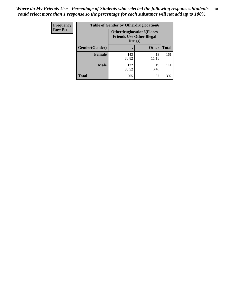| <b>Frequency</b> | <b>Table of Gender by Otherdruglocation6</b> |                                                                                |              |              |
|------------------|----------------------------------------------|--------------------------------------------------------------------------------|--------------|--------------|
| <b>Row Pct</b>   |                                              | <b>Otherdruglocation6(Places</b><br><b>Friends Use Other Illegal</b><br>Drugs) |              |              |
|                  | Gender(Gender)                               |                                                                                | <b>Other</b> | <b>Total</b> |
|                  | <b>Female</b>                                | 143<br>88.82                                                                   | 18<br>11.18  | 161          |
|                  | <b>Male</b>                                  | 122<br>86.52                                                                   | 19<br>13.48  | 141          |
|                  | <b>Total</b>                                 | 265                                                                            | 37           | 302          |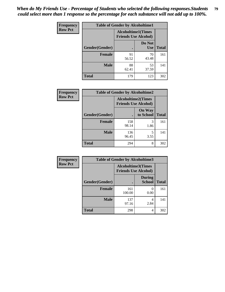| Frequency      | <b>Table of Gender by Alcoholtime1</b> |                                                          |                      |              |
|----------------|----------------------------------------|----------------------------------------------------------|----------------------|--------------|
| <b>Row Pct</b> |                                        | <b>Alcoholtime1(Times</b><br><b>Friends Use Alcohol)</b> |                      |              |
|                | Gender(Gender)                         | $\bullet$                                                | Do Not<br><b>Use</b> | <b>Total</b> |
|                | <b>Female</b>                          | 91<br>56.52                                              | 70<br>43.48          | 161          |
|                | <b>Male</b>                            | 88<br>62.41                                              | 53<br>37.59          | 141          |
|                | <b>Total</b>                           | 179                                                      | 123                  | 302          |

| Frequency      | <b>Table of Gender by Alcoholtime2</b> |                                                          |                            |              |
|----------------|----------------------------------------|----------------------------------------------------------|----------------------------|--------------|
| <b>Row Pct</b> |                                        | <b>Alcoholtime2(Times</b><br><b>Friends Use Alcohol)</b> |                            |              |
|                | Gender(Gender)                         |                                                          | <b>On Way</b><br>to School | <b>Total</b> |
|                | <b>Female</b>                          | 158<br>98.14                                             | 3<br>1.86                  | 161          |
|                | <b>Male</b>                            | 136<br>96.45                                             | 5<br>3.55                  | 141          |
|                | <b>Total</b>                           | 294                                                      | 8                          | 302          |

| Frequency      | <b>Table of Gender by Alcoholtime3</b> |                                                          |                                |              |
|----------------|----------------------------------------|----------------------------------------------------------|--------------------------------|--------------|
| <b>Row Pct</b> |                                        | <b>Alcoholtime3(Times</b><br><b>Friends Use Alcohol)</b> |                                |              |
|                | Gender(Gender)                         |                                                          | <b>During</b><br><b>School</b> | <b>Total</b> |
|                | Female                                 | 161<br>100.00                                            | 0<br>0.00                      | 161          |
|                | <b>Male</b>                            | 137<br>97.16                                             | 4<br>2.84                      | 141          |
|                | <b>Total</b>                           | 298                                                      | 4                              | 302          |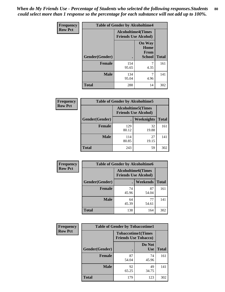*When do My Friends Use - Percentage of Students who selected the following responses.Students could select more than 1 response so the percentage for each substance will not add up to 100%.* **80**

| <b>Frequency</b> | <b>Table of Gender by Alcoholtime4</b> |                           |                                                |              |
|------------------|----------------------------------------|---------------------------|------------------------------------------------|--------------|
| <b>Row Pct</b>   |                                        | <b>Alcoholtime4(Times</b> | <b>Friends Use Alcohol)</b>                    |              |
|                  | Gender(Gender)                         |                           | <b>On Way</b><br>Home<br>From<br><b>School</b> | <b>Total</b> |
|                  | <b>Female</b>                          | 154<br>95.65              | 7<br>4.35                                      | 161          |
|                  | <b>Male</b>                            | 134<br>95.04              | 7<br>4.96                                      | 141          |
|                  | <b>Total</b>                           | 288                       | 14                                             | 302          |

| <b>Frequency</b> | <b>Table of Gender by Alcoholtime5</b> |                                                           |             |              |
|------------------|----------------------------------------|-----------------------------------------------------------|-------------|--------------|
| <b>Row Pct</b>   |                                        | <b>Alcoholtime5</b> (Times<br><b>Friends Use Alcohol)</b> |             |              |
|                  | Gender(Gender)                         |                                                           | Weeknights  | <b>Total</b> |
|                  | <b>Female</b>                          | 129<br>80.12                                              | 32<br>19.88 | 161          |
|                  | <b>Male</b>                            | 114<br>80.85                                              | 27<br>19.15 | 141          |
|                  | <b>Total</b>                           | 243                                                       | 59          | 302          |

| <b>Frequency</b> | <b>Table of Gender by Alcoholtime6</b> |                                                           |             |              |
|------------------|----------------------------------------|-----------------------------------------------------------|-------------|--------------|
| <b>Row Pct</b>   |                                        | <b>Alcoholtime6</b> (Times<br><b>Friends Use Alcohol)</b> |             |              |
|                  | Gender(Gender)                         |                                                           | Weekends    | <b>Total</b> |
|                  | <b>Female</b>                          | 74<br>45.96                                               | 87<br>54.04 | 161          |
|                  | <b>Male</b>                            | 64<br>45.39                                               | 77<br>54.61 | 141          |
|                  | <b>Total</b>                           | 138                                                       | 164         | 302          |

| Frequency      | <b>Table of Gender by Tobaccotime1</b> |                                                          |                      |              |
|----------------|----------------------------------------|----------------------------------------------------------|----------------------|--------------|
| <b>Row Pct</b> |                                        | <b>Tobaccotime1(Times</b><br><b>Friends Use Tobacco)</b> |                      |              |
|                | Gender(Gender)                         |                                                          | Do Not<br><b>Use</b> | <b>Total</b> |
|                | <b>Female</b>                          | 87<br>54.04                                              | 74<br>45.96          | 161          |
|                | <b>Male</b>                            | 92<br>65.25                                              | 49<br>34.75          | 141          |
|                | <b>Total</b>                           | 179                                                      | 123                  | 302          |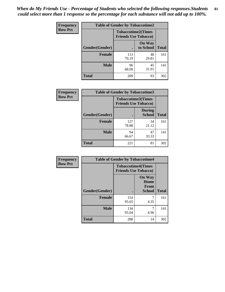*When do My Friends Use - Percentage of Students who selected the following responses.Students could select more than 1 response so the percentage for each substance will not add up to 100%.* **81**

| Frequency      | <b>Table of Gender by Tobaccotime2</b> |                                                          |                            |              |
|----------------|----------------------------------------|----------------------------------------------------------|----------------------------|--------------|
| <b>Row Pct</b> |                                        | <b>Tobaccotime2(Times</b><br><b>Friends Use Tobacco)</b> |                            |              |
|                | Gender(Gender)                         | $\bullet$                                                | <b>On Way</b><br>to School | <b>Total</b> |
|                | <b>Female</b>                          | 113<br>70.19                                             | 48<br>29.81                | 161          |
|                | <b>Male</b>                            | 96<br>68.09                                              | 45<br>31.91                | 141          |
|                | <b>Total</b>                           | 209                                                      | 93                         | 302          |

| Frequency      | <b>Table of Gender by Tobaccotime3</b> |                                                          |                                |              |
|----------------|----------------------------------------|----------------------------------------------------------|--------------------------------|--------------|
| <b>Row Pct</b> |                                        | <b>Tobaccotime3(Times</b><br><b>Friends Use Tobacco)</b> |                                |              |
|                | Gender(Gender)                         |                                                          | <b>During</b><br><b>School</b> | <b>Total</b> |
|                | <b>Female</b>                          | 127<br>78.88                                             | 34<br>21.12                    | 161          |
|                | <b>Male</b>                            | 94<br>66.67                                              | 47<br>33.33                    | 141          |
|                | <b>Total</b>                           | 221                                                      | 81                             | 302          |

| Frequency      | <b>Table of Gender by Tobaccotime4</b> |                                                          |                                                |              |
|----------------|----------------------------------------|----------------------------------------------------------|------------------------------------------------|--------------|
| <b>Row Pct</b> |                                        | <b>Tobaccotime4(Times</b><br><b>Friends Use Tobacco)</b> |                                                |              |
|                | Gender(Gender)                         |                                                          | <b>On Way</b><br>Home<br>From<br><b>School</b> | <b>Total</b> |
|                | <b>Female</b>                          | 154<br>95.65                                             | 4.35                                           | 161          |
|                | <b>Male</b>                            | 134<br>95.04                                             | 7<br>4.96                                      | 141          |
|                | <b>Total</b>                           | 288                                                      | 14                                             | 302          |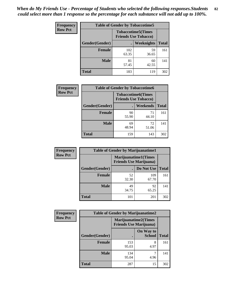| Frequency      | <b>Table of Gender by Tobaccotime5</b> |              |                                                          |              |  |
|----------------|----------------------------------------|--------------|----------------------------------------------------------|--------------|--|
| <b>Row Pct</b> |                                        |              | <b>Tobaccotime5(Times</b><br><b>Friends Use Tobacco)</b> |              |  |
|                | Gender(Gender)                         |              | Weeknights                                               | <b>Total</b> |  |
|                | <b>Female</b>                          | 102<br>63.35 | 59<br>36.65                                              | 161          |  |
|                | <b>Male</b>                            | 81<br>57.45  | 60<br>42.55                                              | 141          |  |
|                | <b>Total</b>                           | 183          | 119                                                      | 302          |  |

| Frequency      | <b>Table of Gender by Tobaccotime6</b> |                             |                           |              |
|----------------|----------------------------------------|-----------------------------|---------------------------|--------------|
| <b>Row Pct</b> |                                        | <b>Friends Use Tobacco)</b> | <b>Tobaccotime6(Times</b> |              |
|                | Gender(Gender)                         |                             | Weekends                  | <b>Total</b> |
|                | Female                                 | 90<br>55.90                 | 71<br>44.10               | 161          |
|                | <b>Male</b>                            | 69<br>48.94                 | 72<br>51.06               | 141          |
|                | <b>Total</b>                           | 159                         | 143                       | 302          |

| <b>Frequency</b> | <b>Table of Gender by Marijuanatime1</b> |                                |                             |              |
|------------------|------------------------------------------|--------------------------------|-----------------------------|--------------|
| <b>Row Pct</b>   |                                          | <b>Friends Use Marijuana</b> ) | <b>Marijuanatime1(Times</b> |              |
|                  | Gender(Gender)                           |                                | Do Not Use                  | <b>Total</b> |
|                  | <b>Female</b>                            | 52<br>32.30                    | 109<br>67.70                | 161          |
|                  | <b>Male</b>                              | 49<br>34.75                    | 92<br>65.25                 | 141          |
|                  | <b>Total</b>                             | 101                            | 201                         | 302          |

| <b>Frequency</b> | <b>Table of Gender by Marijuanatime2</b> |                                                               |                            |              |
|------------------|------------------------------------------|---------------------------------------------------------------|----------------------------|--------------|
| <b>Row Pct</b>   |                                          | <b>Marijuanatime2(Times</b><br><b>Friends Use Marijuana</b> ) |                            |              |
|                  | Gender(Gender)                           |                                                               | On Way to<br><b>School</b> | <b>Total</b> |
|                  | Female                                   | 153<br>95.03                                                  | 8<br>4.97                  | 161          |
|                  | <b>Male</b>                              | 134<br>95.04                                                  | 4.96                       | 141          |
|                  | <b>Total</b>                             | 287                                                           | 15                         | 302          |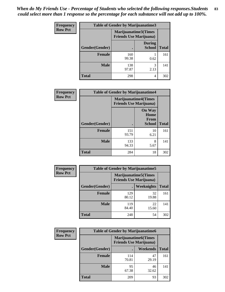*When do My Friends Use - Percentage of Students who selected the following responses.Students could select more than 1 response so the percentage for each substance will not add up to 100%.* **83**

| <b>Frequency</b> | Table of Gender by Marijuanatime3 |                                                                |                                |              |
|------------------|-----------------------------------|----------------------------------------------------------------|--------------------------------|--------------|
| <b>Row Pct</b>   |                                   | <b>Marijuanatime3</b> (Times<br><b>Friends Use Marijuana</b> ) |                                |              |
|                  | Gender(Gender)                    |                                                                | <b>During</b><br><b>School</b> | <b>Total</b> |
|                  | <b>Female</b>                     | 160<br>99.38                                                   | 0.62                           | 161          |
|                  | <b>Male</b>                       | 138<br>97.87                                                   | 3<br>2.13                      | 141          |
|                  | <b>Total</b>                      | 298                                                            | 4                              | 302          |

| Frequency      | <b>Table of Gender by Marijuanatime4</b> |                             |                                                |              |
|----------------|------------------------------------------|-----------------------------|------------------------------------------------|--------------|
| <b>Row Pct</b> |                                          | <b>Marijuanatime4(Times</b> | <b>Friends Use Marijuana</b> )                 |              |
|                | Gender(Gender)                           |                             | <b>On Way</b><br>Home<br>From<br><b>School</b> | <b>Total</b> |
|                | <b>Female</b>                            | 151<br>93.79                | 10<br>6.21                                     | 161          |
|                | <b>Male</b>                              | 133<br>94.33                | 8<br>5.67                                      | 141          |
|                | <b>Total</b>                             | 284                         | 18                                             | 302          |

| Frequency      | <b>Table of Gender by Marijuanatime5</b> |                                                                |             |              |
|----------------|------------------------------------------|----------------------------------------------------------------|-------------|--------------|
| <b>Row Pct</b> |                                          | <b>Marijuanatime5</b> (Times<br><b>Friends Use Marijuana</b> ) |             |              |
|                | Gender(Gender)                           | ٠                                                              | Weeknights  | <b>Total</b> |
|                | <b>Female</b>                            | 129<br>80.12                                                   | 32<br>19.88 | 161          |
|                | <b>Male</b>                              | 119<br>84.40                                                   | 22<br>15.60 | 141          |
|                | <b>Total</b>                             | 248                                                            | 54          | 302          |

| <b>Frequency</b> | <b>Table of Gender by Marijuanatime6</b> |                                                               |                 |              |  |
|------------------|------------------------------------------|---------------------------------------------------------------|-----------------|--------------|--|
| <b>Row Pct</b>   |                                          | <b>Marijuanatime6(Times</b><br><b>Friends Use Marijuana</b> ) |                 |              |  |
|                  | Gender(Gender)                           |                                                               | <b>Weekends</b> | <b>Total</b> |  |
|                  | Female                                   | 114<br>70.81                                                  | 47<br>29.19     | 161          |  |
|                  | <b>Male</b>                              | 95<br>67.38                                                   | 46<br>32.62     | 141          |  |
|                  | <b>Total</b>                             | 209                                                           | 93              | 302          |  |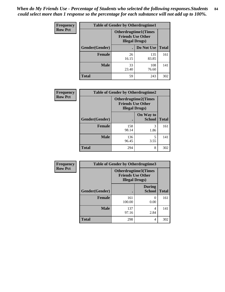*When do My Friends Use - Percentage of Students who selected the following responses.Students could select more than 1 response so the percentage for each substance will not add up to 100%.* **84**

| <b>Frequency</b> | <b>Table of Gender by Otherdrugtime1</b> |                                                                                    |              |              |  |
|------------------|------------------------------------------|------------------------------------------------------------------------------------|--------------|--------------|--|
| <b>Row Pct</b>   |                                          | <b>Otherdrugtime1</b> (Times<br><b>Friends Use Other</b><br><b>Illegal Drugs</b> ) |              |              |  |
|                  | Gender(Gender)                           |                                                                                    | Do Not Use   | <b>Total</b> |  |
|                  | <b>Female</b>                            | 26<br>16.15                                                                        | 135<br>83.85 | 161          |  |
|                  | <b>Male</b>                              | 33<br>23.40                                                                        | 108<br>76.60 | 141          |  |
|                  | <b>Total</b>                             | 59                                                                                 | 243          | 302          |  |

| <b>Frequency</b> | <b>Table of Gender by Otherdrugtime2</b> |                                                                                   |                            |              |  |
|------------------|------------------------------------------|-----------------------------------------------------------------------------------|----------------------------|--------------|--|
| <b>Row Pct</b>   |                                          | <b>Otherdrugtime2(Times</b><br><b>Friends Use Other</b><br><b>Illegal Drugs</b> ) |                            |              |  |
|                  | Gender(Gender)                           |                                                                                   | On Way to<br><b>School</b> | <b>Total</b> |  |
|                  | <b>Female</b>                            | 158<br>98.14                                                                      | 3<br>1.86                  | 161          |  |
|                  | <b>Male</b>                              | 136<br>96.45                                                                      | 3.55                       | 141          |  |
|                  | <b>Total</b>                             | 294                                                                               | 8                          | 302          |  |

| Frequency      | <b>Table of Gender by Otherdrugtime3</b> |                        |                                                         |              |  |
|----------------|------------------------------------------|------------------------|---------------------------------------------------------|--------------|--|
| <b>Row Pct</b> |                                          | <b>Illegal Drugs</b> ) | <b>Otherdrugtime3(Times</b><br><b>Friends Use Other</b> |              |  |
|                | Gender(Gender)                           |                        | <b>During</b><br><b>School</b>                          | <b>Total</b> |  |
|                | <b>Female</b>                            | 161<br>100.00          | $\Omega$<br>0.00                                        | 161          |  |
|                | <b>Male</b>                              | 137<br>97.16           | 4<br>2.84                                               | 141          |  |
|                | <b>Total</b>                             | 298                    | 4                                                       | 302          |  |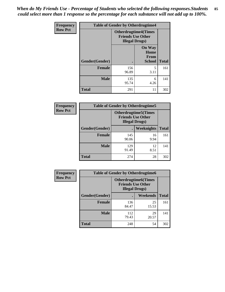*When do My Friends Use - Percentage of Students who selected the following responses.Students could select more than 1 response so the percentage for each substance will not add up to 100%.* **85**

| Frequency      |                | <b>Table of Gender by Otherdrugtime4</b> |                                                         |              |
|----------------|----------------|------------------------------------------|---------------------------------------------------------|--------------|
| <b>Row Pct</b> |                | <b>Illegal Drugs</b> )                   | <b>Otherdrugtime4(Times</b><br><b>Friends Use Other</b> |              |
|                | Gender(Gender) |                                          | <b>On Way</b><br>Home<br><b>From</b><br><b>School</b>   | <b>Total</b> |
|                | <b>Female</b>  | 156<br>96.89                             | 5<br>3.11                                               | 161          |
|                | <b>Male</b>    | 135<br>95.74                             | 6<br>4.26                                               | 141          |
|                | <b>Total</b>   | 291                                      | 11                                                      | 302          |

| <b>Frequency</b> | <b>Table of Gender by Otherdrugtime5</b> |                                                                                    |                   |              |  |
|------------------|------------------------------------------|------------------------------------------------------------------------------------|-------------------|--------------|--|
| <b>Row Pct</b>   |                                          | <b>Otherdrugtime5</b> (Times<br><b>Friends Use Other</b><br><b>Illegal Drugs</b> ) |                   |              |  |
|                  | Gender(Gender)                           |                                                                                    | <b>Weeknights</b> | <b>Total</b> |  |
|                  | <b>Female</b>                            | 145<br>90.06                                                                       | 16<br>9.94        | 161          |  |
|                  | <b>Male</b>                              | 129<br>91.49                                                                       | 12<br>8.51        | 141          |  |
|                  | <b>Total</b>                             | 274                                                                                | 28                | 302          |  |

| <b>Frequency</b> | <b>Table of Gender by Otherdrugtime6</b> |                                                                                   |             |              |  |
|------------------|------------------------------------------|-----------------------------------------------------------------------------------|-------------|--------------|--|
| <b>Row Pct</b>   |                                          | <b>Otherdrugtime6(Times</b><br><b>Friends Use Other</b><br><b>Illegal Drugs</b> ) |             |              |  |
|                  | Gender(Gender)                           |                                                                                   | Weekends    | <b>Total</b> |  |
|                  | <b>Female</b>                            | 136<br>84.47                                                                      | 25<br>15.53 | 161          |  |
|                  | <b>Male</b>                              | 112<br>79.43                                                                      | 29<br>20.57 | 141          |  |
|                  | <b>Total</b>                             | 248                                                                               | 54          | 302          |  |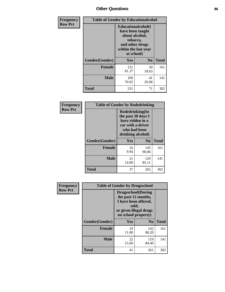# *Other Questions* **86**

| <b>Frequency</b> | <b>Table of Gender by Educationalcohol</b>                                                                                            |              |                |              |
|------------------|---------------------------------------------------------------------------------------------------------------------------------------|--------------|----------------|--------------|
| <b>Row Pct</b>   | <b>Educationalcohol</b> (I<br>have been taught<br>about alcohol,<br>tobacco,<br>and other drugs<br>within the last year<br>at school) |              |                |              |
|                  | Gender(Gender)                                                                                                                        | <b>Yes</b>   | N <sub>0</sub> | <b>Total</b> |
|                  | <b>Female</b>                                                                                                                         | 131<br>81.37 | 30<br>18.63    | 161          |
|                  | <b>Male</b>                                                                                                                           | 100<br>70.92 | 41<br>29.08    | 141          |
|                  | <b>Total</b>                                                                                                                          | 231          | 71             | 302          |

| Frequency      | <b>Table of Gender by Rodedrinking</b> |                                                                                                                     |                |              |  |
|----------------|----------------------------------------|---------------------------------------------------------------------------------------------------------------------|----------------|--------------|--|
| <b>Row Pct</b> |                                        | Rodedrinking(In<br>the past 30 days I<br>have ridden in a<br>car with a driver<br>who had been<br>drinking alcohol) |                |              |  |
|                | Gender(Gender)                         | Yes                                                                                                                 | N <sub>0</sub> | <b>Total</b> |  |
|                | <b>Female</b>                          | 16<br>9.94                                                                                                          | 145<br>90.06   | 161          |  |
|                | <b>Male</b>                            | 21<br>14.89                                                                                                         | 120<br>85.11   | 141          |  |
|                | <b>Total</b>                           | 37                                                                                                                  | 265            | 302          |  |

| Frequency      |                | <b>Table of Gender by Drugsschool</b>                                                                                               |                |              |
|----------------|----------------|-------------------------------------------------------------------------------------------------------------------------------------|----------------|--------------|
| <b>Row Pct</b> |                | <b>Drugsschool</b> (During<br>the past 12 months,<br>I have been offered,<br>sold,<br>or given illegal drugs<br>on school property) |                |              |
|                | Gender(Gender) | Yes                                                                                                                                 | N <sub>0</sub> | <b>Total</b> |
|                | <b>Female</b>  | 19<br>11.80                                                                                                                         | 142<br>88.20   | 161          |
|                | <b>Male</b>    | 22<br>15.60                                                                                                                         | 119<br>84.40   | 141          |
|                | <b>Total</b>   | 41                                                                                                                                  | 261            | 302          |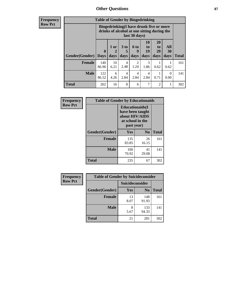### *Other Questions* **87**

**Frequency Row Pct**

| <b>Table of Gender by Bingedrinking</b> |                                                                                                         |                |                        |                        |                        |                               |                   |              |
|-----------------------------------------|---------------------------------------------------------------------------------------------------------|----------------|------------------------|------------------------|------------------------|-------------------------------|-------------------|--------------|
|                                         | Bingedrinking(I have drunk five or more<br>drinks of alcohol at one sitting during the<br>last 30 days) |                |                        |                        |                        |                               |                   |              |
| <b>Gender</b> (Gender)                  | $\bf{0}$<br><b>Days</b>                                                                                 | $1$ or<br>days | 3 to<br>5<br>days      | 6 to<br>9<br>days      | 10<br>to<br>19<br>days | <b>20</b><br>to<br>29<br>days | All<br>30<br>days | <b>Total</b> |
|                                         |                                                                                                         |                |                        |                        |                        |                               |                   |              |
| <b>Female</b>                           | 140<br>86.96                                                                                            | 10<br>6.21     | 4<br>2.48              | $\overline{c}$<br>1.24 | 3<br>1.86              | 0.62                          | 0.62              | 161          |
| <b>Male</b>                             | 122<br>86.52                                                                                            | 6<br>4.26      | $\overline{4}$<br>2.84 | 4<br>2.84              | 4<br>2.84              | 0.71                          | $\theta$<br>0.00  | 141          |

| Frequency      | <b>Table of Gender by Educationaids</b> |                                                                                                 |             |              |
|----------------|-----------------------------------------|-------------------------------------------------------------------------------------------------|-------------|--------------|
| <b>Row Pct</b> |                                         | <b>Educationaids</b> (I<br>have been taught<br>about HIV/AIDS<br>at school in the<br>past year) |             |              |
|                | Gender(Gender)                          | Yes                                                                                             | $\bf N_0$   | <b>Total</b> |
|                | <b>Female</b>                           | 135<br>83.85                                                                                    | 26<br>16.15 | 161          |
|                | <b>Male</b>                             | 100<br>70.92                                                                                    | 41<br>29.08 | 141          |
|                | <b>Total</b>                            | 235                                                                                             | 67          | 302          |

| <b>Frequency</b> | <b>Table of Gender by Suicideconsider</b> |                        |                |       |
|------------------|-------------------------------------------|------------------------|----------------|-------|
| <b>Row Pct</b>   |                                           | <b>Suicideconsider</b> |                |       |
|                  | Gender(Gender)                            | Yes                    | N <sub>0</sub> | Total |
|                  | <b>Female</b>                             | 13<br>8.07             | 148<br>91.93   | 161   |
|                  | <b>Male</b>                               | 8<br>5.67              | 133<br>94.33   | 141   |
|                  | <b>Total</b>                              | 21                     | 281            | 302   |